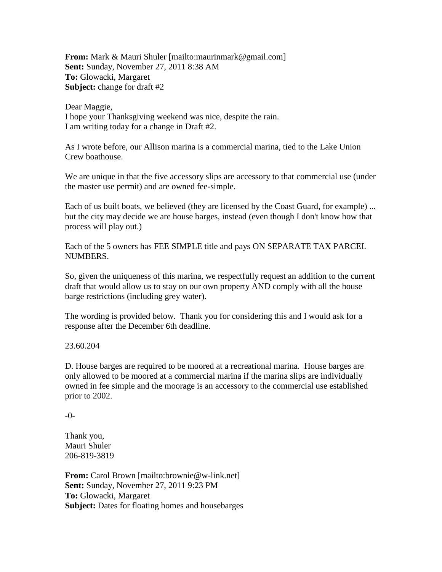**From:** Mark & Mauri Shuler [mailto:maurinmark@gmail.com] **Sent:** Sunday, November 27, 2011 8:38 AM **To:** Glowacki, Margaret **Subject:** change for draft #2

Dear Maggie, I hope your Thanksgiving weekend was nice, despite the rain. I am writing today for a change in Draft #2.

As I wrote before, our Allison marina is a commercial marina, tied to the Lake Union Crew boathouse.

We are unique in that the five accessory slips are accessory to that commercial use (under the master use permit) and are owned fee-simple.

Each of us built boats, we believed (they are licensed by the Coast Guard, for example) ... but the city may decide we are house barges, instead (even though I don't know how that process will play out.)

Each of the 5 owners has FEE SIMPLE title and pays ON SEPARATE TAX PARCEL NUMBERS.

So, given the uniqueness of this marina, we respectfully request an addition to the current draft that would allow us to stay on our own property AND comply with all the house barge restrictions (including grey water).

The wording is provided below. Thank you for considering this and I would ask for a response after the December 6th deadline.

23.60.204

D. House barges are required to be moored at a recreational marina. House barges are only allowed to be moored at a commercial marina if the marina slips are individually owned in fee simple and the moorage is an accessory to the commercial use established prior to 2002.

-0-

Thank you, Mauri Shuler 206-819-3819

**From:** Carol Brown [mailto:brownie@w-link.net] **Sent:** Sunday, November 27, 2011 9:23 PM **To:** Glowacki, Margaret **Subject:** Dates for floating homes and housebarges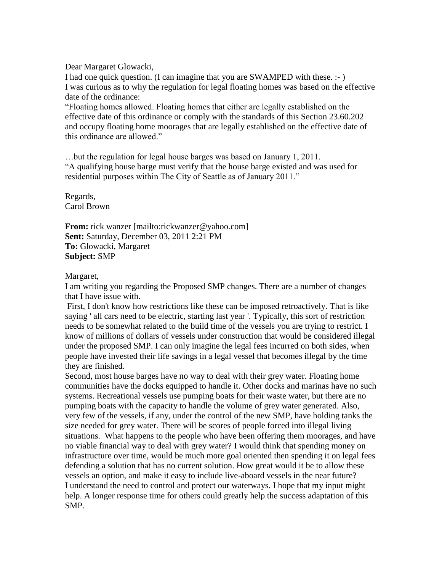Dear Margaret Glowacki,

I had one quick question. (I can imagine that you are SWAMPED with these. :- ) I was curious as to why the regulation for legal floating homes was based on the effective date of the ordinance:

"Floating homes allowed. Floating homes that either are legally established on the effective date of this ordinance or comply with the standards of this Section 23.60.202 and occupy floating home moorages that are legally established on the effective date of this ordinance are allowed."

…but the regulation for legal house barges was based on January 1, 2011. "A qualifying house barge must verify that the house barge existed and was used for residential purposes within The City of Seattle as of January 2011."

Regards, Carol Brown

**From:** rick wanzer [mailto:rickwanzer@yahoo.com] **Sent:** Saturday, December 03, 2011 2:21 PM **To:** Glowacki, Margaret **Subject:** SMP

Margaret,

I am writing you regarding the Proposed SMP changes. There are a number of changes that I have issue with.

First, I don't know how restrictions like these can be imposed retroactively. That is like saying ' all cars need to be electric, starting last year '. Typically, this sort of restriction needs to be somewhat related to the build time of the vessels you are trying to restrict. I know of millions of dollars of vessels under construction that would be considered illegal under the proposed SMP. I can only imagine the legal fees incurred on both sides, when people have invested their life savings in a legal vessel that becomes illegal by the time they are finished.

Second, most house barges have no way to deal with their grey water. Floating home communities have the docks equipped to handle it. Other docks and marinas have no such systems. Recreational vessels use pumping boats for their waste water, but there are no pumping boats with the capacity to handle the volume of grey water generated. Also, very few of the vessels, if any, under the control of the new SMP, have holding tanks the size needed for grey water. There will be scores of people forced into illegal living situations. What happens to the people who have been offering them moorages, and have no viable financial way to deal with grey water? I would think that spending money on infrastructure over time, would be much more goal oriented then spending it on legal fees defending a solution that has no current solution. How great would it be to allow these vessels an option, and make it easy to include live-aboard vessels in the near future? I understand the need to control and protect our waterways. I hope that my input might help. A longer response time for others could greatly help the success adaptation of this SMP.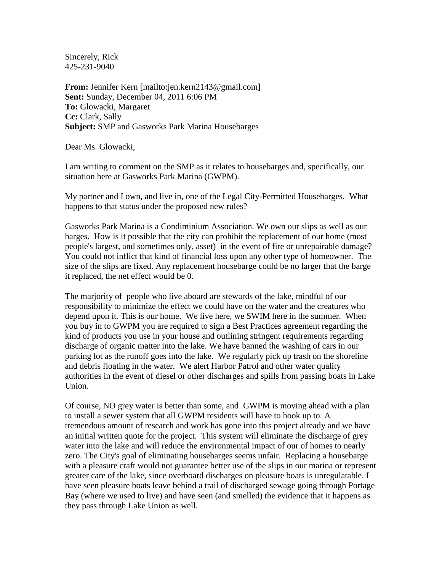Sincerely, Rick 425-231-9040

**From:** Jennifer Kern [mailto:jen.kern2143@gmail.com] **Sent:** Sunday, December 04, 2011 6:06 PM **To:** Glowacki, Margaret **Cc:** Clark, Sally **Subject:** SMP and Gasworks Park Marina Housebarges

Dear Ms. Glowacki,

I am writing to comment on the SMP as it relates to housebarges and, specifically, our situation here at Gasworks Park Marina (GWPM).

My partner and I own, and live in, one of the Legal City-Permitted Housebarges. What happens to that status under the proposed new rules?

Gasworks Park Marina is a Condiminium Association. We own our slips as well as our barges. How is it possible that the city can prohibit the replacement of our home (most people's largest, and sometimes only, asset) in the event of fire or unrepairable damage? You could not inflict that kind of financial loss upon any other type of homeowner. The size of the slips are fixed. Any replacement housebarge could be no larger that the barge it replaced, the net effect would be 0.

The marjority of people who live aboard are stewards of the lake, mindful of our responsibility to minimize the effect we could have on the water and the creatures who depend upon it. This is our home. We live here, we SWIM here in the summer. When you buy in to GWPM you are required to sign a Best Practices agreement regarding the kind of products you use in your house and outlining stringent requirements regarding discharge of organic matter into the lake. We have banned the washing of cars in our parking lot as the runoff goes into the lake. We regularly pick up trash on the shoreline and debris floating in the water. We alert Harbor Patrol and other water quality authorities in the event of diesel or other discharges and spills from passing boats in Lake Union.

Of course, NO grey water is better than some, and GWPM is moving ahead with a plan to install a sewer system that all GWPM residents will have to hook up to. A tremendous amount of research and work has gone into this project already and we have an initial written quote for the project. This system will eliminate the discharge of grey water into the lake and will reduce the environmental impact of our of homes to nearly zero. The City's goal of eliminating housebarges seems unfair. Replacing a housebarge with a pleasure craft would not guarantee better use of the slips in our marina or represent greater care of the lake, since overboard discharges on pleasure boats is unregulatable. I have seen pleasure boats leave behind a trail of discharged sewage going through Portage Bay (where we used to live) and have seen (and smelled) the evidence that it happens as they pass through Lake Union as well.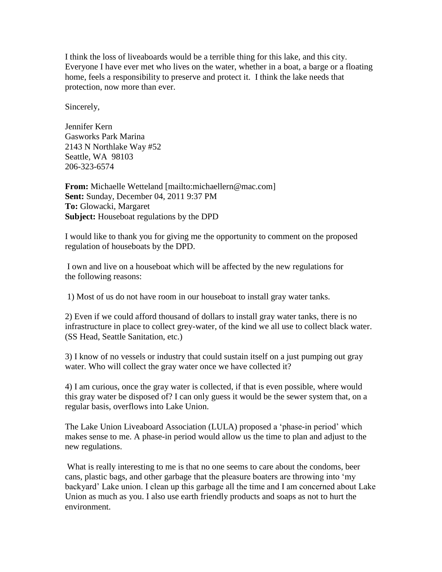I think the loss of liveaboards would be a terrible thing for this lake, and this city. Everyone I have ever met who lives on the water, whether in a boat, a barge or a floating home, feels a responsibility to preserve and protect it. I think the lake needs that protection, now more than ever.

Sincerely,

Jennifer Kern Gasworks Park Marina 2143 N Northlake Way #52 Seattle, WA 98103 206-323-6574

**From:** Michaelle Wetteland [mailto:michaellern@mac.com] **Sent:** Sunday, December 04, 2011 9:37 PM **To:** Glowacki, Margaret **Subject:** Houseboat regulations by the DPD

I would like to thank you for giving me the opportunity to comment on the proposed regulation of houseboats by the DPD.

I own and live on a houseboat which will be affected by the new regulations for the following reasons:

1) Most of us do not have room in our houseboat to install gray water tanks.

2) Even if we could afford thousand of dollars to install gray water tanks, there is no infrastructure in place to collect grey-water, of the kind we all use to collect black water. (SS Head, Seattle Sanitation, etc.)

3) I know of no vessels or industry that could sustain itself on a just pumping out gray water. Who will collect the gray water once we have collected it?

4) I am curious, once the gray water is collected, if that is even possible, where would this gray water be disposed of? I can only guess it would be the sewer system that, on a regular basis, overflows into Lake Union.

The Lake Union Liveaboard Association (LULA) proposed a 'phase-in period' which makes sense to me. A phase-in period would allow us the time to plan and adjust to the new regulations.

What is really interesting to me is that no one seems to care about the condoms, beer cans, plastic bags, and other garbage that the pleasure boaters are throwing into 'my backyard' Lake union. I clean up this garbage all the time and I am concerned about Lake Union as much as you. I also use earth friendly products and soaps as not to hurt the environment.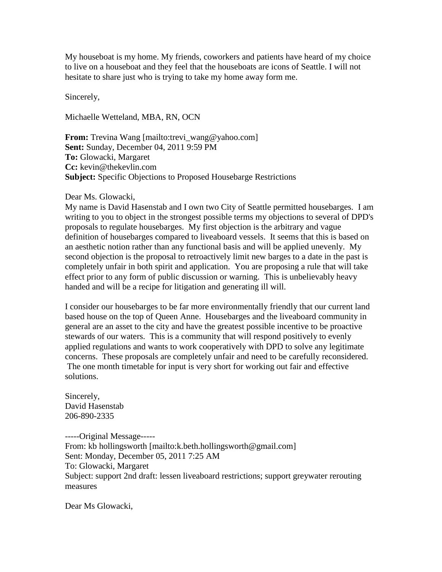My houseboat is my home. My friends, coworkers and patients have heard of my choice to live on a houseboat and they feel that the houseboats are icons of Seattle. I will not hesitate to share just who is trying to take my home away form me.

Sincerely,

Michaelle Wetteland, MBA, RN, OCN

**From:** Trevina Wang [mailto:trevi\_wang@yahoo.com] **Sent:** Sunday, December 04, 2011 9:59 PM **To:** Glowacki, Margaret **Cc:** kevin@thekevlin.com **Subject:** Specific Objections to Proposed Housebarge Restrictions

#### Dear Ms. Glowacki,

My name is David Hasenstab and I own two City of Seattle permitted housebarges. I am writing to you to object in the strongest possible terms my objections to several of DPD's proposals to regulate housebarges. My first objection is the arbitrary and vague definition of housebarges compared to liveaboard vessels. It seems that this is based on an aesthetic notion rather than any functional basis and will be applied unevenly. My second objection is the proposal to retroactively limit new barges to a date in the past is completely unfair in both spirit and application. You are proposing a rule that will take effect prior to any form of public discussion or warning. This is unbelievably heavy handed and will be a recipe for litigation and generating ill will.

I consider our housebarges to be far more environmentally friendly that our current land based house on the top of Queen Anne. Housebarges and the liveaboard community in general are an asset to the city and have the greatest possible incentive to be proactive stewards of our waters. This is a community that will respond positively to evenly applied regulations and wants to work cooperatively with DPD to solve any legitimate concerns. These proposals are completely unfair and need to be carefully reconsidered. The one month timetable for input is very short for working out fair and effective solutions.

Sincerely, David Hasenstab 206-890-2335

-----Original Message----- From: kb hollingsworth [mailto:k.beth.hollingsworth@gmail.com] Sent: Monday, December 05, 2011 7:25 AM To: Glowacki, Margaret Subject: support 2nd draft: lessen liveaboard restrictions; support greywater rerouting measures

Dear Ms Glowacki,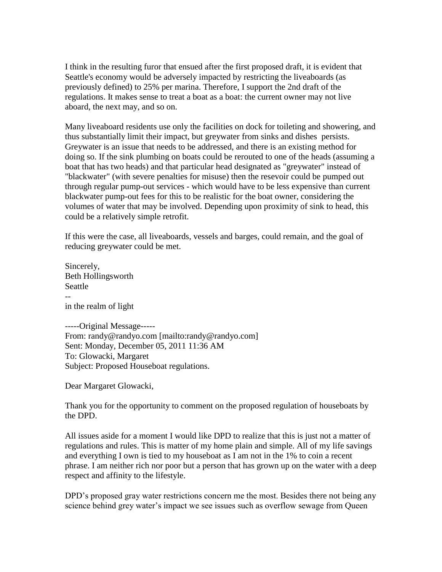I think in the resulting furor that ensued after the first proposed draft, it is evident that Seattle's economy would be adversely impacted by restricting the liveaboards (as previously defined) to 25% per marina. Therefore, I support the 2nd draft of the regulations. It makes sense to treat a boat as a boat: the current owner may not live aboard, the next may, and so on.

Many liveaboard residents use only the facilities on dock for toileting and showering, and thus substantially limit their impact, but greywater from sinks and dishes persists. Greywater is an issue that needs to be addressed, and there is an existing method for doing so. If the sink plumbing on boats could be rerouted to one of the heads (assuming a boat that has two heads) and that particular head designated as "greywater" instead of "blackwater" (with severe penalties for misuse) then the resevoir could be pumped out through regular pump-out services - which would have to be less expensive than current blackwater pump-out fees for this to be realistic for the boat owner, considering the volumes of water that may be involved. Depending upon proximity of sink to head, this could be a relatively simple retrofit.

If this were the case, all liveaboards, vessels and barges, could remain, and the goal of reducing greywater could be met.

Sincerely, Beth Hollingsworth Seattle - in the realm of light

-----Original Message----- From: randy@randyo.com [mailto:randy@randyo.com] Sent: Monday, December 05, 2011 11:36 AM To: Glowacki, Margaret Subject: Proposed Houseboat regulations.

Dear Margaret Glowacki,

Thank you for the opportunity to comment on the proposed regulation of houseboats by the DPD.

All issues aside for a moment I would like DPD to realize that this is just not a matter of regulations and rules. This is matter of my home plain and simple. All of my life savings and everything I own is tied to my houseboat as I am not in the 1% to coin a recent phrase. I am neither rich nor poor but a person that has grown up on the water with a deep respect and affinity to the lifestyle.

DPD's proposed gray water restrictions concern me the most. Besides there not being any science behind grey water's impact we see issues such as overflow sewage from Queen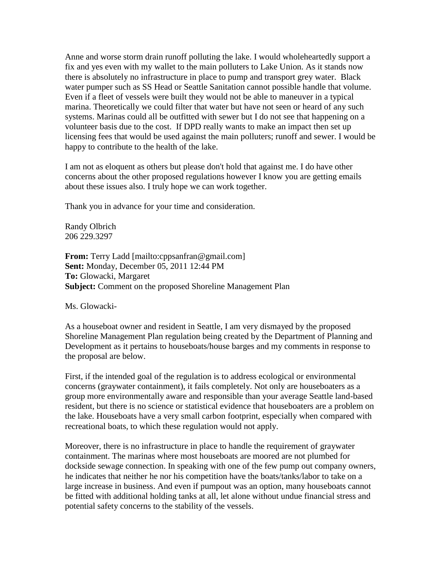Anne and worse storm drain runoff polluting the lake. I would wholeheartedly support a fix and yes even with my wallet to the main polluters to Lake Union. As it stands now there is absolutely no infrastructure in place to pump and transport grey water. Black water pumper such as SS Head or Seattle Sanitation cannot possible handle that volume. Even if a fleet of vessels were built they would not be able to maneuver in a typical marina. Theoretically we could filter that water but have not seen or heard of any such systems. Marinas could all be outfitted with sewer but I do not see that happening on a volunteer basis due to the cost. If DPD really wants to make an impact then set up licensing fees that would be used against the main polluters; runoff and sewer. I would be happy to contribute to the health of the lake.

I am not as eloquent as others but please don't hold that against me. I do have other concerns about the other proposed regulations however I know you are getting emails about these issues also. I truly hope we can work together.

Thank you in advance for your time and consideration.

Randy Olbrich 206 229.3297

**From:** Terry Ladd [mailto:cppsanfran@gmail.com] **Sent:** Monday, December 05, 2011 12:44 PM **To:** Glowacki, Margaret **Subject:** Comment on the proposed Shoreline Management Plan

Ms. Glowacki-

As a houseboat owner and resident in Seattle, I am very dismayed by the proposed Shoreline Management Plan regulation being created by the Department of Planning and Development as it pertains to houseboats/house barges and my comments in response to the proposal are below.

First, if the intended goal of the regulation is to address ecological or environmental concerns (graywater containment), it fails completely. Not only are houseboaters as a group more environmentally aware and responsible than your average Seattle land-based resident, but there is no science or statistical evidence that houseboaters are a problem on the lake. Houseboats have a very small carbon footprint, especially when compared with recreational boats, to which these regulation would not apply.

Moreover, there is no infrastructure in place to handle the requirement of graywater containment. The marinas where most houseboats are moored are not plumbed for dockside sewage connection. In speaking with one of the few pump out company owners, he indicates that neither he nor his competition have the boats/tanks/labor to take on a large increase in business. And even if pumpout was an option, many houseboats cannot be fitted with additional holding tanks at all, let alone without undue financial stress and potential safety concerns to the stability of the vessels.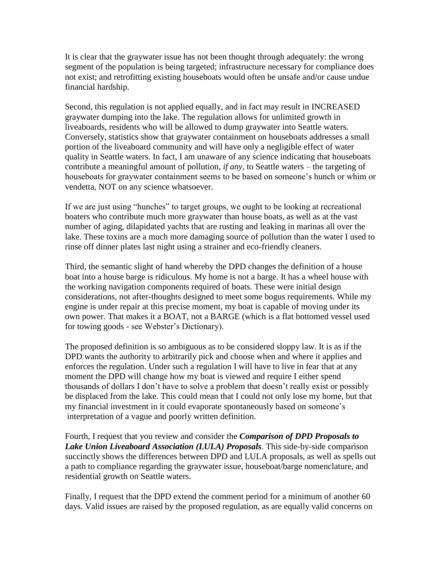It is clear that the graywater issue has not been thought through adequately: the wrong segment of the population is being targeted; infrastructure necessary for compliance does not exist; and retrofitting existing houseboats would often be unsafe and/or cause undue financial hardship.

Second, this regulation is not applied equally, and in fact may result in INCREASED graywater dumping into the lake. The regulation allows for unlimited growth in liveaboards, residents who will be allowed to dump graywater into Seattle waters. Conversely, statistics show that graywater containment on houseboats addresses a small portion of the liveaboard community and will have only a negligible effect of water quality in Seattle waters. In fact, I am unaware of any science indicating that houseboats contribute a meaningful amount of pollution, *if any*, to Seattle waters – the targeting of houseboats for graywater containment seems to be based on someone's hunch or whim or vendetta, NOT on any science whatsoever.

If we are just using "hunches" to target groups, we ought to be looking at recreational boaters who contribute much more graywater than house boats, as well as at the vast number of aging, dilapidated yachts that are rusting and leaking in marinas all over the lake. These toxins are a much more damaging source of pollution than the water I used to rinse off dinner plates last night using a strainer and eco-friendly cleaners.

Third, the semantic slight of hand whereby the DPD changes the definition of a house boat into a house barge is ridiculous. My home is not a barge. It has a wheel house with the working navigation components required of boats. These were initial design considerations, not after-thoughts designed to meet some bogus requirements. While my engine is under repair at this precise moment, my boat is capable of moving under its own power. That makes it a BOAT, not a BARGE (which is a flat bottomed vessel used for towing goods - see Webster's Dictionary).

The proposed definition is so ambiguous as to be considered sloppy law. It is as if the DPD wants the authority to arbitrarily pick and choose when and where it applies and enforces the regulation. Under such a regulation I will have to live in fear that at any moment the DPD will change how my boat is viewed and require I either spend thousands of dollars I don't have to solve a problem that doesn't really exist or possibly be displaced from the lake. This could mean that I could not only lose my home, but that my financial investment in it could evaporate spontaneously based on someone's interpretation of a vague and poorly written definition.

Fourth, I request that you review and consider the *Comparison of DPD Proposals to Lake Union Liveaboard Association (LULA) Proposals*. This side-by-side comparison succinctly shows the differences between DPD and LULA proposals, as well as spells out a path to compliance regarding the graywater issue, houseboat/barge nomenclature, and residential growth on Seattle waters.

Finally, I request that the DPD extend the comment period for a minimum of another 60 days. Valid issues are raised by the proposed regulation, as are equally valid concerns on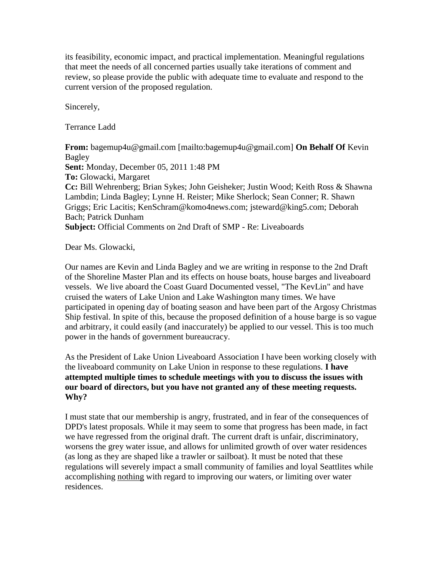its feasibility, economic impact, and practical implementation. Meaningful regulations that meet the needs of all concerned parties usually take iterations of comment and review, so please provide the public with adequate time to evaluate and respond to the current version of the proposed regulation.

Sincerely,

Terrance Ladd

**From:** bagemup4u@gmail.com [mailto:bagemup4u@gmail.com] **On Behalf Of** Kevin Bagley **Sent:** Monday, December 05, 2011 1:48 PM **To:** Glowacki, Margaret **Cc:** Bill Wehrenberg; Brian Sykes; John Geisheker; Justin Wood; Keith Ross & Shawna Lambdin; Linda Bagley; Lynne H. Reister; Mike Sherlock; Sean Conner; R. Shawn Griggs; Eric Lacitis; KenSchram@komo4news.com; jsteward@king5.com; Deborah Bach; Patrick Dunham **Subject:** Official Comments on 2nd Draft of SMP - Re: Liveaboards

Dear Ms. Glowacki,

Our names are Kevin and Linda Bagley and we are writing in response to the 2nd Draft of the Shoreline Master Plan and its effects on house boats, house barges and liveaboard vessels. We live aboard the Coast Guard Documented vessel, "The KevLin" and have cruised the waters of Lake Union and Lake Washington many times. We have participated in opening day of boating season and have been part of the Argosy Christmas Ship festival. In spite of this, because the proposed definition of a house barge is so vague and arbitrary, it could easily (and inaccurately) be applied to our vessel. This is too much power in the hands of government bureaucracy.

As the President of Lake Union Liveaboard Association I have been working closely with the liveaboard community on Lake Union in response to these regulations. **I have attempted multiple times to schedule meetings with you to discuss the issues with our board of directors, but you have not granted any of these meeting requests. Why?**

I must state that our membership is angry, frustrated, and in fear of the consequences of DPD's latest proposals. While it may seem to some that progress has been made, in fact we have regressed from the original draft. The current draft is unfair, discriminatory, worsens the grey water issue, and allows for unlimited growth of over water residences (as long as they are shaped like a trawler or sailboat). It must be noted that these regulations will severely impact a small community of families and loyal Seattlites while accomplishing nothing with regard to improving our waters, or limiting over water residences.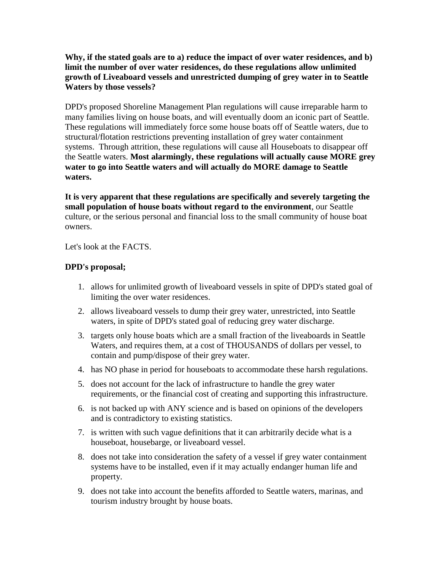## **Why, if the stated goals are to a) reduce the impact of over water residences, and b) limit the number of over water residences, do these regulations allow unlimited growth of Liveaboard vessels and unrestricted dumping of grey water in to Seattle Waters by those vessels?**

DPD's proposed Shoreline Management Plan regulations will cause irreparable harm to many families living on house boats, and will eventually doom an iconic part of Seattle. These regulations will immediately force some house boats off of Seattle waters, due to structural/flotation restrictions preventing installation of grey water containment systems. Through attrition, these regulations will cause all Houseboats to disappear off the Seattle waters. **Most alarmingly, these regulations will actually cause MORE grey water to go into Seattle waters and will actually do MORE damage to Seattle waters.** 

**It is very apparent that these regulations are specifically and severely targeting the small population of house boats without regard to the environment**, our Seattle culture, or the serious personal and financial loss to the small community of house boat owners.

Let's look at the FACTS.

### **DPD's proposal;**

- 1. allows for unlimited growth of liveaboard vessels in spite of DPD's stated goal of limiting the over water residences.
- 2. allows liveaboard vessels to dump their grey water, unrestricted, into Seattle waters, in spite of DPD's stated goal of reducing grey water discharge.
- 3. targets only house boats which are a small fraction of the liveaboards in Seattle Waters, and requires them, at a cost of THOUSANDS of dollars per vessel, to contain and pump/dispose of their grey water.
- 4. has NO phase in period for houseboats to accommodate these harsh regulations.
- 5. does not account for the lack of infrastructure to handle the grey water requirements, or the financial cost of creating and supporting this infrastructure.
- 6. is not backed up with ANY science and is based on opinions of the developers and is contradictory to existing statistics.
- 7. is written with such vague definitions that it can arbitrarily decide what is a houseboat, housebarge, or liveaboard vessel.
- 8. does not take into consideration the safety of a vessel if grey water containment systems have to be installed, even if it may actually endanger human life and property.
- 9. does not take into account the benefits afforded to Seattle waters, marinas, and tourism industry brought by house boats.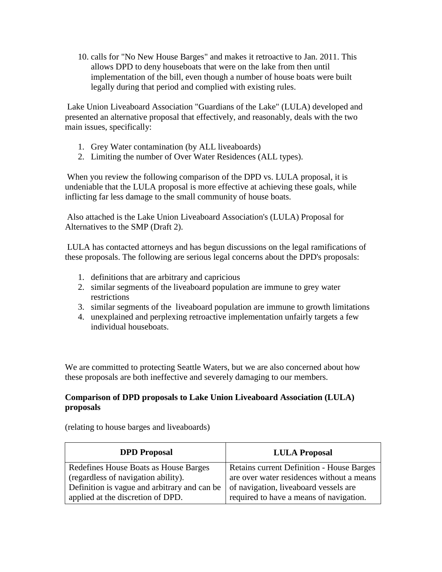10. calls for "No New House Barges" and makes it retroactive to Jan. 2011. This allows DPD to deny houseboats that were on the lake from then until implementation of the bill, even though a number of house boats were built legally during that period and complied with existing rules.

Lake Union Liveaboard Association "Guardians of the Lake" (LULA) developed and presented an alternative proposal that effectively, and reasonably, deals with the two main issues, specifically:

- 1. Grey Water contamination (by ALL liveaboards)
- 2. Limiting the number of Over Water Residences (ALL types).

When you review the following comparison of the DPD vs. LULA proposal, it is undeniable that the LULA proposal is more effective at achieving these goals, while inflicting far less damage to the small community of house boats.

Also attached is the Lake Union Liveaboard Association's (LULA) Proposal for Alternatives to the SMP (Draft 2).

LULA has contacted attorneys and has begun discussions on the legal ramifications of these proposals. The following are serious legal concerns about the DPD's proposals:

- 1. definitions that are arbitrary and capricious
- 2. similar segments of the liveaboard population are immune to grey water restrictions
- 3. similar segments of the liveaboard population are immune to growth limitations
- 4. unexplained and perplexing retroactive implementation unfairly targets a few individual houseboats.

We are committed to protecting Seattle Waters, but we are also concerned about how these proposals are both ineffective and severely damaging to our members.

### **Comparison of DPD proposals to Lake Union Liveaboard Association (LULA) proposals**

(relating to house barges and liveaboards)

| <b>DPD</b> Proposal                          | <b>LULA Proposal</b>                             |
|----------------------------------------------|--------------------------------------------------|
| Redefines House Boats as House Barges        | <b>Retains current Definition - House Barges</b> |
| (regardless of navigation ability).          | are over water residences without a means        |
| Definition is vague and arbitrary and can be | of navigation, liveaboard vessels are            |
| applied at the discretion of DPD.            | required to have a means of navigation.          |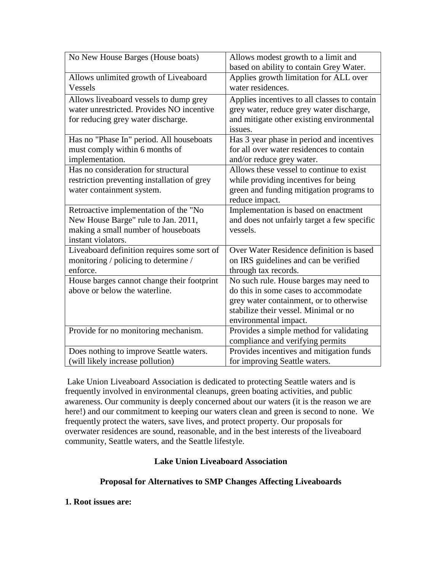| No New House Barges (House boats)           | Allows modest growth to a limit and<br>based on ability to contain Grey Water. |
|---------------------------------------------|--------------------------------------------------------------------------------|
|                                             |                                                                                |
| Allows unlimited growth of Liveaboard       | Applies growth limitation for ALL over                                         |
| <b>Vessels</b>                              | water residences.                                                              |
| Allows liveaboard vessels to dump grey      | Applies incentives to all classes to contain                                   |
| water unrestricted. Provides NO incentive   | grey water, reduce grey water discharge,                                       |
| for reducing grey water discharge.          | and mitigate other existing environmental                                      |
|                                             | issues.                                                                        |
| Has no "Phase In" period. All houseboats    | Has 3 year phase in period and incentives                                      |
| must comply within 6 months of              | for all over water residences to contain                                       |
|                                             |                                                                                |
| implementation.                             | and/or reduce grey water.                                                      |
| Has no consideration for structural         | Allows these vessel to continue to exist                                       |
| restriction preventing installation of grey | while providing incentives for being                                           |
| water containment system.                   | green and funding mitigation programs to                                       |
|                                             | reduce impact.                                                                 |
| Retroactive implementation of the "No       | Implementation is based on enactment                                           |
| New House Barge" rule to Jan. 2011,         | and does not unfairly target a few specific                                    |
| making a small number of houseboats         | vessels.                                                                       |
| instant violators.                          |                                                                                |
| Liveaboard definition requires some sort of | Over Water Residence definition is based                                       |
| monitoring / policing to determine /        | on IRS guidelines and can be verified                                          |
| enforce.                                    | through tax records.                                                           |
| House barges cannot change their footprint  | No such rule. House barges may need to                                         |
| above or below the waterline.               | do this in some cases to accommodate                                           |
|                                             | grey water containment, or to otherwise                                        |
|                                             | stabilize their vessel. Minimal or no                                          |
|                                             |                                                                                |
|                                             | environmental impact.                                                          |
| Provide for no monitoring mechanism.        | Provides a simple method for validating                                        |
|                                             | compliance and verifying permits                                               |
| Does nothing to improve Seattle waters.     | Provides incentives and mitigation funds                                       |
| (will likely increase pollution)            | for improving Seattle waters.                                                  |

Lake Union Liveaboard Association is dedicated to protecting Seattle waters and is frequently involved in environmental cleanups, green boating activities, and public awareness. Our community is deeply concerned about our waters (it is the reason we are here!) and our commitment to keeping our waters clean and green is second to none. We frequently protect the waters, save lives, and protect property. Our proposals for overwater residences are sound, reasonable, and in the best interests of the liveaboard community, Seattle waters, and the Seattle lifestyle.

## **Lake Union Liveaboard Association**

## **Proposal for Alternatives to SMP Changes Affecting Liveaboards**

#### **1. Root issues are:**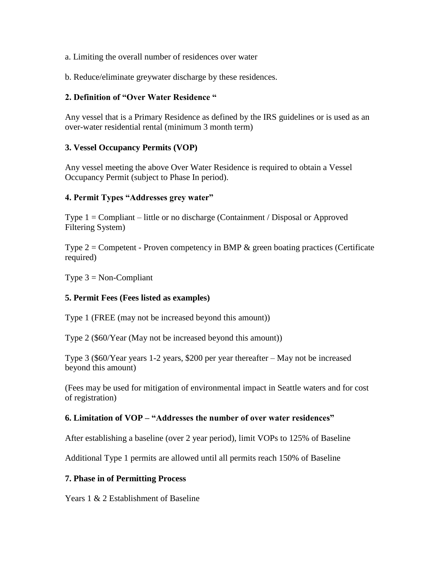a. Limiting the overall number of residences over water

b. Reduce/eliminate greywater discharge by these residences.

#### **2. Definition of "Over Water Residence "**

Any vessel that is a Primary Residence as defined by the IRS guidelines or is used as an over-water residential rental (minimum 3 month term)

### **3. Vessel Occupancy Permits (VOP)**

Any vessel meeting the above Over Water Residence is required to obtain a Vessel Occupancy Permit (subject to Phase In period).

#### **4. Permit Types "Addresses grey water"**

Type 1 = Compliant – little or no discharge (Containment / Disposal or Approved Filtering System)

Type  $2 =$  Competent - Proven competency in BMP  $\&$  green boating practices (Certificate required)

Type  $3 = \text{Non-Compliant}$ 

#### **5. Permit Fees (Fees listed as examples)**

Type 1 (FREE (may not be increased beyond this amount))

Type 2 (\$60/Year (May not be increased beyond this amount))

Type 3 (\$60/Year years 1-2 years, \$200 per year thereafter – May not be increased beyond this amount)

(Fees may be used for mitigation of environmental impact in Seattle waters and for cost of registration)

#### **6. Limitation of VOP – "Addresses the number of over water residences"**

After establishing a baseline (over 2 year period), limit VOPs to 125% of Baseline

Additional Type 1 permits are allowed until all permits reach 150% of Baseline

#### **7. Phase in of Permitting Process**

Years 1 & 2 Establishment of Baseline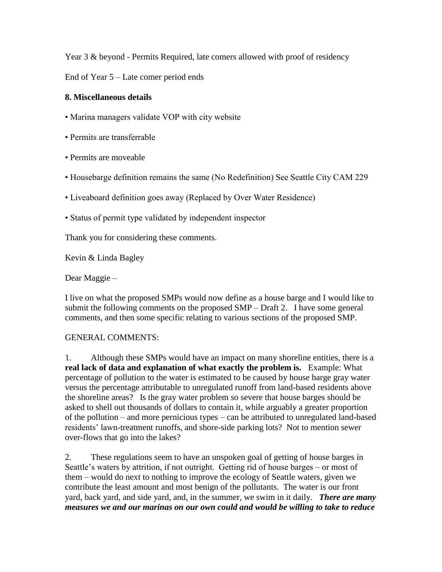Year 3 & beyond - Permits Required, late comers allowed with proof of residency

End of Year 5 – Late comer period ends

# **8. Miscellaneous details**

• Marina managers validate VOP with city website

- Permits are transferrable
- Permits are moveable
- Housebarge definition remains the same (No Redefinition) See Seattle City CAM 229
- Liveaboard definition goes away (Replaced by Over Water Residence)
- Status of permit type validated by independent inspector

Thank you for considering these comments.

Kevin & Linda Bagley

Dear Maggie –

I live on what the proposed SMPs would now define as a house barge and I would like to submit the following comments on the proposed SMP – Draft 2. I have some general comments, and then some specific relating to various sections of the proposed SMP.

## GENERAL COMMENTS:

1. Although these SMPs would have an impact on many shoreline entities, there is a **real lack of data and explanation of what exactly the problem is.** Example: What percentage of pollution to the water is estimated to be caused by house barge gray water versus the percentage attributable to unregulated runoff from land-based residents above the shoreline areas? Is the gray water problem so severe that house barges should be asked to shell out thousands of dollars to contain it, while arguably a greater proportion of the pollution – and more pernicious types – can be attributed to unregulated land-based residents' lawn-treatment runoffs, and shore-side parking lots? Not to mention sewer over-flows that go into the lakes?

2. These regulations seem to have an unspoken goal of getting of house barges in Seattle's waters by attrition, if not outright. Getting rid of house barges – or most of them – would do next to nothing to improve the ecology of Seattle waters, given we contribute the least amount and most benign of the pollutants. The water is our front yard, back yard, and side yard, and, in the summer, we swim in it daily. *There are many measures we and our marinas on our own could and would be willing to take to reduce*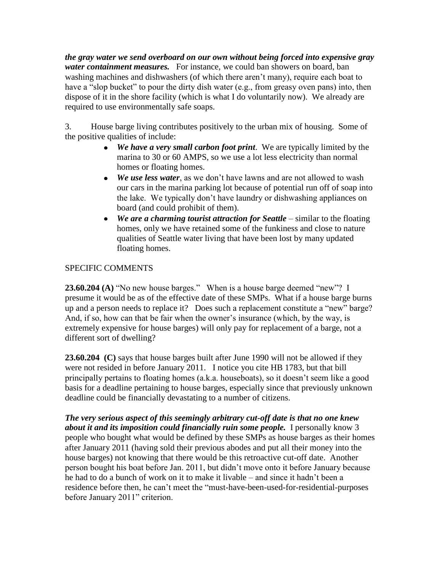*the gray water we send overboard on our own without being forced into expensive gray water containment measures.* For instance, we could ban showers on board, ban washing machines and dishwashers (of which there aren't many), require each boat to have a "slop bucket" to pour the dirty dish water (e.g., from greasy oven pans) into, then dispose of it in the shore facility (which is what I do voluntarily now). We already are required to use environmentally safe soaps.

3. House barge living contributes positively to the urban mix of housing. Some of the positive qualities of include:

- *We have a very small carbon foot print*. We are typically limited by the marina to 30 or 60 AMPS, so we use a lot less electricity than normal homes or floating homes.
- $\bullet$ *We use less water*, as we don't have lawns and are not allowed to wash our cars in the marina parking lot because of potential run off of soap into the lake. We typically don't have laundry or dishwashing appliances on board (and could prohibit of them).
- We are a charming tourist attraction for Seattle similar to the floating homes, only we have retained some of the funkiness and close to nature qualities of Seattle water living that have been lost by many updated floating homes.

# SPECIFIC COMMENTS

**23.60.204 (A)** "No new house barges." When is a house barge deemed "new"? I presume it would be as of the effective date of these SMPs. What if a house barge burns up and a person needs to replace it? Does such a replacement constitute a "new" barge? And, if so, how can that be fair when the owner's insurance (which, by the way, is extremely expensive for house barges) will only pay for replacement of a barge, not a different sort of dwelling?

**23.60.204 (C)** says that house barges built after June 1990 will not be allowed if they were not resided in before January 2011. I notice you cite HB 1783, but that bill principally pertains to floating homes (a.k.a. houseboats), so it doesn't seem like a good basis for a deadline pertaining to house barges, especially since that previously unknown deadline could be financially devastating to a number of citizens.

*The very serious aspect of this seemingly arbitrary cut-off date is that no one knew about it and its imposition could financially ruin some people.* I personally know 3 people who bought what would be defined by these SMPs as house barges as their homes after January 2011 (having sold their previous abodes and put all their money into the house barges) not knowing that there would be this retroactive cut-off date. Another person bought his boat before Jan. 2011, but didn't move onto it before January because he had to do a bunch of work on it to make it livable – and since it hadn't been a residence before then, he can't meet the "must-have-been-used-for-residential-purposes before January 2011" criterion.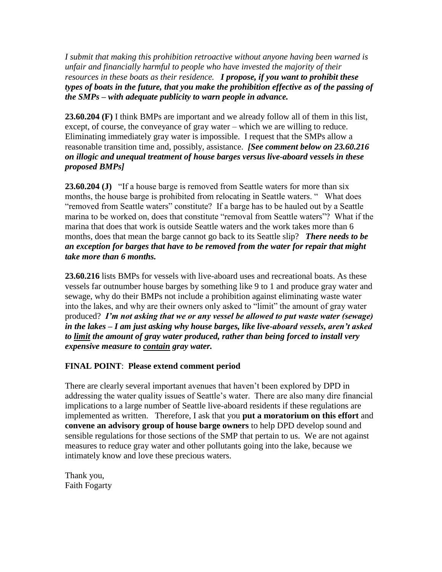*I submit that making this prohibition retroactive without anyone having been warned is unfair and financially harmful to people who have invested the majority of their resources in these boats as their residence. I propose, if you want to prohibit these types of boats in the future, that you make the prohibition effective as of the passing of the SMPs – with adequate publicity to warn people in advance.*

**23.60.204 (F)** I think BMPs are important and we already follow all of them in this list, except, of course, the conveyance of gray water – which we are willing to reduce. Eliminating immediately gray water is impossible. I request that the SMPs allow a reasonable transition time and, possibly, assistance. *[See comment below on 23.60.216 on illogic and unequal treatment of house barges versus live-aboard vessels in these proposed BMPs]*

**23.60.204 (J)** "If a house barge is removed from Seattle waters for more than six months, the house barge is prohibited from relocating in Seattle waters. " What does "removed from Seattle waters" constitute? If a barge has to be hauled out by a Seattle marina to be worked on, does that constitute "removal from Seattle waters"? What if the marina that does that work is outside Seattle waters and the work takes more than 6 months, does that mean the barge cannot go back to its Seattle slip? *There needs to be an exception for barges that have to be removed from the water for repair that might take more than 6 months.*

**23.60.216** lists BMPs for vessels with live-aboard uses and recreational boats. As these vessels far outnumber house barges by something like 9 to 1 and produce gray water and sewage, why do their BMPs not include a prohibition against eliminating waste water into the lakes, and why are their owners only asked to "limit" the amount of gray water produced? *I'm not asking that we or any vessel be allowed to put waste water (sewage) in the lakes – I am just asking why house barges, like live-aboard vessels, aren't asked to limit the amount of gray water produced, rather than being forced to install very expensive measure to contain gray water.*

## **FINAL POINT**: **Please extend comment period**

There are clearly several important avenues that haven't been explored by DPD in addressing the water quality issues of Seattle's water. There are also many dire financial implications to a large number of Seattle live-aboard residents if these regulations are implemented as written. Therefore, I ask that you **put a moratorium on this effort** and **convene an advisory group of house barge owners** to help DPD develop sound and sensible regulations for those sections of the SMP that pertain to us. We are not against measures to reduce gray water and other pollutants going into the lake, because we intimately know and love these precious waters.

Thank you, Faith Fogarty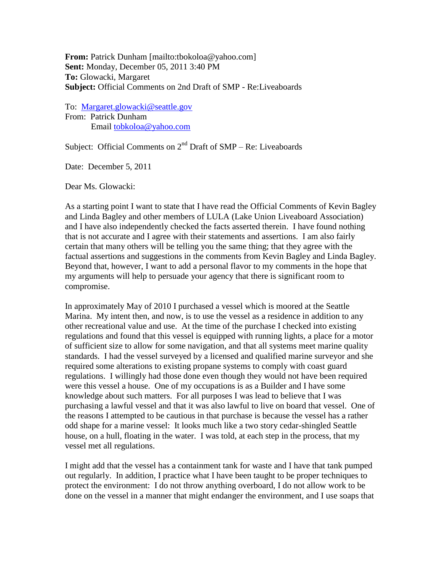**From:** Patrick Dunham [mailto:tbokoloa@yahoo.com] **Sent:** Monday, December 05, 2011 3:40 PM **To:** Glowacki, Margaret **Subject:** Official Comments on 2nd Draft of SMP - Re:Liveaboards

To: [Margaret.glowacki@seattle.gov](mailto:Margaret.glowacki@seattle.gov) From: Patrick Dunham Email [tobkoloa@yahoo.com](mailto:tobkoloa@yahoo.com)

Subject: Official Comments on  $2<sup>nd</sup>$  Draft of SMP – Re: Liveaboards

Date: December 5, 2011

Dear Ms. Glowacki:

As a starting point I want to state that I have read the Official Comments of Kevin Bagley and Linda Bagley and other members of LULA (Lake Union Liveaboard Association) and I have also independently checked the facts asserted therein. I have found nothing that is not accurate and I agree with their statements and assertions. I am also fairly certain that many others will be telling you the same thing; that they agree with the factual assertions and suggestions in the comments from Kevin Bagley and Linda Bagley. Beyond that, however, I want to add a personal flavor to my comments in the hope that my arguments will help to persuade your agency that there is significant room to compromise.

In approximately May of 2010 I purchased a vessel which is moored at the Seattle Marina. My intent then, and now, is to use the vessel as a residence in addition to any other recreational value and use. At the time of the purchase I checked into existing regulations and found that this vessel is equipped with running lights, a place for a motor of sufficient size to allow for some navigation, and that all systems meet marine quality standards. I had the vessel surveyed by a licensed and qualified marine surveyor and she required some alterations to existing propane systems to comply with coast guard regulations. I willingly had those done even though they would not have been required were this vessel a house. One of my occupations is as a Builder and I have some knowledge about such matters. For all purposes I was lead to believe that I was purchasing a lawful vessel and that it was also lawful to live on board that vessel. One of the reasons I attempted to be cautious in that purchase is because the vessel has a rather odd shape for a marine vessel: It looks much like a two story cedar-shingled Seattle house, on a hull, floating in the water. I was told, at each step in the process, that my vessel met all regulations.

I might add that the vessel has a containment tank for waste and I have that tank pumped out regularly. In addition, I practice what I have been taught to be proper techniques to protect the environment: I do not throw anything overboard, I do not allow work to be done on the vessel in a manner that might endanger the environment, and I use soaps that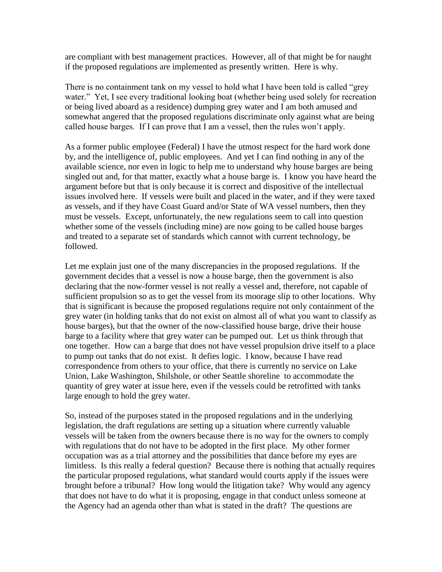are compliant with best management practices. However, all of that might be for naught if the proposed regulations are implemented as presently written. Here is why.

There is no containment tank on my vessel to hold what I have been told is called "grey water." Yet, I see every traditional looking boat (whether being used solely for recreation or being lived aboard as a residence) dumping grey water and I am both amused and somewhat angered that the proposed regulations discriminate only against what are being called house barges. If I can prove that I am a vessel, then the rules won't apply.

As a former public employee (Federal) I have the utmost respect for the hard work done by, and the intelligence of, public employees. And yet I can find nothing in any of the available science, nor even in logic to help me to understand why house barges are being singled out and, for that matter, exactly what a house barge is. I know you have heard the argument before but that is only because it is correct and dispositive of the intellectual issues involved here. If vessels were built and placed in the water, and if they were taxed as vessels, and if they have Coast Guard and/or State of WA vessel numbers, then they must be vessels. Except, unfortunately, the new regulations seem to call into question whether some of the vessels (including mine) are now going to be called house barges and treated to a separate set of standards which cannot with current technology, be followed.

Let me explain just one of the many discrepancies in the proposed regulations. If the government decides that a vessel is now a house barge, then the government is also declaring that the now-former vessel is not really a vessel and, therefore, not capable of sufficient propulsion so as to get the vessel from its moorage slip to other locations. Why that is significant is because the proposed regulations require not only containment of the grey water (in holding tanks that do not exist on almost all of what you want to classify as house barges), but that the owner of the now-classified house barge, drive their house barge to a facility where that grey water can be pumped out. Let us think through that one together. How can a barge that does not have vessel propulsion drive itself to a place to pump out tanks that do not exist. It defies logic. I know, because I have read correspondence from others to your office, that there is currently no service on Lake Union, Lake Washington, Shilshole, or other Seattle shoreline to accommodate the quantity of grey water at issue here, even if the vessels could be retrofitted with tanks large enough to hold the grey water.

So, instead of the purposes stated in the proposed regulations and in the underlying legislation, the draft regulations are setting up a situation where currently valuable vessels will be taken from the owners because there is no way for the owners to comply with regulations that do not have to be adopted in the first place. My other former occupation was as a trial attorney and the possibilities that dance before my eyes are limitless. Is this really a federal question? Because there is nothing that actually requires the particular proposed regulations, what standard would courts apply if the issues were brought before a tribunal? How long would the litigation take? Why would any agency that does not have to do what it is proposing, engage in that conduct unless someone at the Agency had an agenda other than what is stated in the draft? The questions are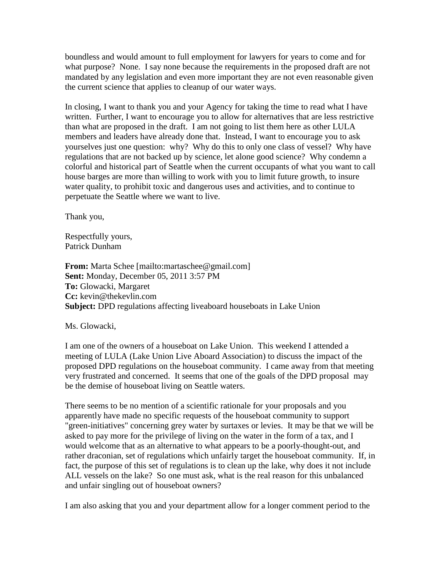boundless and would amount to full employment for lawyers for years to come and for what purpose? None. I say none because the requirements in the proposed draft are not mandated by any legislation and even more important they are not even reasonable given the current science that applies to cleanup of our water ways.

In closing, I want to thank you and your Agency for taking the time to read what I have written. Further, I want to encourage you to allow for alternatives that are less restrictive than what are proposed in the draft. I am not going to list them here as other LULA members and leaders have already done that. Instead, I want to encourage you to ask yourselves just one question: why? Why do this to only one class of vessel? Why have regulations that are not backed up by science, let alone good science? Why condemn a colorful and historical part of Seattle when the current occupants of what you want to call house barges are more than willing to work with you to limit future growth, to insure water quality, to prohibit toxic and dangerous uses and activities, and to continue to perpetuate the Seattle where we want to live.

Thank you,

Respectfully yours, Patrick Dunham

**From:** Marta Schee [mailto:martaschee@gmail.com] **Sent:** Monday, December 05, 2011 3:57 PM **To:** Glowacki, Margaret **Cc:** kevin@thekevlin.com **Subject:** DPD regulations affecting liveaboard houseboats in Lake Union

Ms. Glowacki,

I am one of the owners of a houseboat on Lake Union. This weekend I attended a meeting of LULA (Lake Union Live Aboard Association) to discuss the impact of the proposed DPD regulations on the houseboat community. I came away from that meeting very frustrated and concerned. It seems that one of the goals of the DPD proposal may be the demise of houseboat living on Seattle waters.

There seems to be no mention of a scientific rationale for your proposals and you apparently have made no specific requests of the houseboat community to support "green-initiatives" concerning grey water by surtaxes or levies. It may be that we will be asked to pay more for the privilege of living on the water in the form of a tax, and I would welcome that as an alternative to what appears to be a poorly-thought-out, and rather draconian, set of regulations which unfairly target the houseboat community. If, in fact, the purpose of this set of regulations is to clean up the lake, why does it not include ALL vessels on the lake? So one must ask, what is the real reason for this unbalanced and unfair singling out of houseboat owners?

I am also asking that you and your department allow for a longer comment period to the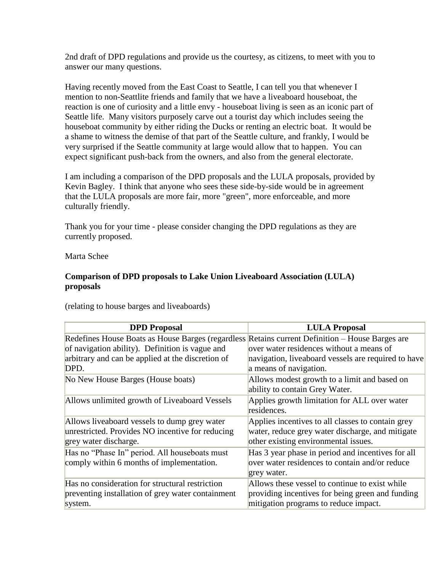2nd draft of DPD regulations and provide us the courtesy, as citizens, to meet with you to answer our many questions.

Having recently moved from the East Coast to Seattle, I can tell you that whenever I mention to non-Seattlite friends and family that we have a liveaboard houseboat, the reaction is one of curiosity and a little envy - houseboat living is seen as an iconic part of Seattle life. Many visitors purposely carve out a tourist day which includes seeing the houseboat community by either riding the Ducks or renting an electric boat. It would be a shame to witness the demise of that part of the Seattle culture, and frankly, I would be very surprised if the Seattle community at large would allow that to happen. You can expect significant push-back from the owners, and also from the general electorate.

I am including a comparison of the DPD proposals and the LULA proposals, provided by Kevin Bagley. I think that anyone who sees these side-by-side would be in agreement that the LULA proposals are more fair, more "green", more enforceable, and more culturally friendly.

Thank you for your time - please consider changing the DPD regulations as they are currently proposed.

Marta Schee

## **Comparison of DPD proposals to Lake Union Liveaboard Association (LULA) proposals**

| <b>LULA Proposal</b>                                                                            |
|-------------------------------------------------------------------------------------------------|
| Redefines House Boats as House Barges (regardless Retains current Definition – House Barges are |
| over water residences without a means of                                                        |
| navigation, live aboard vessels are required to have                                            |
| a means of navigation.                                                                          |
| Allows modest growth to a limit and based on                                                    |
| ability to contain Grey Water.                                                                  |
| Applies growth limitation for ALL over water                                                    |
| residences.                                                                                     |
| Applies incentives to all classes to contain grey                                               |
| water, reduce grey water discharge, and mitigate                                                |
| other existing environmental issues.                                                            |
| Has 3 year phase in period and incentives for all                                               |
| over water residences to contain and/or reduce                                                  |
| grey water.                                                                                     |
| Allows these vessel to continue to exist while                                                  |
| providing incentives for being green and funding                                                |
| mitigation programs to reduce impact.                                                           |
|                                                                                                 |

(relating to house barges and liveaboards)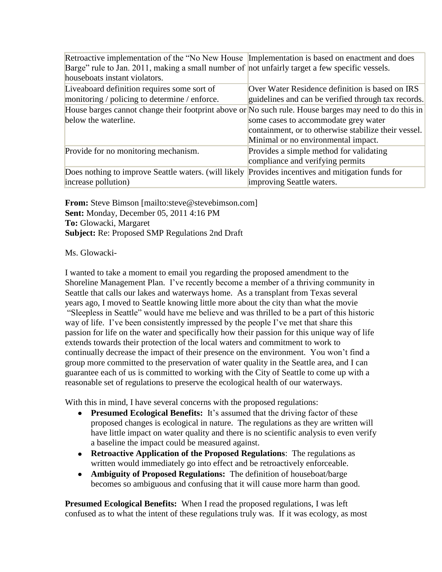Retroactive implementation of the "No New House Implementation is based on enactment and does Barge" rule to Jan. 2011, making a small number of not unfairly target a few specific vessels. houseboats instant violators.

| Liveaboard definition requires some sort of                                                           | Over Water Residence definition is based on IRS      |
|-------------------------------------------------------------------------------------------------------|------------------------------------------------------|
| monitoring / policing to determine / enforce.                                                         | guidelines and can be verified through tax records.  |
| House barges cannot change their footprint above or No such rule. House barges may need to do this in |                                                      |
| below the waterline.                                                                                  | some cases to accommodate grey water                 |
|                                                                                                       | containment, or to otherwise stabilize their vessel. |
|                                                                                                       | Minimal or no environmental impact.                  |
| Provide for no monitoring mechanism.                                                                  | Provides a simple method for validating              |
|                                                                                                       | compliance and verifying permits                     |
| Does nothing to improve Seattle waters. (will likely Provides incentives and mitigation funds for     |                                                      |
| increase pollution)                                                                                   | improving Seattle waters.                            |

**From:** Steve Bimson [mailto:steve@stevebimson.com] **Sent:** Monday, December 05, 2011 4:16 PM **To:** Glowacki, Margaret **Subject:** Re: Proposed SMP Regulations 2nd Draft

#### Ms. Glowacki-

I wanted to take a moment to email you regarding the proposed amendment to the Shoreline Management Plan. I've recently become a member of a thriving community in Seattle that calls our lakes and waterways home. As a transplant from Texas several years ago, I moved to Seattle knowing little more about the city than what the movie "Sleepless in Seattle" would have me believe and was thrilled to be a part of this historic way of life. I've been consistently impressed by the people I've met that share this passion for life on the water and specifically how their passion for this unique way of life extends towards their protection of the local waters and commitment to work to continually decrease the impact of their presence on the environment. You won't find a group more committed to the preservation of water quality in the Seattle area, and I can guarantee each of us is committed to working with the City of Seattle to come up with a reasonable set of regulations to preserve the ecological health of our waterways.

With this in mind, I have several concerns with the proposed regulations:

- **Presumed Ecological Benefits:** It's assumed that the driving factor of these proposed changes is ecological in nature. The regulations as they are written will have little impact on water quality and there is no scientific analysis to even verify a baseline the impact could be measured against.
- **Retroactive Application of the Proposed Regulations**: The regulations as written would immediately go into effect and be retroactively enforceable.
- **Ambiguity of Proposed Regulations:** The definition of houseboat/barge becomes so ambiguous and confusing that it will cause more harm than good.

**Presumed Ecological Benefits:** When I read the proposed regulations, I was left confused as to what the intent of these regulations truly was. If it was ecology, as most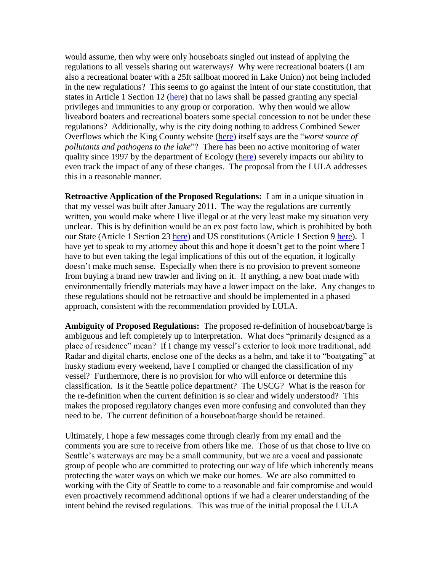would assume, then why were only houseboats singled out instead of applying the regulations to all vessels sharing out waterways? Why were recreational boaters (I am also a recreational boater with a 25ft sailboat moored in Lake Union) not being included in the new regulations? This seems to go against the intent of our state constitution, that states in Article 1 Section 12 [\(here\)](http://www.leg.wa.gov/LawsAndAgencyRules/Pages/constitution.aspx) that no laws shall be passed granting any special privileges and immunities to any group or corporation. Why then would we allow liveabord boaters and recreational boaters some special concession to not be under these regulations? Additionally, why is the city doing nothing to address Combined Sewer Overflows which the King County website [\(here\)](http://green.kingcounty.gov/lakes/LakeUnion.aspx) itself says are the "*worst source of pollutants and pathogens to the lake*"? There has been no active monitoring of water quality since 1997 by the department of Ecology [\(here\)](http://www.ecy.wa.gov/programs/eap/lakes/wq/index.html) severely impacts our ability to even track the impact of any of these changes. The proposal from the LULA addresses this in a reasonable manner.

**Retroactive Application of the Proposed Regulations:** I am in a unique situation in that my vessel was built after January 2011. The way the regulations are currently written, you would make where I live illegal or at the very least make my situation very unclear. This is by definition would be an ex post facto law, which is prohibited by both our State (Article 1 Section 23 [here\)](http://www.leg.wa.gov/LawsAndAgencyRules/Pages/constitution.aspx) and US constitutions (Article 1 Section 9 [here\)](http://archives.gov/exhibits/charters/constitution_transcript.html). I have yet to speak to my attorney about this and hope it doesn't get to the point where I have to but even taking the legal implications of this out of the equation, it logically doesn't make much sense. Especially when there is no provision to prevent someone from buying a brand new trawler and living on it. If anything, a new boat made with environmentally friendly materials may have a lower impact on the lake. Any changes to these regulations should not be retroactive and should be implemented in a phased approach, consistent with the recommendation provided by LULA.

**Ambiguity of Proposed Regulations:** The proposed re-definition of houseboat/barge is ambiguous and left completely up to interpretation. What does "primarily designed as a place of residence" mean? If I change my vessel's exterior to look more traditional, add Radar and digital charts, enclose one of the decks as a helm, and take it to "boatgating" at husky stadium every weekend, have I complied or changed the classification of my vessel? Furthermore, there is no provision for who will enforce or determine this classification. Is it the Seattle police department? The USCG? What is the reason for the re-definition when the current definition is so clear and widely understood? This makes the proposed regulatory changes even more confusing and convoluted than they need to be. The current definition of a houseboat/barge should be retained.

Ultimately, I hope a few messages come through clearly from my email and the comments you are sure to receive from others like me. Those of us that chose to live on Seattle's waterways are may be a small community, but we are a vocal and passionate group of people who are committed to protecting our way of life which inherently means protecting the water ways on which we make our homes. We are also committed to working with the City of Seattle to come to a reasonable and fair compromise and would even proactively recommend additional options if we had a clearer understanding of the intent behind the revised regulations. This was true of the initial proposal the LULA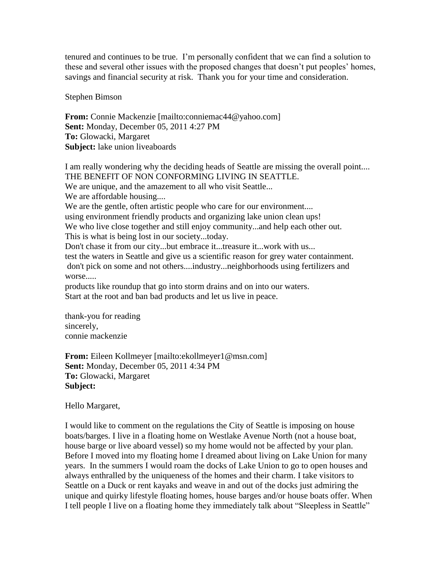tenured and continues to be true. I'm personally confident that we can find a solution to these and several other issues with the proposed changes that doesn't put peoples' homes, savings and financial security at risk. Thank you for your time and consideration.

Stephen Bimson

**From:** Connie Mackenzie [mailto:conniemac44@yahoo.com] **Sent:** Monday, December 05, 2011 4:27 PM **To:** Glowacki, Margaret **Subject:** lake union liveaboards

I am really wondering why the deciding heads of Seattle are missing the overall point.... THE BENEFIT OF NON CONFORMING LIVING IN SEATTLE. We are unique, and the amazement to all who visit Seattle... We are affordable housing.... We are the gentle, often artistic people who care for our environment.... using environment friendly products and organizing lake union clean ups! We who live close together and still enjoy community...and help each other out. This is what is being lost in our society...today. Don't chase it from our city...but embrace it...treasure it...work with us... test the waters in Seattle and give us a scientific reason for grey water containment. don't pick on some and not others....industry...neighborhoods using fertilizers and worse..... products like roundup that go into storm drains and on into our waters. Start at the root and ban bad products and let us live in peace.

thank-you for reading sincerely, connie mackenzie

**From:** Eileen Kollmeyer [mailto:ekollmeyer1@msn.com] **Sent:** Monday, December 05, 2011 4:34 PM **To:** Glowacki, Margaret **Subject:**

Hello Margaret,

I would like to comment on the regulations the City of Seattle is imposing on house boats/barges. I live in a floating home on Westlake Avenue North (not a house boat, house barge or live aboard vessel) so my home would not be affected by your plan. Before I moved into my floating home I dreamed about living on Lake Union for many years. In the summers I would roam the docks of Lake Union to go to open houses and always enthralled by the uniqueness of the homes and their charm. I take visitors to Seattle on a Duck or rent kayaks and weave in and out of the docks just admiring the unique and quirky lifestyle floating homes, house barges and/or house boats offer. When I tell people I live on a floating home they immediately talk about "Sleepless in Seattle"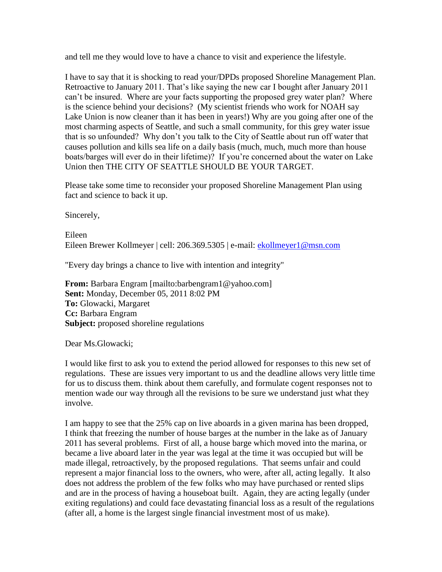and tell me they would love to have a chance to visit and experience the lifestyle.

I have to say that it is shocking to read your/DPDs proposed Shoreline Management Plan. Retroactive to January 2011. That's like saying the new car I bought after January 2011 can't be insured. Where are your facts supporting the proposed grey water plan? Where is the science behind your decisions? (My scientist friends who work for NOAH say Lake Union is now cleaner than it has been in years!) Why are you going after one of the most charming aspects of Seattle, and such a small community, for this grey water issue that is so unfounded? Why don't you talk to the City of Seattle about run off water that causes pollution and kills sea life on a daily basis (much, much, much more than house boats/barges will ever do in their lifetime)? If you're concerned about the water on Lake Union then THE CITY OF SEATTLE SHOULD BE YOUR TARGET.

Please take some time to reconsider your proposed Shoreline Management Plan using fact and science to back it up.

Sincerely,

Eileen Eileen Brewer Kollmeyer | cell: 206.369.5305 | e-mail: [ekollmeyer1@msn.com](mailto:ekollmeyer1@msn.com)

"Every day brings a chance to live with intention and integrity"

**From:** Barbara Engram [mailto:barbengram1@yahoo.com] **Sent:** Monday, December 05, 2011 8:02 PM **To:** Glowacki, Margaret **Cc:** Barbara Engram **Subject:** proposed shoreline regulations

Dear Ms.Glowacki;

I would like first to ask you to extend the period allowed for responses to this new set of regulations. These are issues very important to us and the deadline allows very little time for us to discuss them. think about them carefully, and formulate cogent responses not to mention wade our way through all the revisions to be sure we understand just what they involve.

I am happy to see that the 25% cap on live aboards in a given marina has been dropped, I think that freezing the number of house barges at the number in the lake as of January 2011 has several problems. First of all, a house barge which moved into the marina, or became a live aboard later in the year was legal at the time it was occupied but will be made illegal, retroactively, by the proposed regulations. That seems unfair and could represent a major financial loss to the owners, who were, after all, acting legally. It also does not address the problem of the few folks who may have purchased or rented slips and are in the process of having a houseboat built. Again, they are acting legally (under exiting regulations) and could face devastating financial loss as a result of the regulations (after all, a home is the largest single financial investment most of us make).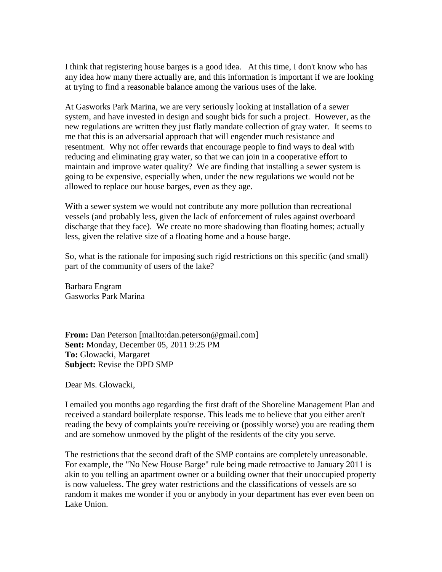I think that registering house barges is a good idea. At this time, I don't know who has any idea how many there actually are, and this information is important if we are looking at trying to find a reasonable balance among the various uses of the lake.

At Gasworks Park Marina, we are very seriously looking at installation of a sewer system, and have invested in design and sought bids for such a project. However, as the new regulations are written they just flatly mandate collection of gray water. It seems to me that this is an adversarial approach that will engender much resistance and resentment. Why not offer rewards that encourage people to find ways to deal with reducing and eliminating gray water, so that we can join in a cooperative effort to maintain and improve water quality? We are finding that installing a sewer system is going to be expensive, especially when, under the new regulations we would not be allowed to replace our house barges, even as they age.

With a sewer system we would not contribute any more pollution than recreational vessels (and probably less, given the lack of enforcement of rules against overboard discharge that they face). We create no more shadowing than floating homes; actually less, given the relative size of a floating home and a house barge.

So, what is the rationale for imposing such rigid restrictions on this specific (and small) part of the community of users of the lake?

Barbara Engram Gasworks Park Marina

**From:** Dan Peterson [mailto:dan.peterson@gmail.com] **Sent:** Monday, December 05, 2011 9:25 PM **To:** Glowacki, Margaret **Subject:** Revise the DPD SMP

Dear Ms. Glowacki,

I emailed you months ago regarding the first draft of the Shoreline Management Plan and received a standard boilerplate response. This leads me to believe that you either aren't reading the bevy of complaints you're receiving or (possibly worse) you are reading them and are somehow unmoved by the plight of the residents of the city you serve.

The restrictions that the second draft of the SMP contains are completely unreasonable. For example, the "No New House Barge" rule being made retroactive to January 2011 is akin to you telling an apartment owner or a building owner that their unoccupied property is now valueless. The grey water restrictions and the classifications of vessels are so random it makes me wonder if you or anybody in your department has ever even been on Lake Union.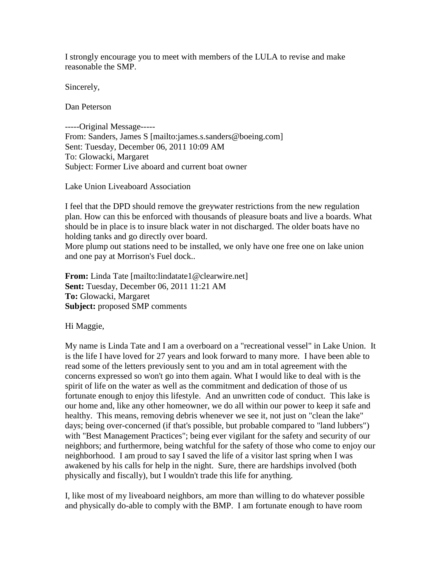I strongly encourage you to meet with members of the LULA to revise and make reasonable the SMP.

Sincerely,

Dan Peterson

-----Original Message----- From: Sanders, James S [mailto:james.s.sanders@boeing.com] Sent: Tuesday, December 06, 2011 10:09 AM To: Glowacki, Margaret Subject: Former Live aboard and current boat owner

Lake Union Liveaboard Association

I feel that the DPD should remove the greywater restrictions from the new regulation plan. How can this be enforced with thousands of pleasure boats and live a boards. What should be in place is to insure black water in not discharged. The older boats have no holding tanks and go directly over board.

More plump out stations need to be installed, we only have one free one on lake union and one pay at Morrison's Fuel dock..

**From:** Linda Tate [mailto:lindatate1@clearwire.net] **Sent:** Tuesday, December 06, 2011 11:21 AM **To:** Glowacki, Margaret **Subject:** proposed SMP comments

Hi Maggie,

My name is Linda Tate and I am a overboard on a "recreational vessel" in Lake Union. It is the life I have loved for 27 years and look forward to many more. I have been able to read some of the letters previously sent to you and am in total agreement with the concerns expressed so won't go into them again. What I would like to deal with is the spirit of life on the water as well as the commitment and dedication of those of us fortunate enough to enjoy this lifestyle. And an unwritten code of conduct. This lake is our home and, like any other homeowner, we do all within our power to keep it safe and healthy. This means, removing debris whenever we see it, not just on "clean the lake" days; being over-concerned (if that's possible, but probable compared to "land lubbers") with "Best Management Practices"; being ever vigilant for the safety and security of our neighbors; and furthermore, being watchful for the safety of those who come to enjoy our neighborhood. I am proud to say I saved the life of a visitor last spring when I was awakened by his calls for help in the night. Sure, there are hardships involved (both physically and fiscally), but I wouldn't trade this life for anything.

I, like most of my liveaboard neighbors, am more than willing to do whatever possible and physically do-able to comply with the BMP. I am fortunate enough to have room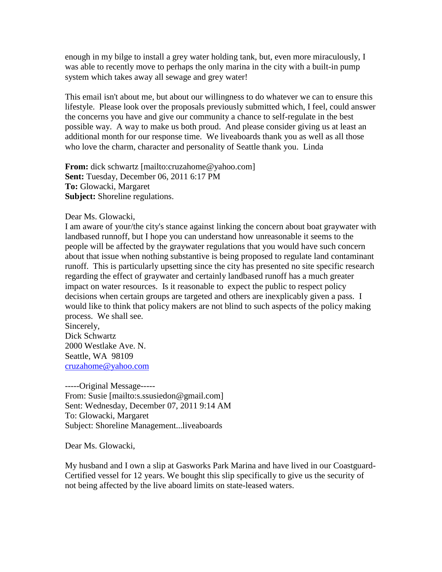enough in my bilge to install a grey water holding tank, but, even more miraculously, I was able to recently move to perhaps the only marina in the city with a built-in pump system which takes away all sewage and grey water!

This email isn't about me, but about our willingness to do whatever we can to ensure this lifestyle. Please look over the proposals previously submitted which, I feel, could answer the concerns you have and give our community a chance to self-regulate in the best possible way. A way to make us both proud. And please consider giving us at least an additional month for our response time. We liveaboards thank you as well as all those who love the charm, character and personality of Seattle thank you. Linda

**From:** dick schwartz [mailto:cruzahome@yahoo.com] **Sent:** Tuesday, December 06, 2011 6:17 PM **To:** Glowacki, Margaret **Subject:** Shoreline regulations.

#### Dear Ms. Glowacki,

I am aware of your/the city's stance against linking the concern about boat graywater with landbased runnoff, but I hope you can understand how unreasonable it seems to the people will be affected by the graywater regulations that you would have such concern about that issue when nothing substantive is being proposed to regulate land contaminant runoff. This is particularly upsetting since the city has presented no site specific research regarding the effect of graywater and certainly landbased runoff has a much greater impact on water resources. Is it reasonable to expect the public to respect policy decisions when certain groups are targeted and others are inexplicably given a pass. I would like to think that policy makers are not blind to such aspects of the policy making process. We shall see.

Sincerely, Dick Schwartz 2000 Westlake Ave. N. Seattle, WA 98109 [cruzahome@yahoo.com](mailto:cruzahome@yahoo.com)

-----Original Message----- From: Susie [mailto:s.ssusiedon@gmail.com] Sent: Wednesday, December 07, 2011 9:14 AM To: Glowacki, Margaret Subject: Shoreline Management...liveaboards

Dear Ms. Glowacki,

My husband and I own a slip at Gasworks Park Marina and have lived in our Coastguard-Certified vessel for 12 years. We bought this slip specifically to give us the security of not being affected by the live aboard limits on state-leased waters.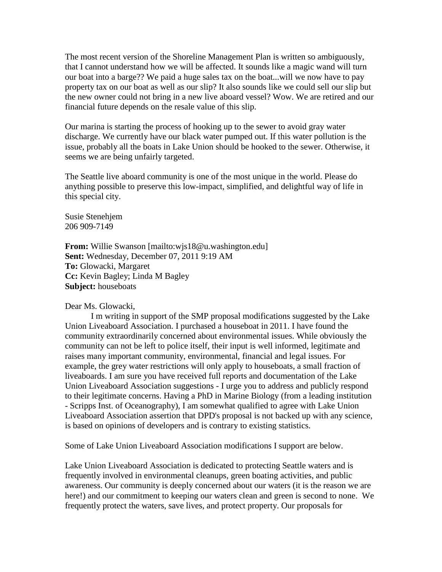The most recent version of the Shoreline Management Plan is written so ambiguously, that I cannot understand how we will be affected. It sounds like a magic wand will turn our boat into a barge?? We paid a huge sales tax on the boat...will we now have to pay property tax on our boat as well as our slip? It also sounds like we could sell our slip but the new owner could not bring in a new live aboard vessel? Wow. We are retired and our financial future depends on the resale value of this slip.

Our marina is starting the process of hooking up to the sewer to avoid gray water discharge. We currently have our black water pumped out. If this water pollution is the issue, probably all the boats in Lake Union should be hooked to the sewer. Otherwise, it seems we are being unfairly targeted.

The Seattle live aboard community is one of the most unique in the world. Please do anything possible to preserve this low-impact, simplified, and delightful way of life in this special city.

Susie Stenehjem 206 909-7149

**From:** Willie Swanson [mailto:wjs18@u.washington.edu] **Sent:** Wednesday, December 07, 2011 9:19 AM **To:** Glowacki, Margaret **Cc:** Kevin Bagley; Linda M Bagley **Subject:** houseboats

Dear Ms. Glowacki,

I m writing in support of the SMP proposal modifications suggested by the Lake Union Liveaboard Association. I purchased a houseboat in 2011. I have found the community extraordinarily concerned about environmental issues. While obviously the community can not be left to police itself, their input is well informed, legitimate and raises many important community, environmental, financial and legal issues. For example, the grey water restrictions will only apply to houseboats, a small fraction of liveaboards. I am sure you have received full reports and documentation of the Lake Union Liveaboard Association suggestions - I urge you to address and publicly respond to their legitimate concerns. Having a PhD in Marine Biology (from a leading institution - Scripps Inst. of Oceanography), I am somewhat qualified to agree with Lake Union Liveaboard Association assertion that DPD's proposal is not backed up with any science, is based on opinions of developers and is contrary to existing statistics.

Some of Lake Union Liveaboard Association modifications I support are below.

Lake Union Liveaboard Association is dedicated to protecting Seattle waters and is frequently involved in environmental cleanups, green boating activities, and public awareness. Our community is deeply concerned about our waters (it is the reason we are here!) and our commitment to keeping our waters clean and green is second to none. We frequently protect the waters, save lives, and protect property. Our proposals for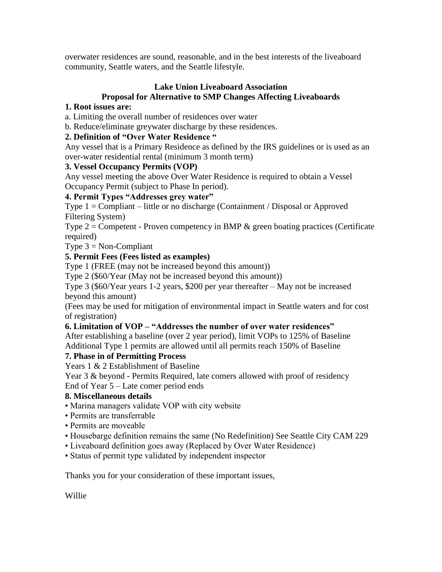overwater residences are sound, reasonable, and in the best interests of the liveaboard community, Seattle waters, and the Seattle lifestyle.

## **Lake Union Liveaboard Association Proposal for Alternative to SMP Changes Affecting Liveaboards**

# **1. Root issues are:**

a. Limiting the overall number of residences over water

b. Reduce/eliminate greywater discharge by these residences.

# **2. Definition of "Over Water Residence "**

Any vessel that is a Primary Residence as defined by the IRS guidelines or is used as an over-water residential rental (minimum 3 month term)

# **3. Vessel Occupancy Permits (VOP)**

Any vessel meeting the above Over Water Residence is required to obtain a Vessel Occupancy Permit (subject to Phase In period).

# **4. Permit Types "Addresses grey water"**

Type 1 = Compliant – little or no discharge (Containment / Disposal or Approved Filtering System)

Type  $2 =$  Competent - Proven competency in BMP  $\&$  green boating practices (Certificate required)

Type  $3 = \text{Non-Compliant}$ 

# **5. Permit Fees (Fees listed as examples)**

Type 1 (FREE (may not be increased beyond this amount))

Type 2 (\$60/Year (May not be increased beyond this amount))

Type 3 (\$60/Year years 1-2 years, \$200 per year thereafter – May not be increased beyond this amount)

(Fees may be used for mitigation of environmental impact in Seattle waters and for cost of registration)

## **6. Limitation of VOP – "Addresses the number of over water residences"**

After establishing a baseline (over 2 year period), limit VOPs to 125% of Baseline Additional Type 1 permits are allowed until all permits reach 150% of Baseline

# **7. Phase in of Permitting Process**

Years 1 & 2 Establishment of Baseline

Year 3 & beyond - Permits Required, late comers allowed with proof of residency End of Year 5 – Late comer period ends

## **8. Miscellaneous details**

- Marina managers validate VOP with city website
- Permits are transferrable
- Permits are moveable
- Housebarge definition remains the same (No Redefinition) See Seattle City CAM 229
- Liveaboard definition goes away (Replaced by Over Water Residence)
- Status of permit type validated by independent inspector

Thanks you for your consideration of these important issues,

Willie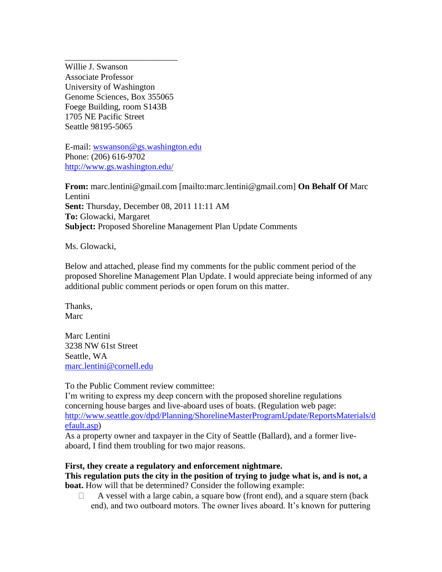Willie J. Swanson Associate Professor University of Washington Genome Sciences, Box 355065 Foege Building, room S143B 1705 NE Pacific Street Seattle 98195-5065

\_\_\_\_\_\_\_\_\_\_\_\_\_\_\_\_\_\_\_\_\_\_\_\_\_\_

E-mail: [wswanson@gs.washington.edu](mailto:wswanson@gs.washington.edu) Phone: (206) 616-9702 <http://www.gs.washington.edu/>

**From:** marc.lentini@gmail.com [mailto:marc.lentini@gmail.com] **On Behalf Of** Marc Lentini **Sent:** Thursday, December 08, 2011 11:11 AM **To:** Glowacki, Margaret **Subject:** Proposed Shoreline Management Plan Update Comments

Ms. Glowacki,

Below and attached, please find my comments for the public comment period of the proposed Shoreline Management Plan Update. I would appreciate being informed of any additional public comment periods or open forum on this matter.

Thanks, Marc

Marc Lentini 3238 NW 61st Street Seattle, WA [marc.lentini@cornell.edu](mailto:marc.lentini@cornell.edu)

To the Public Comment review committee:

I'm writing to express my deep concern with the proposed shoreline regulations concerning house barges and live-aboard uses of boats. (Regulation web page: [http://www.seattle.gov/dpd/Planning/ShorelineMasterProgramUpdate/ReportsMaterials/d](http://www.seattle.gov/dpd/Planning/ShorelineMasterProgramUpdate/ReportsMaterials/default.asp) [efault.asp\)](http://www.seattle.gov/dpd/Planning/ShorelineMasterProgramUpdate/ReportsMaterials/default.asp)

As a property owner and taxpayer in the City of Seattle (Ballard), and a former liveaboard, I find them troubling for two major reasons.

#### **First, they create a regulatory and enforcement nightmare.**

**This regulation puts the city in the position of trying to judge what is, and is not, a boat.** How will that be determined? Consider the following example:

 $\Box$  A vessel with a large cabin, a square bow (front end), and a square stern (back end), and two outboard motors. The owner lives aboard. It's known for puttering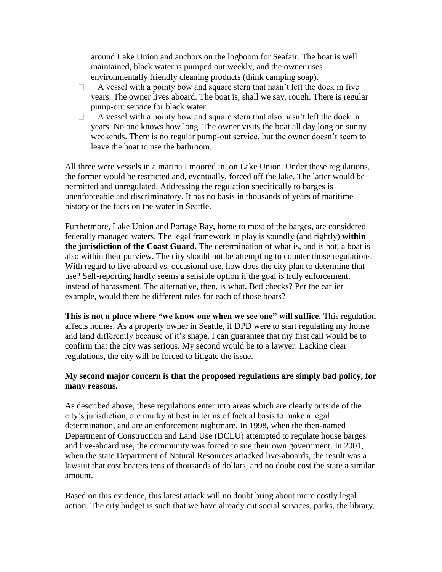around Lake Union and anchors on the logboom for Seafair. The boat is well maintained, black water is pumped out weekly, and the owner uses environmentally friendly cleaning products (think camping soap).

- $\Box$  A vessel with a pointy bow and square stern that hasn't left the dock in five years. The owner lives aboard. The boat is, shall we say, rough. There is regular pump-out service for black water.
- $\Box$  A vessel with a pointy bow and square stern that also hasn't left the dock in years. No one knows how long. The owner visits the boat all day long on sunny weekends. There is no regular pump-out service, but the owner doesn't seem to leave the boat to use the bathroom.

All three were vessels in a marina I moored in, on Lake Union. Under these regulations, the former would be restricted and, eventually, forced off the lake. The latter would be permitted and unregulated. Addressing the regulation specifically to barges is unenforceable and discriminatory. It has no basis in thousands of years of maritime history or the facts on the water in Seattle.

Furthermore, Lake Union and Portage Bay, home to most of the barges, are considered federally managed waters. The legal framework in play is soundly (and rightly) **within the jurisdiction of the Coast Guard.** The determination of what is, and is not, a boat is also within their purview. The city should not be attempting to counter those regulations. With regard to live-aboard vs. occasional use, how does the city plan to determine that use? Self-reporting hardly seems a sensible option if the goal is truly enforcement, instead of harassment. The alternative, then, is what. Bed checks? Per the earlier example, would there be different rules for each of those boats?

**This is not a place where "we know one when we see one" will suffice.** This regulation affects homes. As a property owner in Seattle, if DPD were to start regulating my house and land differently because of it's shape, I can guarantee that my first call would be to confirm that the city was serious. My second would be to a lawyer. Lacking clear regulations, the city will be forced to litigate the issue.

### **My second major concern is that the proposed regulations are simply bad policy, for many reasons.**

As described above, these regulations enter into areas which are clearly outside of the city's jurisdiction, are murky at best in terms of factual basis to make a legal determination, and are an enforcement nightmare. In 1998, when the then-named Department of Construction and Land Use (DCLU) attempted to regulate house barges and live-aboard use, the community was forced to sue their own government. In 2001, when the state Department of Natural Resources attacked live-aboards, the result was a lawsuit that cost boaters tens of thousands of dollars, and no doubt cost the state a similar amount.

Based on this evidence, this latest attack will no doubt bring about more costly legal action. The city budget is such that we have already cut social services, parks, the library,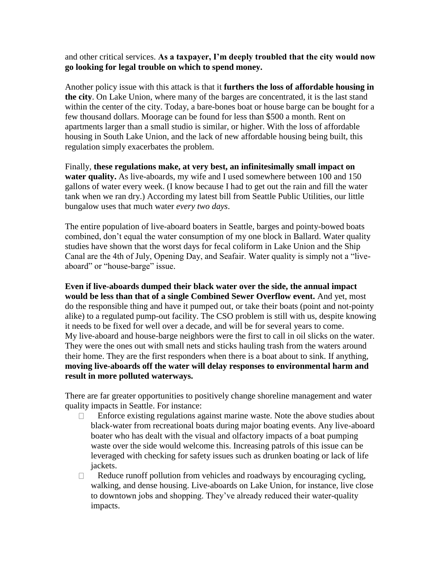and other critical services. **As a taxpayer, I'm deeply troubled that the city would now go looking for legal trouble on which to spend money.**

Another policy issue with this attack is that it **furthers the loss of affordable housing in the city**. On Lake Union, where many of the barges are concentrated, it is the last stand within the center of the city. Today, a bare-bones boat or house barge can be bought for a few thousand dollars. Moorage can be found for less than \$500 a month. Rent on apartments larger than a small studio is similar, or higher. With the loss of affordable housing in South Lake Union, and the lack of new affordable housing being built, this regulation simply exacerbates the problem.

Finally, **these regulations make, at very best, an infinitesimally small impact on water quality.** As live-aboards, my wife and I used somewhere between 100 and 150 gallons of water every week. (I know because I had to get out the rain and fill the water tank when we ran dry.) According my latest bill from Seattle Public Utilities, our little bungalow uses that much water *every two days*.

The entire population of live-aboard boaters in Seattle, barges and pointy-bowed boats combined, don't equal the water consumption of my one block in Ballard. Water quality studies have shown that the worst days for fecal coliform in Lake Union and the Ship Canal are the 4th of July, Opening Day, and Seafair. Water quality is simply not a "liveaboard" or "house-barge" issue.

**Even if live-aboards dumped their black water over the side, the annual impact would be less than that of a single Combined Sewer Overflow event.** And yet, most do the responsible thing and have it pumped out, or take their boats (point and not-pointy alike) to a regulated pump-out facility. The CSO problem is still with us, despite knowing it needs to be fixed for well over a decade, and will be for several years to come. My live-aboard and house-barge neighbors were the first to call in oil slicks on the water. They were the ones out with small nets and sticks hauling trash from the waters around their home. They are the first responders when there is a boat about to sink. If anything, **moving live-aboards off the water will delay responses to environmental harm and result in more polluted waterways.**

There are far greater opportunities to positively change shoreline management and water quality impacts in Seattle. For instance:

- $\Box$  Enforce existing regulations against marine waste. Note the above studies about black-water from recreational boats during major boating events. Any live-aboard boater who has dealt with the visual and olfactory impacts of a boat pumping waste over the side would welcome this. Increasing patrols of this issue can be leveraged with checking for safety issues such as drunken boating or lack of life jackets.
- $\Box$  Reduce runoff pollution from vehicles and roadways by encouraging cycling, walking, and dense housing. Live-aboards on Lake Union, for instance, live close to downtown jobs and shopping. They've already reduced their water-quality impacts.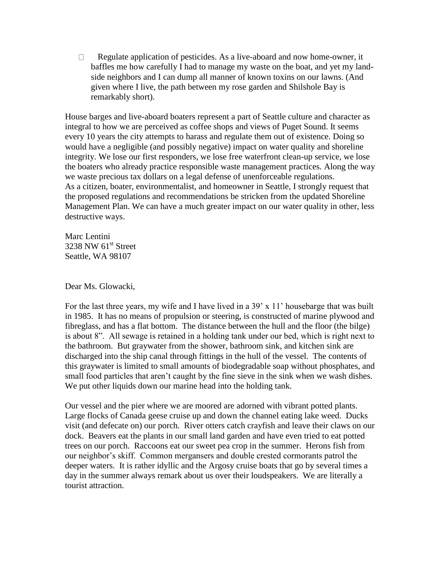□ Regulate application of pesticides. As a live-aboard and now home-owner, it baffles me how carefully I had to manage my waste on the boat, and yet my landside neighbors and I can dump all manner of known toxins on our lawns. (And given where I live, the path between my rose garden and Shilshole Bay is remarkably short).

House barges and live-aboard boaters represent a part of Seattle culture and character as integral to how we are perceived as coffee shops and views of Puget Sound. It seems every 10 years the city attempts to harass and regulate them out of existence. Doing so would have a negligible (and possibly negative) impact on water quality and shoreline integrity. We lose our first responders, we lose free waterfront clean-up service, we lose the boaters who already practice responsible waste management practices. Along the way we waste precious tax dollars on a legal defense of unenforceable regulations. As a citizen, boater, environmentalist, and homeowner in Seattle, I strongly request that the proposed regulations and recommendations be stricken from the updated Shoreline Management Plan. We can have a much greater impact on our water quality in other, less destructive ways.

Marc Lentini 3238 NW  $61<sup>st</sup>$  Street Seattle, WA 98107

Dear Ms. Glowacki,

For the last three years, my wife and I have lived in a 39' x 11' housebarge that was built in 1985. It has no means of propulsion or steering, is constructed of marine plywood and fibreglass, and has a flat bottom. The distance between the hull and the floor (the bilge) is about 8". All sewage is retained in a holding tank under our bed, which is right next to the bathroom. But graywater from the shower, bathroom sink, and kitchen sink are discharged into the ship canal through fittings in the hull of the vessel. The contents of this graywater is limited to small amounts of biodegradable soap without phosphates, and small food particles that aren't caught by the fine sieve in the sink when we wash dishes. We put other liquids down our marine head into the holding tank.

Our vessel and the pier where we are moored are adorned with vibrant potted plants. Large flocks of Canada geese cruise up and down the channel eating lake weed. Ducks visit (and defecate on) our porch. River otters catch crayfish and leave their claws on our dock. Beavers eat the plants in our small land garden and have even tried to eat potted trees on our porch. Raccoons eat our sweet pea crop in the summer. Herons fish from our neighbor's skiff. Common mergansers and double crested cormorants patrol the deeper waters. It is rather idyllic and the Argosy cruise boats that go by several times a day in the summer always remark about us over their loudspeakers. We are literally a tourist attraction.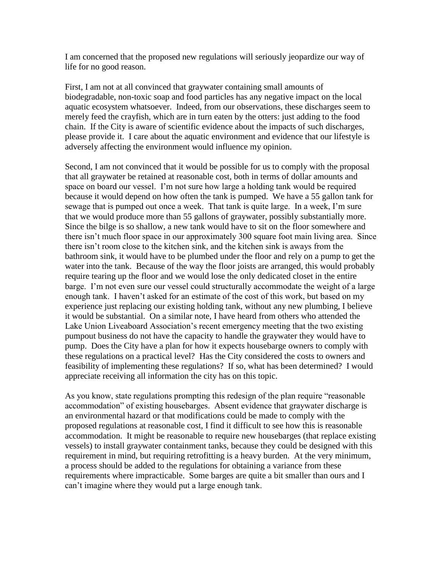I am concerned that the proposed new regulations will seriously jeopardize our way of life for no good reason.

First, I am not at all convinced that graywater containing small amounts of biodegradable, non-toxic soap and food particles has any negative impact on the local aquatic ecosystem whatsoever. Indeed, from our observations, these discharges seem to merely feed the crayfish, which are in turn eaten by the otters: just adding to the food chain. If the City is aware of scientific evidence about the impacts of such discharges, please provide it. I care about the aquatic environment and evidence that our lifestyle is adversely affecting the environment would influence my opinion.

Second, I am not convinced that it would be possible for us to comply with the proposal that all graywater be retained at reasonable cost, both in terms of dollar amounts and space on board our vessel. I'm not sure how large a holding tank would be required because it would depend on how often the tank is pumped. We have a 55 gallon tank for sewage that is pumped out once a week. That tank is quite large. In a week, I'm sure that we would produce more than 55 gallons of graywater, possibly substantially more. Since the bilge is so shallow, a new tank would have to sit on the floor somewhere and there isn't much floor space in our approximately 300 square foot main living area. Since there isn't room close to the kitchen sink, and the kitchen sink is aways from the bathroom sink, it would have to be plumbed under the floor and rely on a pump to get the water into the tank. Because of the way the floor joists are arranged, this would probably require tearing up the floor and we would lose the only dedicated closet in the entire barge. I'm not even sure our vessel could structurally accommodate the weight of a large enough tank. I haven't asked for an estimate of the cost of this work, but based on my experience just replacing our existing holding tank, without any new plumbing, I believe it would be substantial. On a similar note, I have heard from others who attended the Lake Union Liveaboard Association's recent emergency meeting that the two existing pumpout business do not have the capacity to handle the graywater they would have to pump. Does the City have a plan for how it expects housebarge owners to comply with these regulations on a practical level? Has the City considered the costs to owners and feasibility of implementing these regulations? If so, what has been determined? I would appreciate receiving all information the city has on this topic.

As you know, state regulations prompting this redesign of the plan require "reasonable accommodation" of existing housebarges. Absent evidence that graywater discharge is an environmental hazard or that modifications could be made to comply with the proposed regulations at reasonable cost, I find it difficult to see how this is reasonable accommodation. It might be reasonable to require new housebarges (that replace existing vessels) to install graywater containment tanks, because they could be designed with this requirement in mind, but requiring retrofitting is a heavy burden. At the very minimum, a process should be added to the regulations for obtaining a variance from these requirements where impracticable. Some barges are quite a bit smaller than ours and I can't imagine where they would put a large enough tank.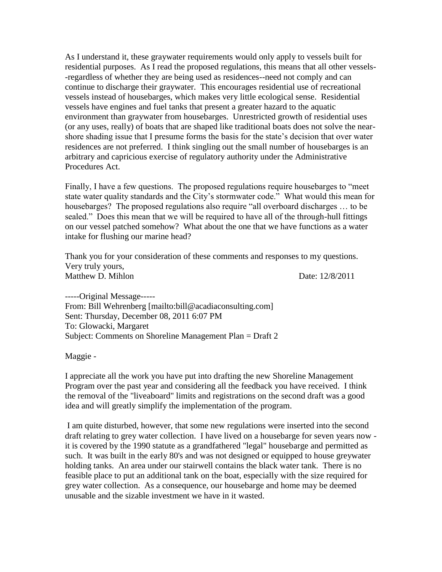As I understand it, these graywater requirements would only apply to vessels built for residential purposes. As I read the proposed regulations, this means that all other vessels- -regardless of whether they are being used as residences--need not comply and can continue to discharge their graywater. This encourages residential use of recreational vessels instead of housebarges, which makes very little ecological sense. Residential vessels have engines and fuel tanks that present a greater hazard to the aquatic environment than graywater from housebarges. Unrestricted growth of residential uses (or any uses, really) of boats that are shaped like traditional boats does not solve the nearshore shading issue that I presume forms the basis for the state's decision that over water residences are not preferred. I think singling out the small number of housebarges is an arbitrary and capricious exercise of regulatory authority under the Administrative Procedures Act.

Finally, I have a few questions. The proposed regulations require housebarges to "meet state water quality standards and the City's stormwater code." What would this mean for housebarges? The proposed regulations also require "all overboard discharges … to be sealed." Does this mean that we will be required to have all of the through-hull fittings on our vessel patched somehow? What about the one that we have functions as a water intake for flushing our marine head?

Thank you for your consideration of these comments and responses to my questions. Very truly yours, Matthew D. Mihlon **Date:** 12/8/2011

-----Original Message----- From: Bill Wehrenberg [mailto:bill@acadiaconsulting.com] Sent: Thursday, December 08, 2011 6:07 PM To: Glowacki, Margaret Subject: Comments on Shoreline Management Plan = Draft 2

Maggie -

I appreciate all the work you have put into drafting the new Shoreline Management Program over the past year and considering all the feedback you have received. I think the removal of the "liveaboard" limits and registrations on the second draft was a good idea and will greatly simplify the implementation of the program.

I am quite disturbed, however, that some new regulations were inserted into the second draft relating to grey water collection. I have lived on a housebarge for seven years now it is covered by the 1990 statute as a grandfathered "legal" housebarge and permitted as such. It was built in the early 80's and was not designed or equipped to house greywater holding tanks. An area under our stairwell contains the black water tank. There is no feasible place to put an additional tank on the boat, especially with the size required for grey water collection. As a consequence, our housebarge and home may be deemed unusable and the sizable investment we have in it wasted.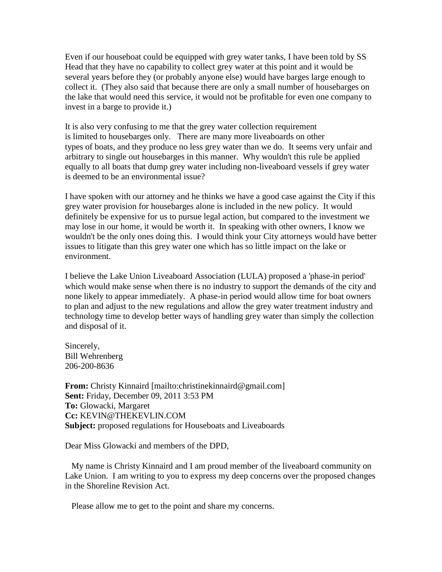Even if our houseboat could be equipped with grey water tanks, I have been told by SS Head that they have no capability to collect grey water at this point and it would be several years before they (or probably anyone else) would have barges large enough to collect it. (They also said that because there are only a small number of housebarges on the lake that would need this service, it would not be profitable for even one company to invest in a barge to provide it.)

It is also very confusing to me that the grey water collection requirement is limited to housebarges only. There are many more liveaboards on other types of boats, and they produce no less grey water than we do. It seems very unfair and arbitrary to single out housebarges in this manner. Why wouldn't this rule be applied equally to all boats that dump grey water including non-liveaboard vessels if grey water is deemed to be an environmental issue?

I have spoken with our attorney and he thinks we have a good case against the City if this grey water provision for housebarges alone is included in the new policy. It would definitely be expensive for us to pursue legal action, but compared to the investment we may lose in our home, it would be worth it. In speaking with other owners, I know we wouldn't be the only ones doing this. I would think your City attorneys would have better issues to litigate than this grey water one which has so little impact on the lake or environment.

I believe the Lake Union Liveaboard Association (LULA) proposed a 'phase-in period' which would make sense when there is no industry to support the demands of the city and none likely to appear immediately. A phase-in period would allow time for boat owners to plan and adjust to the new regulations and allow the grey water treatment industry and technology time to develop better ways of handling grey water than simply the collection and disposal of it.

Sincerely, Bill Wehrenberg 206-200-8636

**From:** Christy Kinnaird [mailto:christinekinnaird@gmail.com] **Sent:** Friday, December 09, 2011 3:53 PM **To:** Glowacki, Margaret **Cc:** KEVIN@THEKEVLIN.COM **Subject:** proposed regulations for Houseboats and Liveaboards

Dear Miss Glowacki and members of the DPD,

 My name is Christy Kinnaird and I am proud member of the liveaboard community on Lake Union. I am writing to you to express my deep concerns over the proposed changes in the Shoreline Revision Act.

Please allow me to get to the point and share my concerns.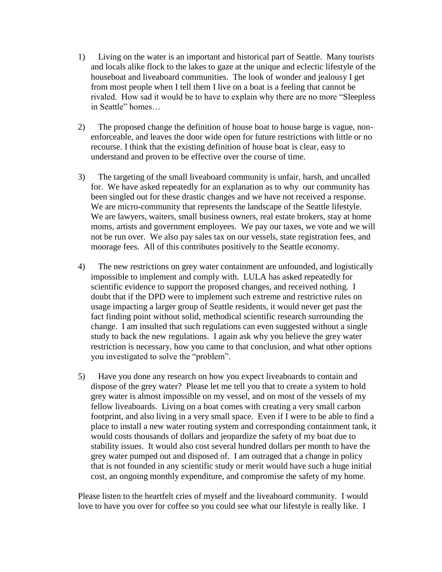- 1) Living on the water is an important and historical part of Seattle. Many tourists and locals alike flock to the lakes to gaze at the unique and eclectic lifestyle of the houseboat and liveaboard communities. The look of wonder and jealousy I get from most people when I tell them I live on a boat is a feeling that cannot be rivaled. How sad it would be to have to explain why there are no more "Sleepless in Seattle" homes…
- 2) The proposed change the definition of house boat to house barge is vague, nonenforceable, and leaves the door wide open for future restrictions with little or no recourse. I think that the existing definition of house boat is clear, easy to understand and proven to be effective over the course of time.
- 3) The targeting of the small liveaboard community is unfair, harsh, and uncalled for. We have asked repeatedly for an explanation as to why our community has been singled out for these drastic changes and we have not received a response. We are micro-community that represents the landscape of the Seattle lifestyle. We are lawyers, waiters, small business owners, real estate brokers, stay at home moms, artists and government employees. We pay our taxes, we vote and we will not be run over. We also pay sales tax on our vessels, state registration fees, and moorage fees. All of this contributes positively to the Seattle economy.
- 4) The new restrictions on grey water containment are unfounded, and logistically impossible to implement and comply with. LULA has asked repeatedly for scientific evidence to support the proposed changes, and received nothing. I doubt that if the DPD were to implement such extreme and restrictive rules on usage impacting a larger group of Seattle residents, it would never get past the fact finding point without solid, methodical scientific research surrounding the change. I am insulted that such regulations can even suggested without a single study to back the new regulations. I again ask why you believe the grey water restriction is necessary, how you came to that conclusion, and what other options you investigated to solve the "problem".
- 5) Have you done any research on how you expect liveaboards to contain and dispose of the grey water? Please let me tell you that to create a system to hold grey water is almost impossible on my vessel, and on most of the vessels of my fellow liveaboards. Living on a boat comes with creating a very small carbon footprint, and also living in a very small space. Even if I were to be able to find a place to install a new water routing system and corresponding containment tank, it would costs thousands of dollars and jeopardize the safety of my boat due to stability issues. It would also cost several hundred dollars per month to have the grey water pumped out and disposed of. I am outraged that a change in policy that is not founded in any scientific study or merit would have such a huge initial cost, an ongoing monthly expenditure, and compromise the safety of my home.

Please listen to the heartfelt cries of myself and the liveaboard community. I would love to have you over for coffee so you could see what our lifestyle is really like. I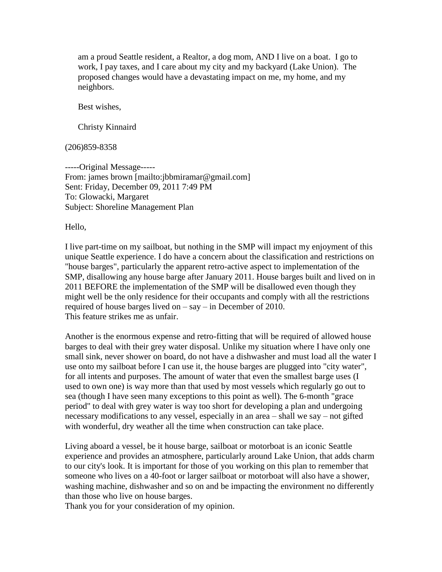am a proud Seattle resident, a Realtor, a dog mom, AND I live on a boat. I go to work, I pay taxes, and I care about my city and my backyard (Lake Union). The proposed changes would have a devastating impact on me, my home, and my neighbors.

Best wishes,

Christy Kinnaird

(206)859-8358

-----Original Message----- From: james brown [mailto:jbbmiramar@gmail.com] Sent: Friday, December 09, 2011 7:49 PM To: Glowacki, Margaret Subject: Shoreline Management Plan

Hello,

I live part-time on my sailboat, but nothing in the SMP will impact my enjoyment of this unique Seattle experience. I do have a concern about the classification and restrictions on "house barges", particularly the apparent retro-active aspect to implementation of the SMP, disallowing any house barge after January 2011. House barges built and lived on in 2011 BEFORE the implementation of the SMP will be disallowed even though they might well be the only residence for their occupants and comply with all the restrictions required of house barges lived on – say – in December of 2010. This feature strikes me as unfair.

Another is the enormous expense and retro-fitting that will be required of allowed house barges to deal with their grey water disposal. Unlike my situation where I have only one small sink, never shower on board, do not have a dishwasher and must load all the water I use onto my sailboat before I can use it, the house barges are plugged into "city water", for all intents and purposes. The amount of water that even the smallest barge uses (I used to own one) is way more than that used by most vessels which regularly go out to sea (though I have seen many exceptions to this point as well). The 6-month "grace period" to deal with grey water is way too short for developing a plan and undergoing necessary modifications to any vessel, especially in an area – shall we say – not gifted with wonderful, dry weather all the time when construction can take place.

Living aboard a vessel, be it house barge, sailboat or motorboat is an iconic Seattle experience and provides an atmosphere, particularly around Lake Union, that adds charm to our city's look. It is important for those of you working on this plan to remember that someone who lives on a 40-foot or larger sailboat or motorboat will also have a shower, washing machine, dishwasher and so on and be impacting the environment no differently than those who live on house barges.

Thank you for your consideration of my opinion.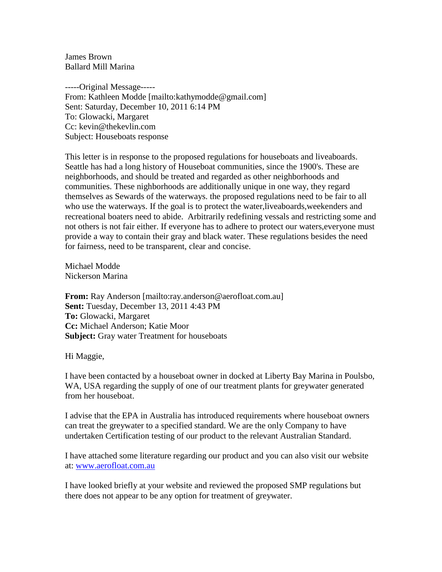James Brown Ballard Mill Marina

-----Original Message----- From: Kathleen Modde [mailto:kathymodde@gmail.com] Sent: Saturday, December 10, 2011 6:14 PM To: Glowacki, Margaret Cc: kevin@thekevlin.com Subject: Houseboats response

This letter is in response to the proposed regulations for houseboats and liveaboards. Seattle has had a long history of Houseboat communities, since the 1900's. These are neighborhoods, and should be treated and regarded as other neighborhoods and communities. These nighborhoods are additionally unique in one way, they regard themselves as Sewards of the waterways. the proposed regulations need to be fair to all who use the waterways. If the goal is to protect the water,liveaboards,weekenders and recreational boaters need to abide. Arbitrarily redefining vessals and restricting some and not others is not fair either. If everyone has to adhere to protect our waters,everyone must provide a way to contain their gray and black water. These regulations besides the need for fairness, need to be transparent, clear and concise.

Michael Modde Nickerson Marina

**From:** Ray Anderson [mailto:ray.anderson@aerofloat.com.au] **Sent:** Tuesday, December 13, 2011 4:43 PM **To:** Glowacki, Margaret **Cc:** Michael Anderson; Katie Moor **Subject:** Gray water Treatment for houseboats

Hi Maggie,

I have been contacted by a houseboat owner in docked at Liberty Bay Marina in Poulsbo, WA, USA regarding the supply of one of our treatment plants for greywater generated from her houseboat.

I advise that the EPA in Australia has introduced requirements where houseboat owners can treat the greywater to a specified standard. We are the only Company to have undertaken Certification testing of our product to the relevant Australian Standard.

I have attached some literature regarding our product and you can also visit our website at: [www.aerofloat.com.au](http://www.aerofloat.com.au/)

I have looked briefly at your website and reviewed the proposed SMP regulations but there does not appear to be any option for treatment of greywater.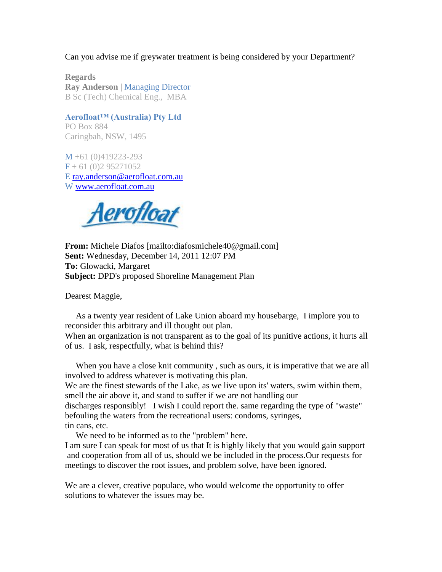Can you advise me if greywater treatment is being considered by your Department?

**Regards Ray Anderson | Managing Director** B Sc (Tech) Chemical Eng., MBA

## **Aerofloat™ (Australia) Pty Ltd**

PO Box 884 Caringbah, NSW, 1495

M +61 (0)419223-293  $F + 61 (0)2 95271052$ E [ray.anderson@aerofloat.com.au](mailto:ray.anderson@aerofloat.com.au) W [www.aerofloat.com.au](http://www.aerofloat.com.au/)



**From:** Michele Diafos [mailto:diafosmichele40@gmail.com] **Sent:** Wednesday, December 14, 2011 12:07 PM **To:** Glowacki, Margaret **Subject:** DPD's proposed Shoreline Management Plan

Dearest Maggie,

As a twenty year resident of Lake Union aboard my housebarge, I implore you to reconsider this arbitrary and ill thought out plan.

When an organization is not transparent as to the goal of its punitive actions, it hurts all of us. I ask, respectfully, what is behind this?

When you have a close knit community , such as ours, it is imperative that we are all involved to address whatever is motivating this plan.

We are the finest stewards of the Lake, as we live upon its' waters, swim within them, smell the air above it, and stand to suffer if we are not handling our

discharges responsibly! I wish I could report the. same regarding the type of "waste" befouling the waters from the recreational users: condoms, syringes, tin cans, etc.

We need to be informed as to the "problem" here.

I am sure I can speak for most of us that It is highly likely that you would gain support and cooperation from all of us, should we be included in the process.Our requests for meetings to discover the root issues, and problem solve, have been ignored.

We are a clever, creative populace, who would welcome the opportunity to offer solutions to whatever the issues may be.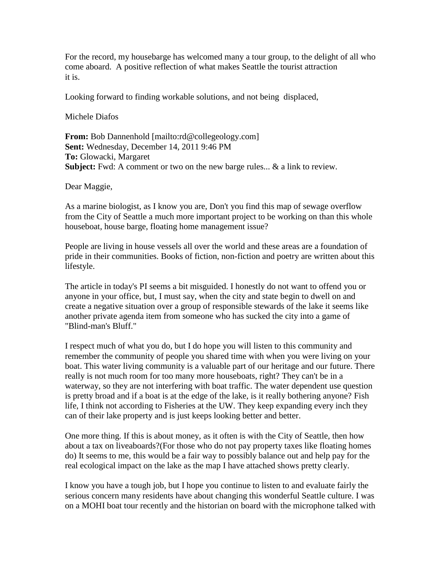For the record, my housebarge has welcomed many a tour group, to the delight of all who come aboard. A positive reflection of what makes Seattle the tourist attraction it is.

Looking forward to finding workable solutions, and not being displaced,

Michele Diafos

**From:** Bob Dannenhold [mailto:rd@collegeology.com] **Sent:** Wednesday, December 14, 2011 9:46 PM **To:** Glowacki, Margaret **Subject:** Fwd: A comment or two on the new barge rules... & a link to review.

Dear Maggie,

As a marine biologist, as I know you are, Don't you find this map of sewage overflow from the City of Seattle a much more important project to be working on than this whole houseboat, house barge, floating home management issue?

People are living in house vessels all over the world and these areas are a foundation of pride in their communities. Books of fiction, non-fiction and poetry are written about this lifestyle.

The article in today's PI seems a bit misguided. I honestly do not want to offend you or anyone in your office, but, I must say, when the city and state begin to dwell on and create a negative situation over a group of responsible stewards of the lake it seems like another private agenda item from someone who has sucked the city into a game of "Blind-man's Bluff."

I respect much of what you do, but I do hope you will listen to this community and remember the community of people you shared time with when you were living on your boat. This water living community is a valuable part of our heritage and our future. There really is not much room for too many more houseboats, right? They can't be in a waterway, so they are not interfering with boat traffic. The water dependent use question is pretty broad and if a boat is at the edge of the lake, is it really bothering anyone? Fish life, I think not according to Fisheries at the UW. They keep expanding every inch they can of their lake property and is just keeps looking better and better.

One more thing. If this is about money, as it often is with the City of Seattle, then how about a tax on liveaboards?(For those who do not pay property taxes like floating homes do) It seems to me, this would be a fair way to possibly balance out and help pay for the real ecological impact on the lake as the map I have attached shows pretty clearly.

I know you have a tough job, but I hope you continue to listen to and evaluate fairly the serious concern many residents have about changing this wonderful Seattle culture. I was on a MOHI boat tour recently and the historian on board with the microphone talked with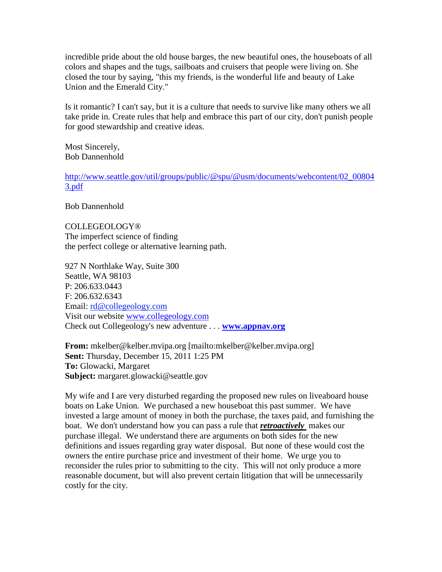incredible pride about the old house barges, the new beautiful ones, the houseboats of all colors and shapes and the tugs, sailboats and cruisers that people were living on. She closed the tour by saying, "this my friends, is the wonderful life and beauty of Lake Union and the Emerald City."

Is it romantic? I can't say, but it is a culture that needs to survive like many others we all take pride in. Create rules that help and embrace this part of our city, don't punish people for good stewardship and creative ideas.

Most Sincerely, Bob Dannenhold

[http://www.seattle.gov/util/groups/public/@spu/@usm/documents/webcontent/02\\_00804](http://www.seattle.gov/util/groups/public/@spu/@usm/documents/webcontent/02_008043.pdf) [3.pdf](http://www.seattle.gov/util/groups/public/@spu/@usm/documents/webcontent/02_008043.pdf)

Bob Dannenhold

COLLEGEOLOGY® The imperfect science of finding the perfect college or alternative learning path.

927 N Northlake Way, Suite 300 Seattle, WA 98103 P: 206.633.0443 F: 206.632.6343 Email: [rd@collegeology.com](mailto:robyn@collegeology.com) Visit our website [www.collegeology.com](http://www.collegeology.com/) Check out Collegeology's new adventure . . . **[www.appnav.org](http://www.appnav.org/)**

**From:** mkelber@kelber.mvipa.org [mailto:mkelber@kelber.mvipa.org] **Sent:** Thursday, December 15, 2011 1:25 PM **To:** Glowacki, Margaret **Subject:** margaret.glowacki@seattle.gov

My wife and I are very disturbed regarding the proposed new rules on liveaboard house boats on Lake Union. We purchased a new houseboat this past summer. We have invested a large amount of money in both the purchase, the taxes paid, and furnishing the boat. We don't understand how you can pass a rule that *retroactively* makes our purchase illegal. We understand there are arguments on both sides for the new definitions and issues regarding gray water disposal. But none of these would cost the owners the entire purchase price and investment of their home. We urge you to reconsider the rules prior to submitting to the city. This will not only produce a more reasonable document, but will also prevent certain litigation that will be unnecessarily costly for the city.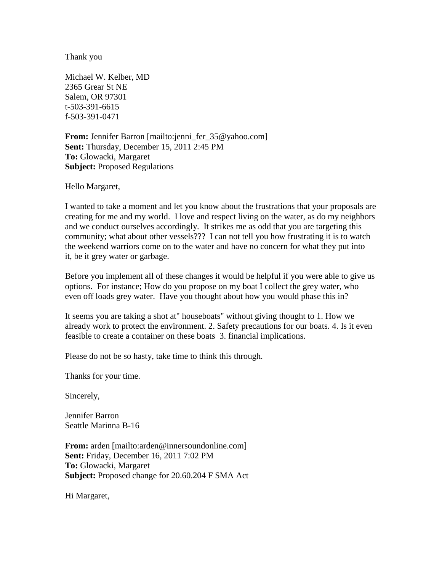Thank you

Michael W. Kelber, MD 2365 Grear St NE Salem, OR 97301 t-503-391-6615 f-503-391-0471

**From:** Jennifer Barron [mailto:jenni\_fer\_35@yahoo.com] **Sent:** Thursday, December 15, 2011 2:45 PM **To:** Glowacki, Margaret **Subject:** Proposed Regulations

Hello Margaret,

I wanted to take a moment and let you know about the frustrations that your proposals are creating for me and my world. I love and respect living on the water, as do my neighbors and we conduct ourselves accordingly. It strikes me as odd that you are targeting this community; what about other vessels??? I can not tell you how frustrating it is to watch the weekend warriors come on to the water and have no concern for what they put into it, be it grey water or garbage.

Before you implement all of these changes it would be helpful if you were able to give us options. For instance; How do you propose on my boat I collect the grey water, who even off loads grey water. Have you thought about how you would phase this in?

It seems you are taking a shot at" houseboats" without giving thought to 1. How we already work to protect the environment. 2. Safety precautions for our boats. 4. Is it even feasible to create a container on these boats 3. financial implications.

Please do not be so hasty, take time to think this through.

Thanks for your time.

Sincerely,

Jennifer Barron Seattle Marinna B-16

From: arden [mailto:arden@innersoundonline.com] **Sent:** Friday, December 16, 2011 7:02 PM **To:** Glowacki, Margaret **Subject:** Proposed change for 20.60.204 F SMA Act

Hi Margaret,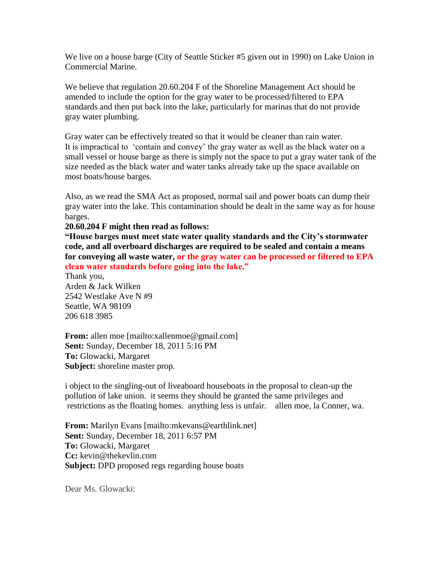We live on a house barge (City of Seattle Sticker #5 given out in 1990) on Lake Union in Commercial Marine.

We believe that regulation 20.60.204 F of the Shoreline Management Act should be amended to include the option for the gray water to be processed/filtered to EPA standards and then put back into the lake, particularly for marinas that do not provide gray water plumbing.

Gray water can be effectively treated so that it would be cleaner than rain water. It is impractical to 'contain and convey' the gray water as well as the black water on a small vessel or house barge as there is simply not the space to put a gray water tank of the size needed as the black water and water tanks already take up the space available on most boats/house barges.

Also, as we read the SMA Act as proposed, normal sail and power boats can dump their gray water into the lake. This contamination should be dealt in the same way as for house barges.

#### **20.60.204 F might then read as follows:**

**"House barges must meet state water quality standards and the City's stormwater code, and all overboard discharges are required to be sealed and contain a means for conveying all waste water, or the gray water can be processed or filtered to EPA clean water standards before going into the lake."**

Thank you, Arden & Jack Wilken 2542 Westlake Ave N #9 Seattle, WA 98109 206 618 3985

**From:** allen moe [mailto:xallenmoe@gmail.com] **Sent:** Sunday, December 18, 2011 5:16 PM **To:** Glowacki, Margaret **Subject:** shoreline master prop.

i object to the singling-out of liveaboard houseboats in the proposal to clean-up the pollution of lake union. it seems they should be granted the same privileges and restrictions as the floating homes. anything less is unfair. allen moe, la Conner, wa.

**From:** Marilyn Evans [mailto:mkevans@earthlink.net] **Sent:** Sunday, December 18, 2011 6:57 PM **To:** Glowacki, Margaret **Cc:** kevin@thekevlin.com **Subject:** DPD proposed regs regarding house boats

Dear Ms. Glowacki: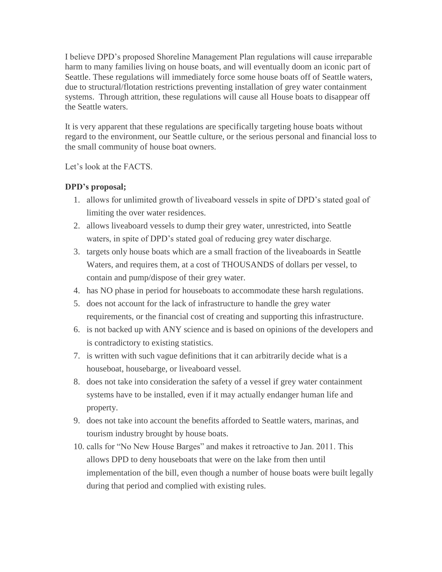I believe DPD's proposed Shoreline Management Plan regulations will cause irreparable harm to many families living on house boats, and will eventually doom an iconic part of Seattle. These regulations will immediately force some house boats off of Seattle waters, due to structural/flotation restrictions preventing installation of grey water containment systems. Through attrition, these regulations will cause all House boats to disappear off the Seattle waters.

It is very apparent that these regulations are specifically targeting house boats without regard to the environment, our Seattle culture, or the serious personal and financial loss to the small community of house boat owners.

Let's look at the FACTS.

# **DPD's proposal;**

- 1. allows for unlimited growth of liveaboard vessels in spite of DPD's stated goal of limiting the over water residences.
- 2. allows liveaboard vessels to dump their grey water, unrestricted, into Seattle waters, in spite of DPD's stated goal of reducing grey water discharge.
- 3. targets only house boats which are a small fraction of the liveaboards in Seattle Waters, and requires them, at a cost of THOUSANDS of dollars per vessel, to contain and pump/dispose of their grey water.
- 4. has NO phase in period for houseboats to accommodate these harsh regulations.
- 5. does not account for the lack of infrastructure to handle the grey water requirements, or the financial cost of creating and supporting this infrastructure.
- 6. is not backed up with ANY science and is based on opinions of the developers and is contradictory to existing statistics.
- 7. is written with such vague definitions that it can arbitrarily decide what is a houseboat, housebarge, or liveaboard vessel.
- 8. does not take into consideration the safety of a vessel if grey water containment systems have to be installed, even if it may actually endanger human life and property.
- 9. does not take into account the benefits afforded to Seattle waters, marinas, and tourism industry brought by house boats.
- 10. calls for "No New House Barges" and makes it retroactive to Jan. 2011. This allows DPD to deny houseboats that were on the lake from then until implementation of the bill, even though a number of house boats were built legally during that period and complied with existing rules.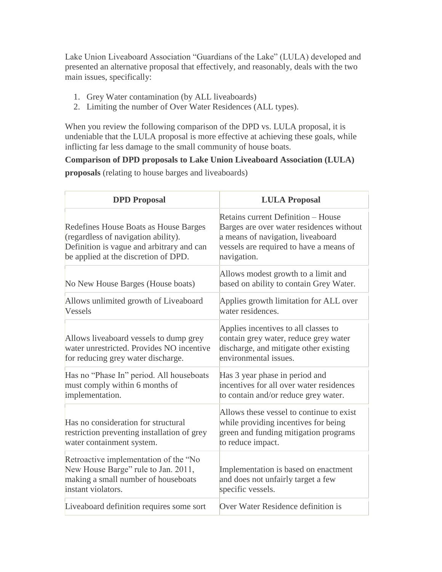Lake Union Liveaboard Association "Guardians of the Lake" (LULA) developed and presented an alternative proposal that effectively, and reasonably, deals with the two main issues, specifically:

- 1. Grey Water contamination (by ALL liveaboards)
- 2. Limiting the number of Over Water Residences (ALL types).

When you review the following comparison of the DPD vs. LULA proposal, it is undeniable that the LULA proposal is more effective at achieving these goals, while inflicting far less damage to the small community of house boats.

**Comparison of DPD proposals to Lake Union Liveaboard Association (LULA) proposals** (relating to house barges and liveaboards)

| <b>DPD</b> Proposal                                                                                                                                               | <b>LULA Proposal</b>                                                                                                                                                                 |
|-------------------------------------------------------------------------------------------------------------------------------------------------------------------|--------------------------------------------------------------------------------------------------------------------------------------------------------------------------------------|
| Redefines House Boats as House Barges<br>(regardless of navigation ability).<br>Definition is vague and arbitrary and can<br>be applied at the discretion of DPD. | <b>Retains current Definition – House</b><br>Barges are over water residences without<br>a means of navigation, liveaboard<br>vessels are required to have a means of<br>navigation. |
| No New House Barges (House boats)                                                                                                                                 | Allows modest growth to a limit and<br>based on ability to contain Grey Water.                                                                                                       |
| Allows unlimited growth of Liveaboard<br>Vessels                                                                                                                  | Applies growth limitation for ALL over<br>water residences.                                                                                                                          |
| Allows liveaboard vessels to dump grey<br>water unrestricted. Provides NO incentive<br>for reducing grey water discharge.                                         | Applies incentives to all classes to<br>contain grey water, reduce grey water<br>discharge, and mitigate other existing<br>environmental issues.                                     |
| Has no "Phase In" period. All houseboats<br>must comply within 6 months of<br>implementation.                                                                     | Has 3 year phase in period and<br>incentives for all over water residences<br>to contain and/or reduce grey water.                                                                   |
| Has no consideration for structural<br>restriction preventing installation of grey<br>water containment system.                                                   | Allows these vessel to continue to exist<br>while providing incentives for being<br>green and funding mitigation programs<br>to reduce impact.                                       |
| Retroactive implementation of the "No<br>New House Barge" rule to Jan. 2011,<br>making a small number of houseboats<br>instant violators.                         | Implementation is based on enactment<br>and does not unfairly target a few<br>specific vessels.                                                                                      |
| Liveaboard definition requires some sort                                                                                                                          | Over Water Residence definition is                                                                                                                                                   |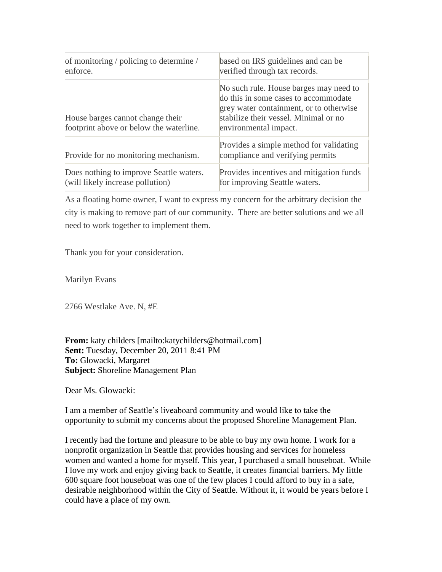| of monitoring / policing to determine /                                     | based on IRS guidelines and can be                                                                                                                                                          |
|-----------------------------------------------------------------------------|---------------------------------------------------------------------------------------------------------------------------------------------------------------------------------------------|
| enforce.                                                                    | verified through tax records.                                                                                                                                                               |
| House barges cannot change their<br>footprint above or below the waterline. | No such rule. House barges may need to<br>do this in some cases to accommodate<br>grey water containment, or to otherwise<br>stabilize their vessel. Minimal or no<br>environmental impact. |
| Provide for no monitoring mechanism.                                        | Provides a simple method for validating<br>compliance and verifying permits                                                                                                                 |
| Does nothing to improve Seattle waters.                                     | Provides incentives and mitigation funds                                                                                                                                                    |
| (will likely increase pollution)                                            | for improving Seattle waters.                                                                                                                                                               |

As a floating home owner, I want to express my concern for the arbitrary decision the city is making to remove part of our community. There are better solutions and we all need to work together to implement them.

Thank you for your consideration.

Marilyn Evans

2766 Westlake Ave. N, #E

**From:** katy childers [mailto:katychilders@hotmail.com] **Sent:** Tuesday, December 20, 2011 8:41 PM **To:** Glowacki, Margaret **Subject:** Shoreline Management Plan

Dear Ms. Glowacki:

I am a member of Seattle's liveaboard community and would like to take the opportunity to submit my concerns about the proposed Shoreline Management Plan.

I recently had the fortune and pleasure to be able to buy my own home. I work for a nonprofit organization in Seattle that provides housing and services for homeless women and wanted a home for myself. This year, I purchased a small houseboat. While I love my work and enjoy giving back to Seattle, it creates financial barriers. My little 600 square foot houseboat was one of the few places I could afford to buy in a safe, desirable neighborhood within the City of Seattle. Without it, it would be years before I could have a place of my own.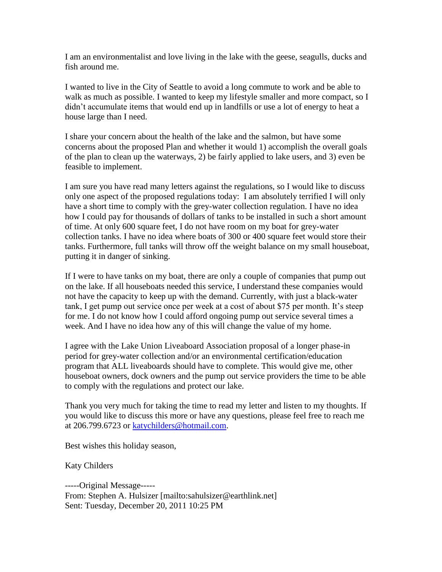I am an environmentalist and love living in the lake with the geese, seagulls, ducks and fish around me.

I wanted to live in the City of Seattle to avoid a long commute to work and be able to walk as much as possible. I wanted to keep my lifestyle smaller and more compact, so I didn't accumulate items that would end up in landfills or use a lot of energy to heat a house large than I need.

I share your concern about the health of the lake and the salmon, but have some concerns about the proposed Plan and whether it would 1) accomplish the overall goals of the plan to clean up the waterways, 2) be fairly applied to lake users, and 3) even be feasible to implement.

I am sure you have read many letters against the regulations, so I would like to discuss only one aspect of the proposed regulations today: I am absolutely terrified I will only have a short time to comply with the grey-water collection regulation. I have no idea how I could pay for thousands of dollars of tanks to be installed in such a short amount of time. At only 600 square feet, I do not have room on my boat for grey-water collection tanks. I have no idea where boats of 300 or 400 square feet would store their tanks. Furthermore, full tanks will throw off the weight balance on my small houseboat, putting it in danger of sinking.

If I were to have tanks on my boat, there are only a couple of companies that pump out on the lake. If all houseboats needed this service, I understand these companies would not have the capacity to keep up with the demand. Currently, with just a black-water tank, I get pump out service once per week at a cost of about \$75 per month. It's steep for me. I do not know how I could afford ongoing pump out service several times a week. And I have no idea how any of this will change the value of my home.

I agree with the Lake Union Liveaboard Association proposal of a longer phase-in period for grey-water collection and/or an environmental certification/education program that ALL liveaboards should have to complete. This would give me, other houseboat owners, dock owners and the pump out service providers the time to be able to comply with the regulations and protect our lake.

Thank you very much for taking the time to read my letter and listen to my thoughts. If you would like to discuss this more or have any questions, please feel free to reach me at 206.799.6723 or [katychilders@hotmail.com.](mailto:katychilders@hotmail.com)

Best wishes this holiday season,

Katy Childers

-----Original Message----- From: Stephen A. Hulsizer [mailto:sahulsizer@earthlink.net] Sent: Tuesday, December 20, 2011 10:25 PM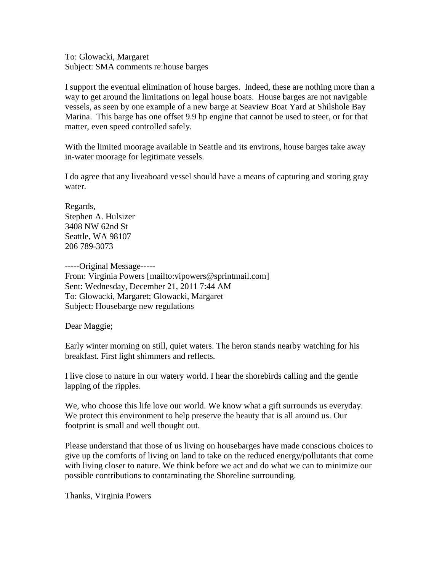To: Glowacki, Margaret Subject: SMA comments re:house barges

I support the eventual elimination of house barges. Indeed, these are nothing more than a way to get around the limitations on legal house boats. House barges are not navigable vessels, as seen by one example of a new barge at Seaview Boat Yard at Shilshole Bay Marina. This barge has one offset 9.9 hp engine that cannot be used to steer, or for that matter, even speed controlled safely.

With the limited moorage available in Seattle and its environs, house barges take away in-water moorage for legitimate vessels.

I do agree that any liveaboard vessel should have a means of capturing and storing gray water.

Regards, Stephen A. Hulsizer 3408 NW 62nd St Seattle, WA 98107 206 789-3073

-----Original Message----- From: Virginia Powers [mailto:vipowers@sprintmail.com] Sent: Wednesday, December 21, 2011 7:44 AM To: Glowacki, Margaret; Glowacki, Margaret Subject: Housebarge new regulations

Dear Maggie;

Early winter morning on still, quiet waters. The heron stands nearby watching for his breakfast. First light shimmers and reflects.

I live close to nature in our watery world. I hear the shorebirds calling and the gentle lapping of the ripples.

We, who choose this life love our world. We know what a gift surrounds us everyday. We protect this environment to help preserve the beauty that is all around us. Our footprint is small and well thought out.

Please understand that those of us living on housebarges have made conscious choices to give up the comforts of living on land to take on the reduced energy/pollutants that come with living closer to nature. We think before we act and do what we can to minimize our possible contributions to contaminating the Shoreline surrounding.

Thanks, Virginia Powers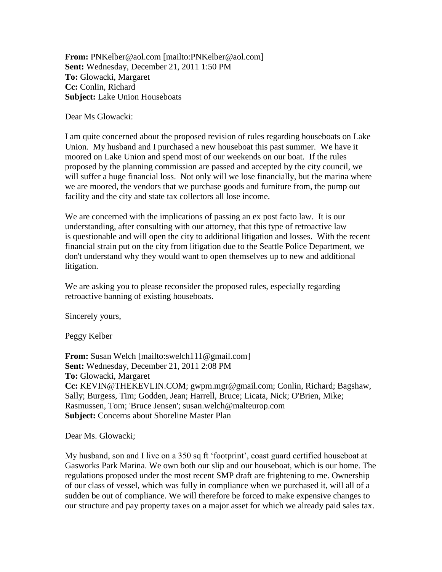**From:** PNKelber@aol.com [mailto:PNKelber@aol.com] **Sent:** Wednesday, December 21, 2011 1:50 PM **To:** Glowacki, Margaret **Cc:** Conlin, Richard **Subject:** Lake Union Houseboats

Dear Ms Glowacki:

I am quite concerned about the proposed revision of rules regarding houseboats on Lake Union. My husband and I purchased a new houseboat this past summer. We have it moored on Lake Union and spend most of our weekends on our boat. If the rules proposed by the planning commission are passed and accepted by the city council, we will suffer a huge financial loss. Not only will we lose financially, but the marina where we are moored, the vendors that we purchase goods and furniture from, the pump out facility and the city and state tax collectors all lose income.

We are concerned with the implications of passing an ex post facto law. It is our understanding, after consulting with our attorney, that this type of retroactive law is questionable and will open the city to additional litigation and losses. With the recent financial strain put on the city from litigation due to the Seattle Police Department, we don't understand why they would want to open themselves up to new and additional litigation.

We are asking you to please reconsider the proposed rules, especially regarding retroactive banning of existing houseboats.

Sincerely yours,

Peggy Kelber

**From:** Susan Welch [mailto:swelch111@gmail.com] **Sent:** Wednesday, December 21, 2011 2:08 PM **To:** Glowacki, Margaret **Cc:** KEVIN@THEKEVLIN.COM; gwpm.mgr@gmail.com; Conlin, Richard; Bagshaw, Sally; Burgess, Tim; Godden, Jean; Harrell, Bruce; Licata, Nick; O'Brien, Mike; Rasmussen, Tom; 'Bruce Jensen'; susan.welch@malteurop.com **Subject:** Concerns about Shoreline Master Plan

Dear Ms. Glowacki;

My husband, son and I live on a 350 sq ft 'footprint', coast guard certified houseboat at Gasworks Park Marina. We own both our slip and our houseboat, which is our home. The regulations proposed under the most recent SMP draft are frightening to me. Ownership of our class of vessel, which was fully in compliance when we purchased it, will all of a sudden be out of compliance. We will therefore be forced to make expensive changes to our structure and pay property taxes on a major asset for which we already paid sales tax.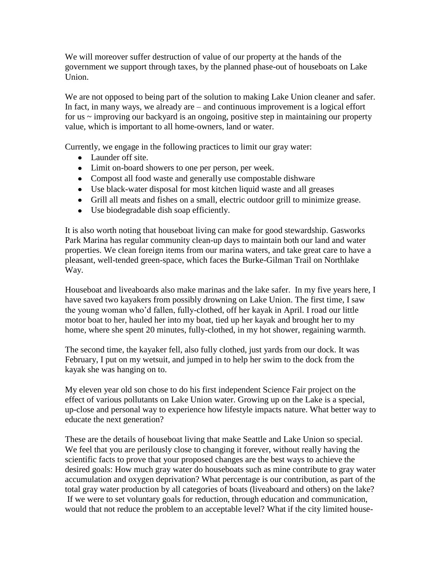We will moreover suffer destruction of value of our property at the hands of the government we support through taxes, by the planned phase-out of houseboats on Lake Union.

We are not opposed to being part of the solution to making Lake Union cleaner and safer. In fact, in many ways, we already are – and continuous improvement is a logical effort for us ~ improving our backyard is an ongoing, positive step in maintaining our property value, which is important to all home-owners, land or water.

Currently, we engage in the following practices to limit our gray water:

- Launder off site.
- Limit on-board showers to one per person, per week.
- Compost all food waste and generally use compostable dishware
- Use black-water disposal for most kitchen liquid waste and all greases
- Grill all meats and fishes on a small, electric outdoor grill to minimize grease.
- Use biodegradable dish soap efficiently.

It is also worth noting that houseboat living can make for good stewardship. Gasworks Park Marina has regular community clean-up days to maintain both our land and water properties. We clean foreign items from our marina waters, and take great care to have a pleasant, well-tended green-space, which faces the Burke-Gilman Trail on Northlake Way.

Houseboat and liveaboards also make marinas and the lake safer. In my five years here, I have saved two kayakers from possibly drowning on Lake Union. The first time, I saw the young woman who'd fallen, fully-clothed, off her kayak in April. I road our little motor boat to her, hauled her into my boat, tied up her kayak and brought her to my home, where she spent 20 minutes, fully-clothed, in my hot shower, regaining warmth.

The second time, the kayaker fell, also fully clothed, just yards from our dock. It was February, I put on my wetsuit, and jumped in to help her swim to the dock from the kayak she was hanging on to.

My eleven year old son chose to do his first independent Science Fair project on the effect of various pollutants on Lake Union water. Growing up on the Lake is a special, up-close and personal way to experience how lifestyle impacts nature. What better way to educate the next generation?

These are the details of houseboat living that make Seattle and Lake Union so special. We feel that you are perilously close to changing it forever, without really having the scientific facts to prove that your proposed changes are the best ways to achieve the desired goals: How much gray water do houseboats such as mine contribute to gray water accumulation and oxygen deprivation? What percentage is our contribution, as part of the total gray water production by all categories of boats (liveaboard and others) on the lake? If we were to set voluntary goals for reduction, through education and communication, would that not reduce the problem to an acceptable level? What if the city limited house-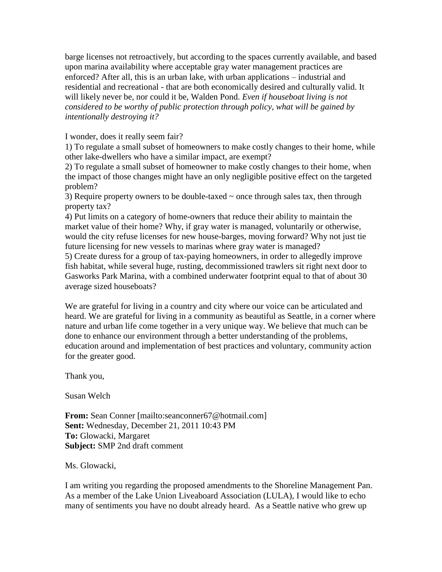barge licenses not retroactively, but according to the spaces currently available, and based upon marina availability where acceptable gray water management practices are enforced? After all, this is an urban lake, with urban applications – industrial and residential and recreational - that are both economically desired and culturally valid. It will likely never be, nor could it be, Walden Pond. *Even if houseboat living is not considered to be worthy of public protection through policy, what will be gained by intentionally destroying it?*

I wonder, does it really seem fair?

1) To regulate a small subset of homeowners to make costly changes to their home, while other lake-dwellers who have a similar impact, are exempt?

2) To regulate a small subset of homeowner to make costly changes to their home, when the impact of those changes might have an only negligible positive effect on the targeted problem?

3) Require property owners to be double-taxed  $\sim$  once through sales tax, then through property tax?

4) Put limits on a category of home-owners that reduce their ability to maintain the market value of their home? Why, if gray water is managed, voluntarily or otherwise, would the city refuse licenses for new house-barges, moving forward? Why not just tie future licensing for new vessels to marinas where gray water is managed?

5) Create duress for a group of tax-paying homeowners, in order to allegedly improve fish habitat, while several huge, rusting, decommissioned trawlers sit right next door to Gasworks Park Marina, with a combined underwater footprint equal to that of about 30 average sized houseboats?

We are grateful for living in a country and city where our voice can be articulated and heard. We are grateful for living in a community as beautiful as Seattle, in a corner where nature and urban life come together in a very unique way. We believe that much can be done to enhance our environment through a better understanding of the problems, education around and implementation of best practices and voluntary, community action for the greater good.

Thank you,

Susan Welch

**From:** Sean Conner [mailto:seanconner67@hotmail.com] **Sent:** Wednesday, December 21, 2011 10:43 PM **To:** Glowacki, Margaret **Subject:** SMP 2nd draft comment

Ms. Glowacki,

I am writing you regarding the proposed amendments to the Shoreline Management Pan. As a member of the Lake Union Liveaboard Association (LULA), I would like to echo many of sentiments you have no doubt already heard. As a Seattle native who grew up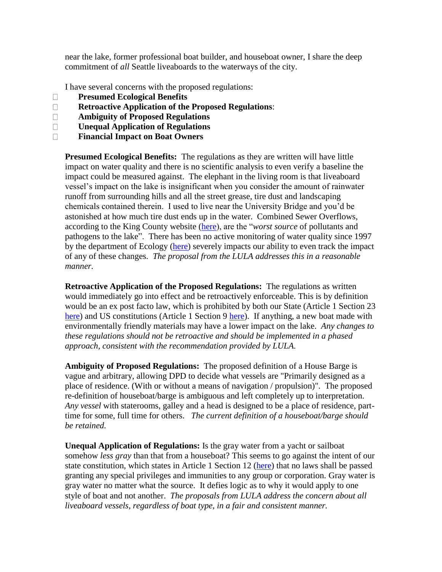near the lake, former professional boat builder, and houseboat owner, I share the deep commitment of *all* Seattle liveaboards to the waterways of the city.

I have several concerns with the proposed regulations:

- **Presumed Ecological Benefits**
- **Retroactive Application of the Proposed Regulations**:
- **Ambiguity of Proposed Regulations**
- **Unequal Application of Regulations**
- **Financial Impact on Boat Owners**

**Presumed Ecological Benefits:** The regulations as they are written will have little impact on water quality and there is no scientific analysis to even verify a baseline the impact could be measured against. The elephant in the living room is that liveaboard vessel's impact on the lake is insignificant when you consider the amount of rainwater runoff from surrounding hills and all the street grease, tire dust and landscaping chemicals contained therein. I used to live near the University Bridge and you'd be astonished at how much tire dust ends up in the water. Combined Sewer Overflows, according to the King County website [\(here\)](http://green.kingcounty.gov/lakes/LakeUnion.aspx), are the "*worst source* of pollutants and pathogens to the lake". There has been no active monitoring of water quality since 1997 by the department of Ecology [\(here\)](http://www.ecy.wa.gov/programs/eap/lakes/wq/index.html) severely impacts our ability to even track the impact of any of these changes. *The proposal from the LULA addresses this in a reasonable manner.*

**Retroactive Application of the Proposed Regulations:** The regulations as written would immediately go into effect and be retroactively enforceable. This is by definition would be an ex post facto law, which is prohibited by both our State (Article 1 Section 23 [here\)](http://www.leg.wa.gov/LawsAndAgencyRules/Pages/constitution.aspx) and US constitutions (Article 1 Section 9 [here\)](http://archives.gov/exhibits/charters/constitution_transcript.html). If anything, a new boat made with environmentally friendly materials may have a lower impact on the lake. *Any changes to these regulations should not be retroactive and should be implemented in a phased approach, consistent with the recommendation provided by LULA.* 

**Ambiguity of Proposed Regulations:** The proposed definition of a House Barge is vague and arbitrary, allowing DPD to decide what vessels are "Primarily designed as a place of residence. (With or without a means of navigation / propulsion)". The proposed re-definition of houseboat/barge is ambiguous and left completely up to interpretation. *Any vessel* with staterooms, galley and a head is designed to be a place of residence, parttime for some, full time for others. *The current definition of a houseboat/barge should be retained.*

**Unequal Application of Regulations:** Is the gray water from a yacht or sailboat somehow *less gray* than that from a houseboat? This seems to go against the intent of our state constitution, which states in Article 1 Section 12 [\(here\)](http://www.leg.wa.gov/LawsAndAgencyRules/Pages/constitution.aspx) that no laws shall be passed granting any special privileges and immunities to any group or corporation. Gray water is gray water no matter what the source. It defies logic as to why it would apply to one style of boat and not another. *The proposals from LULA address the concern about all liveaboard vessels, regardless of boat type, in a fair and consistent manner.*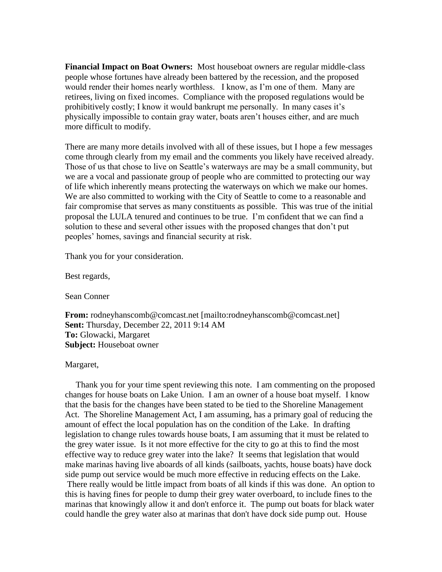**Financial Impact on Boat Owners:** Most houseboat owners are regular middle-class people whose fortunes have already been battered by the recession, and the proposed would render their homes nearly worthless. I know, as I'm one of them. Many are retirees, living on fixed incomes. Compliance with the proposed regulations would be prohibitively costly; I know it would bankrupt me personally. In many cases it's physically impossible to contain gray water, boats aren't houses either, and are much more difficult to modify.

There are many more details involved with all of these issues, but I hope a few messages come through clearly from my email and the comments you likely have received already. Those of us that chose to live on Seattle's waterways are may be a small community, but we are a vocal and passionate group of people who are committed to protecting our way of life which inherently means protecting the waterways on which we make our homes. We are also committed to working with the City of Seattle to come to a reasonable and fair compromise that serves as many constituents as possible. This was true of the initial proposal the LULA tenured and continues to be true. I'm confident that we can find a solution to these and several other issues with the proposed changes that don't put peoples' homes, savings and financial security at risk.

Thank you for your consideration.

Best regards,

Sean Conner

**From:** rodneyhanscomb@comcast.net [mailto:rodneyhanscomb@comcast.net] **Sent:** Thursday, December 22, 2011 9:14 AM **To:** Glowacki, Margaret **Subject:** Houseboat owner

Margaret,

Thank you for your time spent reviewing this note. I am commenting on the proposed changes for house boats on Lake Union. I am an owner of a house boat myself. I know that the basis for the changes have been stated to be tied to the Shoreline Management Act. The Shoreline Management Act, I am assuming, has a primary goal of reducing the amount of effect the local population has on the condition of the Lake. In drafting legislation to change rules towards house boats, I am assuming that it must be related to the grey water issue. Is it not more effective for the city to go at this to find the most effective way to reduce grey water into the lake? It seems that legislation that would make marinas having live aboards of all kinds (sailboats, yachts, house boats) have dock side pump out service would be much more effective in reducing effects on the Lake. There really would be little impact from boats of all kinds if this was done. An option to this is having fines for people to dump their grey water overboard, to include fines to the marinas that knowingly allow it and don't enforce it. The pump out boats for black water could handle the grey water also at marinas that don't have dock side pump out. House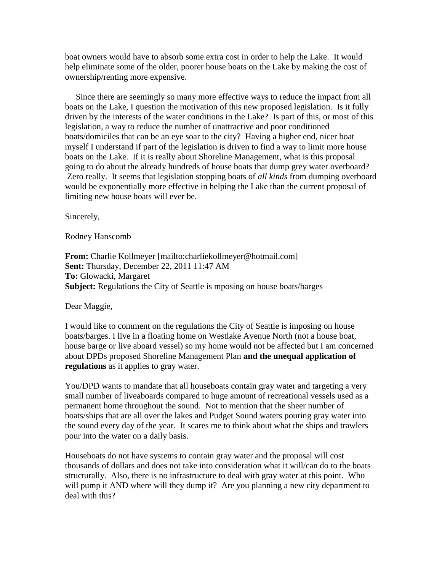boat owners would have to absorb some extra cost in order to help the Lake. It would help eliminate some of the older, poorer house boats on the Lake by making the cost of ownership/renting more expensive.

Since there are seemingly so many more effective ways to reduce the impact from all boats on the Lake, I question the motivation of this new proposed legislation. Is it fully driven by the interests of the water conditions in the Lake? Is part of this, or most of this legislation, a way to reduce the number of unattractive and poor conditioned boats/domiciles that can be an eye soar to the city? Having a higher end, nicer boat myself I understand if part of the legislation is driven to find a way to limit more house boats on the Lake. If it is really about Shoreline Management, what is this proposal going to do about the already hundreds of house boats that dump grey water overboard? Zero really. It seems that legislation stopping boats of *all kinds* from dumping overboard would be exponentially more effective in helping the Lake than the current proposal of limiting new house boats will ever be.

Sincerely,

Rodney Hanscomb

**From:** Charlie Kollmeyer [mailto:charliekollmeyer@hotmail.com] **Sent:** Thursday, December 22, 2011 11:47 AM **To:** Glowacki, Margaret **Subject:** Regulations the City of Seattle is mposing on house boats/barges

Dear Maggie,

I would like to comment on the regulations the City of Seattle is imposing on house boats/barges. I live in a floating home on Westlake Avenue North (not a house boat, house barge or live aboard vessel) so my home would not be affected but I am concerned about DPDs proposed Shoreline Management Plan **and the unequal application of regulations** as it applies to gray water.

You/DPD wants to mandate that all houseboats contain gray water and targeting a very small number of liveaboards compared to huge amount of recreational vessels used as a permanent home throughout the sound. Not to mention that the sheer number of boats/ships that are all over the lakes and Pudget Sound waters pouring gray water into the sound every day of the year. It scares me to think about what the ships and trawlers pour into the water on a daily basis.

Houseboats do not have systems to contain gray water and the proposal will cost thousands of dollars and does not take into consideration what it will/can do to the boats structurally. Also, there is no infrastructure to deal with gray water at this point. Who will pump it AND where will they dump it? Are you planning a new city department to deal with this?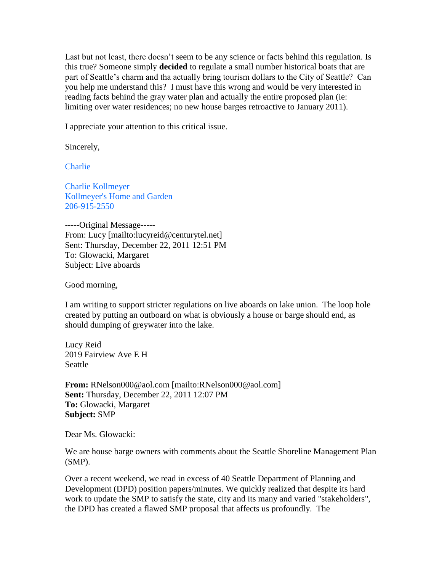Last but not least, there doesn't seem to be any science or facts behind this regulation. Is this true? Someone simply **decided** to regulate a small number historical boats that are part of Seattle's charm and tha actually bring tourism dollars to the City of Seattle? Can you help me understand this? I must have this wrong and would be very interested in reading facts behind the gray water plan and actually the entire proposed plan (ie: limiting over water residences; no new house barges retroactive to January 2011).

I appreciate your attention to this critical issue.

Sincerely,

**Charlie** 

Charlie Kollmeyer Kollmeyer's Home and Garden 206-915-2550

-----Original Message----- From: Lucy [mailto:lucyreid@centurytel.net] Sent: Thursday, December 22, 2011 12:51 PM To: Glowacki, Margaret Subject: Live aboards

Good morning,

I am writing to support stricter regulations on live aboards on lake union. The loop hole created by putting an outboard on what is obviously a house or barge should end, as should dumping of greywater into the lake.

Lucy Reid 2019 Fairview Ave E H **Seattle** 

**From:** RNelson000@aol.com [mailto:RNelson000@aol.com] **Sent:** Thursday, December 22, 2011 12:07 PM **To:** Glowacki, Margaret **Subject:** SMP

Dear Ms. Glowacki:

We are house barge owners with comments about the Seattle Shoreline Management Plan (SMP).

Over a recent weekend, we read in excess of 40 Seattle Department of Planning and Development (DPD) position papers/minutes. We quickly realized that despite its hard work to update the SMP to satisfy the state, city and its many and varied "stakeholders", the DPD has created a flawed SMP proposal that affects us profoundly. The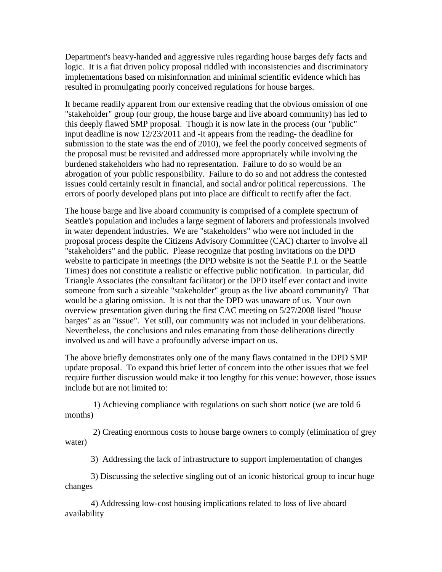Department's heavy-handed and aggressive rules regarding house barges defy facts and logic. It is a fiat driven policy proposal riddled with inconsistencies and discriminatory implementations based on misinformation and minimal scientific evidence which has resulted in promulgating poorly conceived regulations for house barges.

It became readily apparent from our extensive reading that the obvious omission of one "stakeholder" group (our group, the house barge and live aboard community) has led to this deeply flawed SMP proposal. Though it is now late in the process (our "public" input deadline is now 12/23/2011 and -it appears from the reading- the deadline for submission to the state was the end of 2010), we feel the poorly conceived segments of the proposal must be revisited and addressed more appropriately while involving the burdened stakeholders who had no representation. Failure to do so would be an abrogation of your public responsibility. Failure to do so and not address the contested issues could certainly result in financial, and social and/or political repercussions. The errors of poorly developed plans put into place are difficult to rectify after the fact.

The house barge and live aboard community is comprised of a complete spectrum of Seattle's population and includes a large segment of laborers and professionals involved in water dependent industries. We are "stakeholders" who were not included in the proposal process despite the Citizens Advisory Committee (CAC) charter to involve all "stakeholders" and the public. Please recognize that posting invitations on the DPD website to participate in meetings (the DPD website is not the Seattle P.I. or the Seattle Times) does not constitute a realistic or effective public notification. In particular, did Triangle Associates (the consultant facilitator) or the DPD itself ever contact and invite someone from such a sizeable "stakeholder" group as the live aboard community? That would be a glaring omission. It is not that the DPD was unaware of us. Your own overview presentation given during the first CAC meeting on 5/27/2008 listed "house barges" as an "issue". Yet still, our community was not included in your deliberations. Nevertheless, the conclusions and rules emanating from those deliberations directly involved us and will have a profoundly adverse impact on us.

The above briefly demonstrates only one of the many flaws contained in the DPD SMP update proposal. To expand this brief letter of concern into the other issues that we feel require further discussion would make it too lengthy for this venue: however, those issues include but are not limited to:

1) Achieving compliance with regulations on such short notice (we are told 6 months)

2) Creating enormous costs to house barge owners to comply (elimination of grey water)

3) Addressing the lack of infrastructure to support implementation of changes

3) Discussing the selective singling out of an iconic historical group to incur huge changes

4) Addressing low-cost housing implications related to loss of live aboard availability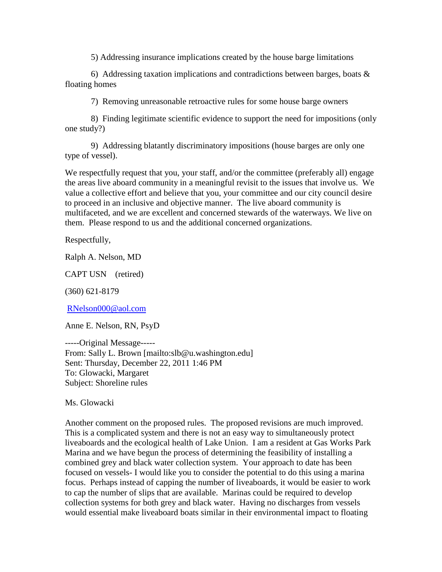5) Addressing insurance implications created by the house barge limitations

6) Addressing taxation implications and contradictions between barges, boats  $\&$ floating homes

7) Removing unreasonable retroactive rules for some house barge owners

8) Finding legitimate scientific evidence to support the need for impositions (only one study?)

9) Addressing blatantly discriminatory impositions (house barges are only one type of vessel).

We respectfully request that you, your staff, and/or the committee (preferably all) engage the areas live aboard community in a meaningful revisit to the issues that involve us. We value a collective effort and believe that you, your committee and our city council desire to proceed in an inclusive and objective manner. The live aboard community is multifaceted, and we are excellent and concerned stewards of the waterways. We live on them. Please respond to us and the additional concerned organizations.

Respectfully,

Ralph A. Nelson, MD

CAPT USN (retired)

(360) 621-8179

[RNelson000@aol.com](mailto:RNelson000@aol.com)

Anne E. Nelson, RN, PsyD

-----Original Message----- From: Sally L. Brown [mailto:slb@u.washington.edu] Sent: Thursday, December 22, 2011 1:46 PM To: Glowacki, Margaret Subject: Shoreline rules

Ms. Glowacki

Another comment on the proposed rules. The proposed revisions are much improved. This is a complicated system and there is not an easy way to simultaneously protect liveaboards and the ecological health of Lake Union. I am a resident at Gas Works Park Marina and we have begun the process of determining the feasibility of installing a combined grey and black water collection system. Your approach to date has been focused on vessels- I would like you to consider the potential to do this using a marina focus. Perhaps instead of capping the number of liveaboards, it would be easier to work to cap the number of slips that are available. Marinas could be required to develop collection systems for both grey and black water. Having no discharges from vessels would essential make liveaboard boats similar in their environmental impact to floating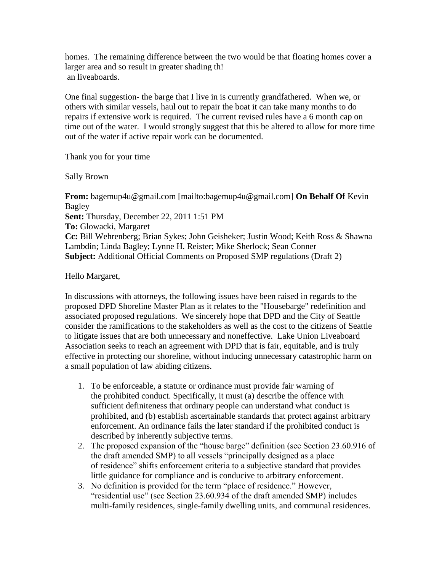homes. The remaining difference between the two would be that floating homes cover a larger area and so result in greater shading th! an liveaboards.

One final suggestion- the barge that I live in is currently grandfathered. When we, or others with similar vessels, haul out to repair the boat it can take many months to do repairs if extensive work is required. The current revised rules have a 6 month cap on time out of the water. I would strongly suggest that this be altered to allow for more time out of the water if active repair work can be documented.

Thank you for your time

Sally Brown

**From:** bagemup4u@gmail.com [mailto:bagemup4u@gmail.com] **On Behalf Of** Kevin Bagley **Sent:** Thursday, December 22, 2011 1:51 PM **To:** Glowacki, Margaret **Cc:** Bill Wehrenberg; Brian Sykes; John Geisheker; Justin Wood; Keith Ross & Shawna Lambdin; Linda Bagley; Lynne H. Reister; Mike Sherlock; Sean Conner **Subject:** Additional Official Comments on Proposed SMP regulations (Draft 2)

Hello Margaret,

In discussions with attorneys, the following issues have been raised in regards to the proposed DPD Shoreline Master Plan as it relates to the "Housebarge" redefinition and associated proposed regulations. We sincerely hope that DPD and the City of Seattle consider the ramifications to the stakeholders as well as the cost to the citizens of Seattle to litigate issues that are both unnecessary and noneffective. Lake Union Liveaboard Association seeks to reach an agreement with DPD that is fair, equitable, and is truly effective in protecting our shoreline, without inducing unnecessary catastrophic harm on a small population of law abiding citizens.

- 1. To be enforceable, a statute or ordinance must provide fair warning of the prohibited conduct. Specifically, it must (a) describe the offence with sufficient definiteness that ordinary people can understand what conduct is prohibited, and (b) establish ascertainable standards that protect against arbitrary enforcement. An ordinance fails the later standard if the prohibited conduct is described by inherently subjective terms.
- 2. The proposed expansion of the "house barge" definition (see Section 23.60.916 of the draft amended SMP) to all vessels "principally designed as a place of residence" shifts enforcement criteria to a subjective standard that provides little guidance for compliance and is conducive to arbitrary enforcement.
- 3. No definition is provided for the term "place of residence." However, "residential use" (see Section 23.60.934 of the draft amended SMP) includes multi-family residences, single-family dwelling units, and communal residences.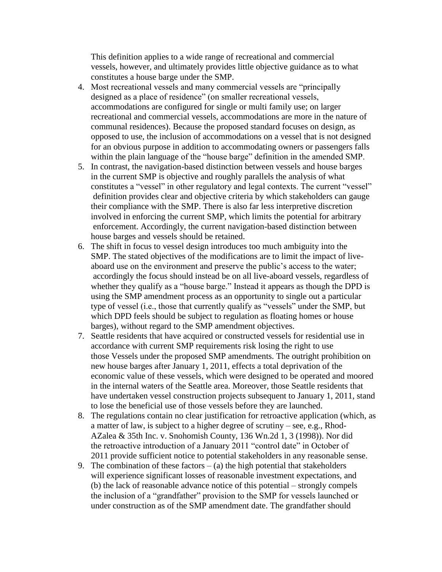This definition applies to a wide range of recreational and commercial vessels, however, and ultimately provides little objective guidance as to what constitutes a house barge under the SMP.

- 4. Most recreational vessels and many commercial vessels are "principally designed as a place of residence" (on smaller recreational vessels, accommodations are configured for single or multi family use; on larger recreational and commercial vessels, accommodations are more in the nature of communal residences). Because the proposed standard focuses on design, as opposed to use, the inclusion of accommodations on a vessel that is not designed for an obvious purpose in addition to accommodating owners or passengers falls within the plain language of the "house barge" definition in the amended SMP.
- 5. In contrast, the navigation-based distinction between vessels and house barges in the current SMP is objective and roughly parallels the analysis of what constitutes a "vessel" in other regulatory and legal contexts. The current "vessel" definition provides clear and objective criteria by which stakeholders can gauge their compliance with the SMP. There is also far less interpretive discretion involved in enforcing the current SMP, which limits the potential for arbitrary enforcement. Accordingly, the current navigation-based distinction between house barges and vessels should be retained.
- 6. The shift in focus to vessel design introduces too much ambiguity into the SMP. The stated objectives of the modifications are to limit the impact of liveaboard use on the environment and preserve the public's access to the water; accordingly the focus should instead be on all live-aboard vessels, regardless of whether they qualify as a "house barge." Instead it appears as though the DPD is using the SMP amendment process as an opportunity to single out a particular type of vessel (i.e., those that currently qualify as "vessels" under the SMP, but which DPD feels should be subject to regulation as floating homes or house barges), without regard to the SMP amendment objectives.
- 7. Seattle residents that have acquired or constructed vessels for residential use in accordance with current SMP requirements risk losing the right to use those Vessels under the proposed SMP amendments. The outright prohibition on new house barges after January 1, 2011, effects a total deprivation of the economic value of these vessels, which were designed to be operated and moored in the internal waters of the Seattle area. Moreover, those Seattle residents that have undertaken vessel construction projects subsequent to January 1, 2011, stand to lose the beneficial use of those vessels before they are launched.
- 8. The regulations contain no clear justification for retroactive application (which, as a matter of law, is subject to a higher degree of scrutiny – see, e.g., Rhod-AZalea & 35th Inc. v. Snohomish County, 136 Wn.2d 1, 3 (1998)). Nor did the retroactive introduction of a January 2011 "control date" in October of 2011 provide sufficient notice to potential stakeholders in any reasonable sense.
- 9. The combination of these factors  $-$  (a) the high potential that stakeholders will experience significant losses of reasonable investment expectations, and (b) the lack of reasonable advance notice of this potential – strongly compels the inclusion of a "grandfather" provision to the SMP for vessels launched or under construction as of the SMP amendment date. The grandfather should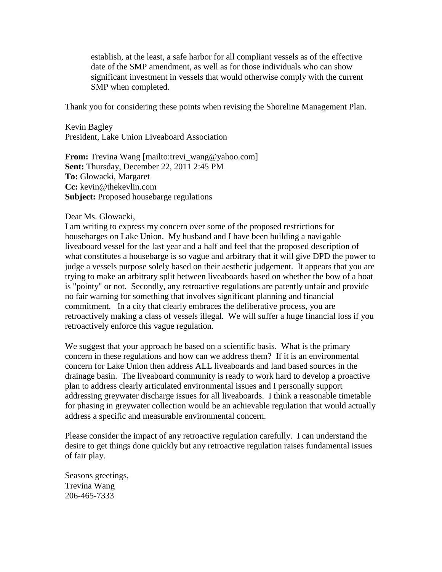establish, at the least, a safe harbor for all compliant vessels as of the effective date of the SMP amendment, as well as for those individuals who can show significant investment in vessels that would otherwise comply with the current SMP when completed.

Thank you for considering these points when revising the Shoreline Management Plan.

Kevin Bagley President, Lake Union Liveaboard Association

**From:** Trevina Wang [mailto:trevi\_wang@yahoo.com] **Sent:** Thursday, December 22, 2011 2:45 PM **To:** Glowacki, Margaret **Cc:** kevin@thekevlin.com **Subject:** Proposed housebarge regulations

#### Dear Ms. Glowacki,

I am writing to express my concern over some of the proposed restrictions for housebarges on Lake Union. My husband and I have been building a navigable liveaboard vessel for the last year and a half and feel that the proposed description of what constitutes a housebarge is so vague and arbitrary that it will give DPD the power to judge a vessels purpose solely based on their aesthetic judgement. It appears that you are trying to make an arbitrary split between liveaboards based on whether the bow of a boat is "pointy" or not. Secondly, any retroactive regulations are patently unfair and provide no fair warning for something that involves significant planning and financial commitment. In a city that clearly embraces the deliberative process, you are retroactively making a class of vessels illegal. We will suffer a huge financial loss if you retroactively enforce this vague regulation.

We suggest that your approach be based on a scientific basis. What is the primary concern in these regulations and how can we address them? If it is an environmental concern for Lake Union then address ALL liveaboards and land based sources in the drainage basin. The liveaboard community is ready to work hard to develop a proactive plan to address clearly articulated environmental issues and I personally support addressing greywater discharge issues for all liveaboards. I think a reasonable timetable for phasing in greywater collection would be an achievable regulation that would actually address a specific and measurable environmental concern.

Please consider the impact of any retroactive regulation carefully. I can understand the desire to get things done quickly but any retroactive regulation raises fundamental issues of fair play.

Seasons greetings, Trevina Wang 206-465-7333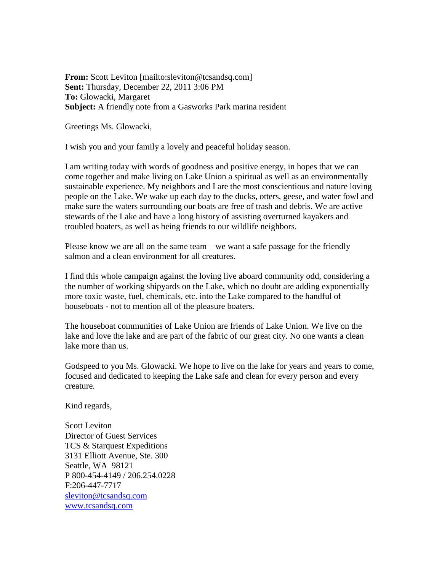**From:** Scott Leviton [mailto:sleviton@tcsandsq.com] **Sent:** Thursday, December 22, 2011 3:06 PM **To:** Glowacki, Margaret **Subject:** A friendly note from a Gasworks Park marina resident

Greetings Ms. Glowacki,

I wish you and your family a lovely and peaceful holiday season.

I am writing today with words of goodness and positive energy, in hopes that we can come together and make living on Lake Union a spiritual as well as an environmentally sustainable experience. My neighbors and I are the most conscientious and nature loving people on the Lake. We wake up each day to the ducks, otters, geese, and water fowl and make sure the waters surrounding our boats are free of trash and debris. We are active stewards of the Lake and have a long history of assisting overturned kayakers and troubled boaters, as well as being friends to our wildlife neighbors.

Please know we are all on the same team – we want a safe passage for the friendly salmon and a clean environment for all creatures.

I find this whole campaign against the loving live aboard community odd, considering a the number of working shipyards on the Lake, which no doubt are adding exponentially more toxic waste, fuel, chemicals, etc. into the Lake compared to the handful of houseboats - not to mention all of the pleasure boaters.

The houseboat communities of Lake Union are friends of Lake Union. We live on the lake and love the lake and are part of the fabric of our great city. No one wants a clean lake more than us.

Godspeed to you Ms. Glowacki. We hope to live on the lake for years and years to come, focused and dedicated to keeping the Lake safe and clean for every person and every creature.

Kind regards,

Scott Leviton Director of Guest Services TCS & Starquest Expeditions 3131 Elliott Avenue, Ste. 300 Seattle, WA 98121 P 800-454-4149 / 206.254.0228 F:206-447-7717 [sleviton@tcsandsq.com](mailto:sleviton@tcsandstarquestexpeditions.com) [www.tcsandsq.com](http://www.tcsandsq.com/)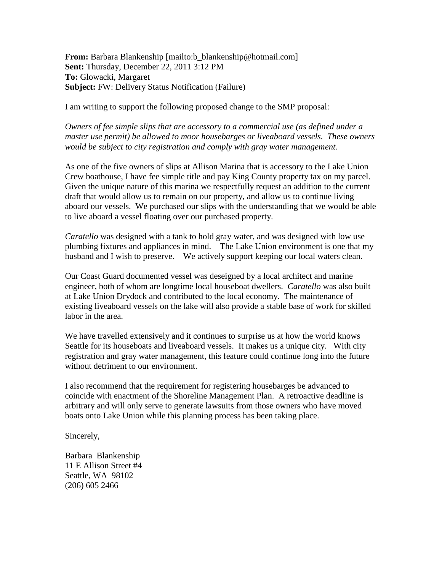**From:** Barbara Blankenship [mailto:b\_blankenship@hotmail.com] **Sent:** Thursday, December 22, 2011 3:12 PM **To:** Glowacki, Margaret **Subject:** FW: Delivery Status Notification (Failure)

I am writing to support the following proposed change to the SMP proposal:

*Owners of fee simple slips that are accessory to a commercial use (as defined under a master use permit) be allowed to moor housebarges or liveaboard vessels. These owners would be subject to city registration and comply with gray water management.*

As one of the five owners of slips at Allison Marina that is accessory to the Lake Union Crew boathouse, I have fee simple title and pay King County property tax on my parcel. Given the unique nature of this marina we respectfully request an addition to the current draft that would allow us to remain on our property, and allow us to continue living aboard our vessels. We purchased our slips with the understanding that we would be able to live aboard a vessel floating over our purchased property.

*Caratello* was designed with a tank to hold gray water, and was designed with low use plumbing fixtures and appliances in mind. The Lake Union environment is one that my husband and I wish to preserve. We actively support keeping our local waters clean.

Our Coast Guard documented vessel was deseigned by a local architect and marine engineer, both of whom are longtime local houseboat dwellers. *Caratello* was also built at Lake Union Drydock and contributed to the local economy. The maintenance of existing liveaboard vessels on the lake will also provide a stable base of work for skilled labor in the area.

We have travelled extensively and it continues to surprise us at how the world knows Seattle for its houseboats and liveaboard vessels. It makes us a unique city. With city registration and gray water management, this feature could continue long into the future without detriment to our environment.

I also recommend that the requirement for registering housebarges be advanced to coincide with enactment of the Shoreline Management Plan. A retroactive deadline is arbitrary and will only serve to generate lawsuits from those owners who have moved boats onto Lake Union while this planning process has been taking place.

Sincerely,

Barbara Blankenship 11 E Allison Street #4 Seattle, WA 98102 (206) 605 2466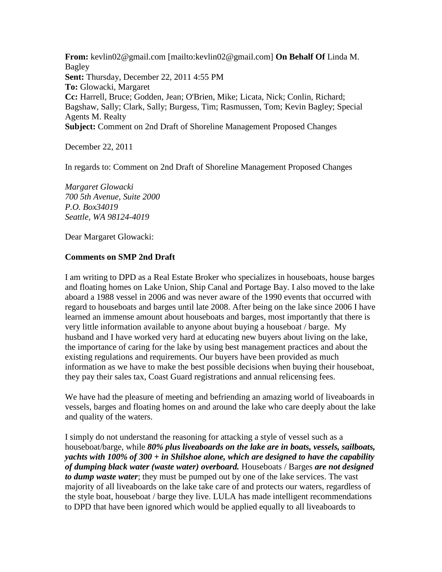**From:** kevlin02@gmail.com [mailto:kevlin02@gmail.com] **On Behalf Of** Linda M. Bagley **Sent:** Thursday, December 22, 2011 4:55 PM **To:** Glowacki, Margaret **Cc:** Harrell, Bruce; Godden, Jean; O'Brien, Mike; Licata, Nick; Conlin, Richard; Bagshaw, Sally; Clark, Sally; Burgess, Tim; Rasmussen, Tom; Kevin Bagley; Special Agents M. Realty **Subject:** Comment on 2nd Draft of Shoreline Management Proposed Changes

December 22, 2011

In regards to: Comment on 2nd Draft of Shoreline Management Proposed Changes

*Margaret Glowacki 700 5th Avenue, Suite 2000 P.O. Box34019 Seattle, WA 98124-4019*

Dear Margaret Glowacki:

### **Comments on SMP 2nd Draft**

I am writing to DPD as a Real Estate Broker who specializes in houseboats, house barges and floating homes on Lake Union, Ship Canal and Portage Bay. I also moved to the lake aboard a 1988 vessel in 2006 and was never aware of the 1990 events that occurred with regard to houseboats and barges until late 2008. After being on the lake since 2006 I have learned an immense amount about houseboats and barges, most importantly that there is very little information available to anyone about buying a houseboat / barge. My husband and I have worked very hard at educating new buyers about living on the lake, the importance of caring for the lake by using best management practices and about the existing regulations and requirements. Our buyers have been provided as much information as we have to make the best possible decisions when buying their houseboat, they pay their sales tax, Coast Guard registrations and annual relicensing fees.

We have had the pleasure of meeting and befriending an amazing world of liveaboards in vessels, barges and floating homes on and around the lake who care deeply about the lake and quality of the waters.

I simply do not understand the reasoning for attacking a style of vessel such as a houseboat/barge, while *80% plus liveaboards on the lake are in boats, vessels, sailboats, yachts with 100% of 300 + in Shilshoe alone, which are designed to have the capability of dumping black water (waste water) overboard.* Houseboats / Barges *are not designed to dump waste water*; they must be pumped out by one of the lake services. The vast majority of all liveaboards on the lake take care of and protects our waters, regardless of the style boat, houseboat / barge they live. LULA has made intelligent recommendations to DPD that have been ignored which would be applied equally to all liveaboards to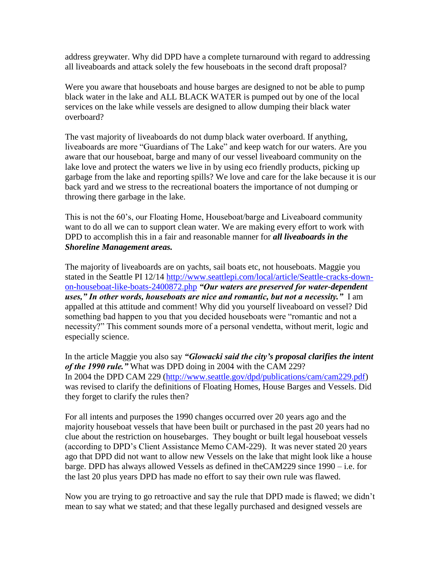address greywater. Why did DPD have a complete turnaround with regard to addressing all liveaboards and attack solely the few houseboats in the second draft proposal?

Were you aware that houseboats and house barges are designed to not be able to pump black water in the lake and ALL BLACK WATER is pumped out by one of the local services on the lake while vessels are designed to allow dumping their black water overboard?

The vast majority of liveaboards do not dump black water overboard. If anything, liveaboards are more "Guardians of The Lake" and keep watch for our waters. Are you aware that our houseboat, barge and many of our vessel liveaboard community on the lake love and protect the waters we live in by using eco friendly products, picking up garbage from the lake and reporting spills? We love and care for the lake because it is our back yard and we stress to the recreational boaters the importance of not dumping or throwing there garbage in the lake.

This is not the 60's, our Floating Home, Houseboat/barge and Liveaboard community want to do all we can to support clean water. We are making every effort to work with DPD to accomplish this in a fair and reasonable manner for *all liveaboards in the Shoreline Management areas.*

The majority of liveaboards are on yachts, sail boats etc, not houseboats. Maggie you stated in the Seattle PI 12/14 [http://www.seattlepi.com/local/article/Seattle-cracks-down](http://www.seattlepi.com/local/article/Seattle-cracks-down-on-houseboat-like-boats-2400872.php?fb_comment_id=fbc_5008752336501_3900665_5008753023501)[on-houseboat-like-boats-2400872.php](http://www.seattlepi.com/local/article/Seattle-cracks-down-on-houseboat-like-boats-2400872.php?fb_comment_id=fbc_5008752336501_3900665_5008753023501) *"Our waters are preserved for water-dependent uses," In other words, houseboats are nice and romantic, but not a necessity."* I am appalled at this attitude and comment! Why did you yourself liveaboard on vessel? Did something bad happen to you that you decided houseboats were "romantic and not a necessity?" This comment sounds more of a personal vendetta, without merit, logic and especially science.

In the article Maggie you also say *"Glowacki said the city's proposal clarifies the intent of the 1990 rule."* What was DPD doing in 2004 with the CAM 229? In 2004 the DPD CAM 229 [\(http://www.seattle.gov/dpd/publications/cam/cam229.pdf\)](http://www.seattle.gov/dpd/publications/cam/cam229.pdf) was revised to clarify the definitions of Floating Homes, House Barges and Vessels. Did they forget to clarify the rules then?

For all intents and purposes the 1990 changes occurred over 20 years ago and the majority houseboat vessels that have been built or purchased in the past 20 years had no clue about the restriction on housebarges. They bought or built legal houseboat vessels (according to DPD's Client Assistance Memo CAM-229). It was never stated 20 years ago that DPD did not want to allow new Vessels on the lake that might look like a house barge. DPD has always allowed Vessels as defined in theCAM229 since 1990 – i.e. for the last 20 plus years DPD has made no effort to say their own rule was flawed.

Now you are trying to go retroactive and say the rule that DPD made is flawed; we didn't mean to say what we stated; and that these legally purchased and designed vessels are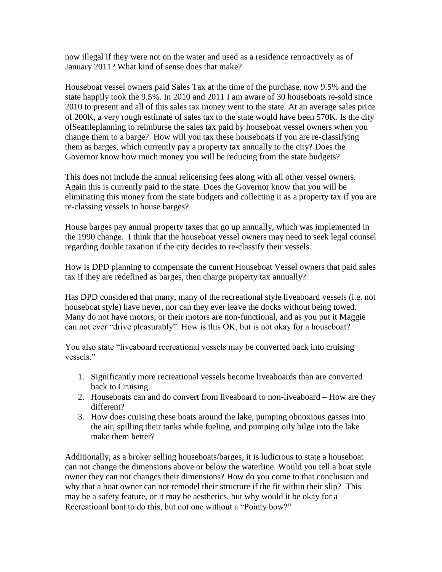now illegal if they were not on the water and used as a residence retroactively as of January 2011? What kind of sense does that make?

Houseboat vessel owners paid Sales Tax at the time of the purchase, now 9.5% and the state happily took the 9.5%. In 2010 and 2011 I am aware of 30 houseboats re-sold since 2010 to present and all of this sales tax money went to the state. At an average sales price of 200K, a very rough estimate of sales tax to the state would have been 570K. Is the city ofSeattleplanning to reimburse the sales tax paid by houseboat vessel owners when you change them to a barge? How will you tax these houseboats if you are re-classifying them as barges, which currently pay a property tax annually to the city? Does the Governor know how much money you will be reducing from the state budgets?

This does not include the annual relicensing fees along with all other vessel owners. Again this is currently paid to the state. Does the Governor know that you will be eliminating this money from the state budgets and collecting it as a property tax if you are re-classing vessels to house barges?

House barges pay annual property taxes that go up annually, which was implemented in the 1990 change. I think that the houseboat vessel owners may need to seek legal counsel regarding double taxation if the city decides to re-classify their vessels.

How is DPD planning to compensate the current Houseboat Vessel owners that paid sales tax if they are redefined as barges, then charge property tax annually?

Has DPD considered that many, many of the recreational style liveaboard vessels (i.e. not houseboat style) have never, nor can they ever leave the docks without being towed. Many do not have motors, or their motors are non-functional, and as you put it Maggie can not ever "drive pleasurably". How is this OK, but is not okay for a houseboat?

You also state "liveaboard recreational vessels may be converted back into cruising vessels."

- 1. Significantly more recreational vessels become liveaboards than are converted back to Cruising.
- 2. Houseboats can and do convert from liveaboard to non-liveaboard How are they different?
- 3. How does cruising these boats around the lake, pumping obnoxious gasses into the air, spilling their tanks while fueling, and pumping oily bilge into the lake make them better?

Additionally, as a broker selling houseboats/barges, it is ludicrous to state a houseboat can not change the dimensions above or below the waterline. Would you tell a boat style owner they can not changes their dimensions? How do you come to that conclusion and why that a boat owner can not remodel their structure if the fit within their slip? This may be a safety feature, or it may be aesthetics, but why would it be okay for a Recreational boat to do this, but not one without a "Pointy bow?"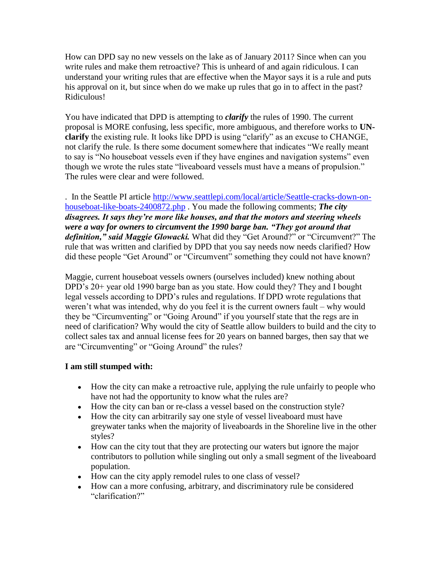How can DPD say no new vessels on the lake as of January 2011? Since when can you write rules and make them retroactive? This is unheard of and again ridiculous. I can understand your writing rules that are effective when the Mayor says it is a rule and puts his approval on it, but since when do we make up rules that go in to affect in the past? Ridiculous!

You have indicated that DPD is attempting to *clarify* the rules of 1990. The current proposal is MORE confusing, less specific, more ambiguous, and therefore works to **UNclarify** the existing rule. It looks like DPD is using "clarify" as an excuse to CHANGE, not clarify the rule. Is there some document somewhere that indicates "We really meant to say is "No houseboat vessels even if they have engines and navigation systems" even though we wrote the rules state "liveaboard vessels must have a means of propulsion." The rules were clear and were followed.

. In the Seattle PI article [http://www.seattlepi.com/local/article/Seattle-cracks-down-on](http://www.seattlepi.com/local/article/Seattle-cracks-down-on-houseboat-like-boats-2400872.php)[houseboat-like-boats-2400872.php](http://www.seattlepi.com/local/article/Seattle-cracks-down-on-houseboat-like-boats-2400872.php) . You made the following comments; *The city disagrees. It says they're more like houses, and that the motors and steering wheels were a way for owners to circumvent the 1990 barge ban. "They got around that definition," said Maggie Glowacki.* What did they "Get Around?" or "Circumvent?" The rule that was written and clarified by DPD that you say needs now needs clarified? How did these people "Get Around" or "Circumvent" something they could not have known?

Maggie, current houseboat vessels owners (ourselves included) knew nothing about DPD's 20+ year old 1990 barge ban as you state. How could they? They and I bought legal vessels according to DPD's rules and regulations. If DPD wrote regulations that weren't what was intended, why do you feel it is the current owners fault – why would they be "Circumventing" or "Going Around" if you yourself state that the regs are in need of clarification? Why would the city of Seattle allow builders to build and the city to collect sales tax and annual license fees for 20 years on banned barges, then say that we are "Circumventing" or "Going Around" the rules?

## **I am still stumped with:**

- How the city can make a retroactive rule, applying the rule unfairly to people who have not had the opportunity to know what the rules are?
- How the city can ban or re-class a vessel based on the construction style?
- How the city can arbitrarily say one style of vessel liveaboard must have greywater tanks when the majority of liveaboards in the Shoreline live in the other styles?
- How can the city tout that they are protecting our waters but ignore the major contributors to pollution while singling out only a small segment of the liveaboard population.
- How can the city apply remodel rules to one class of vessel?
- How can a more confusing, arbitrary, and discriminatory rule be considered "clarification?"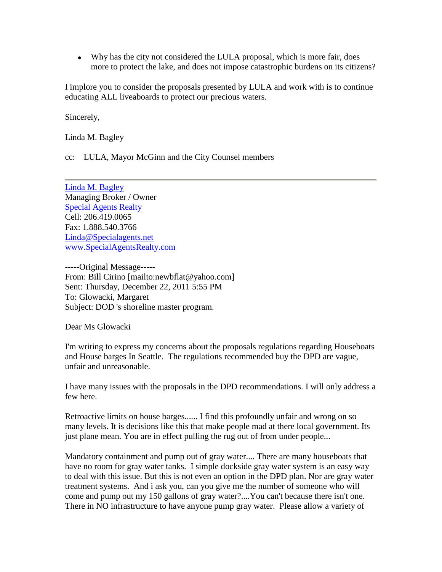Why has the city not considered the LULA proposal, which is more fair, does more to protect the lake, and does not impose catastrophic burdens on its citizens?

I implore you to consider the proposals presented by LULA and work with is to continue educating ALL liveaboards to protect our precious waters.

Sincerely,

Linda M. Bagley

cc: LULA, Mayor McGinn and the City Counsel members

[Linda M. Bagley](mailto:Linda@specialagents.net) Managing Broker / Owner [Special Agents Realty](http://www.specialagentsrealty.com/) Cell: 206.419.0065 Fax: 1.888.540.3766 [Linda@Specialagents.net](mailto:Linda@Specialagents.net) [www.SpecialAgentsRealty.com](http://www.specialagentsrealty.com/)

-----Original Message----- From: Bill Cirino [mailto:newbflat@yahoo.com] Sent: Thursday, December 22, 2011 5:55 PM To: Glowacki, Margaret Subject: DOD 's shoreline master program.

Dear Ms Glowacki

I'm writing to express my concerns about the proposals regulations regarding Houseboats and House barges In Seattle. The regulations recommended buy the DPD are vague, unfair and unreasonable.

I have many issues with the proposals in the DPD recommendations. I will only address a few here.

Retroactive limits on house barges...... I find this profoundly unfair and wrong on so many levels. It is decisions like this that make people mad at there local government. Its just plane mean. You are in effect pulling the rug out of from under people...

Mandatory containment and pump out of gray water.... There are many houseboats that have no room for gray water tanks. I simple dockside gray water system is an easy way to deal with this issue. But this is not even an option in the DPD plan. Nor are gray water treatment systems. And i ask you, can you give me the number of someone who will come and pump out my 150 gallons of gray water?....You can't because there isn't one. There in NO infrastructure to have anyone pump gray water. Please allow a variety of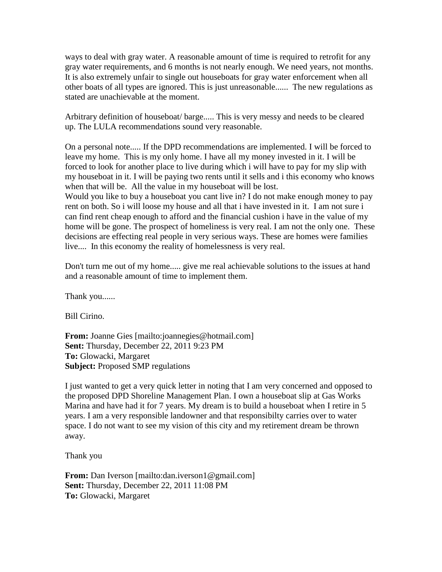ways to deal with gray water. A reasonable amount of time is required to retrofit for any gray water requirements, and 6 months is not nearly enough. We need years, not months. It is also extremely unfair to single out houseboats for gray water enforcement when all other boats of all types are ignored. This is just unreasonable...... The new regulations as stated are unachievable at the moment.

Arbitrary definition of houseboat/ barge..... This is very messy and needs to be cleared up. The LULA recommendations sound very reasonable.

On a personal note..... If the DPD recommendations are implemented. I will be forced to leave my home. This is my only home. I have all my money invested in it. I will be forced to look for another place to live during which i will have to pay for my slip with my houseboat in it. I will be paying two rents until it sells and i this economy who knows when that will be. All the value in my houseboat will be lost.

Would you like to buy a houseboat you cant live in? I do not make enough money to pay rent on both. So i will loose my house and all that i have invested in it. I am not sure i can find rent cheap enough to afford and the financial cushion i have in the value of my home will be gone. The prospect of homeliness is very real. I am not the only one. These decisions are effecting real people in very serious ways. These are homes were families live.... In this economy the reality of homelessness is very real.

Don't turn me out of my home..... give me real achievable solutions to the issues at hand and a reasonable amount of time to implement them.

Thank you......

Bill Cirino.

**From:** Joanne Gies [mailto:joannegies@hotmail.com] **Sent:** Thursday, December 22, 2011 9:23 PM **To:** Glowacki, Margaret **Subject:** Proposed SMP regulations

I just wanted to get a very quick letter in noting that I am very concerned and opposed to the proposed DPD Shoreline Management Plan. I own a houseboat slip at Gas Works Marina and have had it for 7 years. My dream is to build a houseboat when I retire in 5 years. I am a very responsible landowner and that responsibilty carries over to water space. I do not want to see my vision of this city and my retirement dream be thrown away.

Thank you

**From:** Dan Iverson [mailto:dan.iverson1@gmail.com] **Sent:** Thursday, December 22, 2011 11:08 PM **To:** Glowacki, Margaret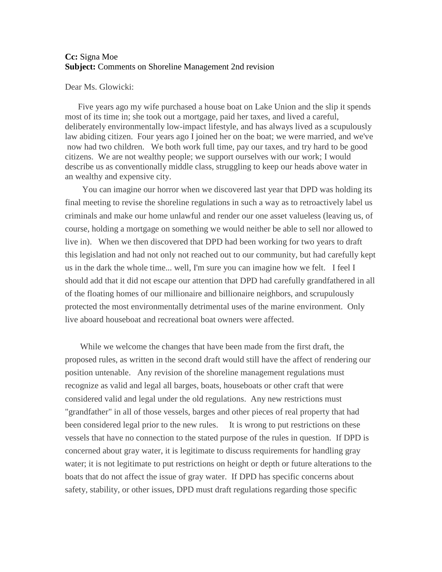### **Cc:** Signa Moe **Subject:** Comments on Shoreline Management 2nd revision

#### Dear Ms. Glowicki:

Five years ago my wife purchased a house boat on Lake Union and the slip it spends most of its time in; she took out a mortgage, paid her taxes, and lived a careful, deliberately environmentally low-impact lifestyle, and has always lived as a scupulously law abiding citizen. Four years ago I joined her on the boat; we were married, and we've now had two children. We both work full time, pay our taxes, and try hard to be good citizens. We are not wealthy people; we support ourselves with our work; I would describe us as conventionally middle class, struggling to keep our heads above water in an wealthy and expensive city.

You can imagine our horror when we discovered last year that DPD was holding its final meeting to revise the shoreline regulations in such a way as to retroactively label us criminals and make our home unlawful and render our one asset valueless (leaving us, of course, holding a mortgage on something we would neither be able to sell nor allowed to live in). When we then discovered that DPD had been working for two years to draft this legislation and had not only not reached out to our community, but had carefully kept us in the dark the whole time... well, I'm sure you can imagine how we felt. I feel I should add that it did not escape our attention that DPD had carefully grandfathered in all of the floating homes of our millionaire and billionaire neighbors, and scrupulously protected the most environmentally detrimental uses of the marine environment. Only live aboard houseboat and recreational boat owners were affected.

While we welcome the changes that have been made from the first draft, the proposed rules, as written in the second draft would still have the affect of rendering our position untenable. Any revision of the shoreline management regulations must recognize as valid and legal all barges, boats, houseboats or other craft that were considered valid and legal under the old regulations. Any new restrictions must "grandfather" in all of those vessels, barges and other pieces of real property that had been considered legal prior to the new rules. It is wrong to put restrictions on these vessels that have no connection to the stated purpose of the rules in question. If DPD is concerned about gray water, it is legitimate to discuss requirements for handling gray water; it is not legitimate to put restrictions on height or depth or future alterations to the boats that do not affect the issue of gray water. If DPD has specific concerns about safety, stability, or other issues, DPD must draft regulations regarding those specific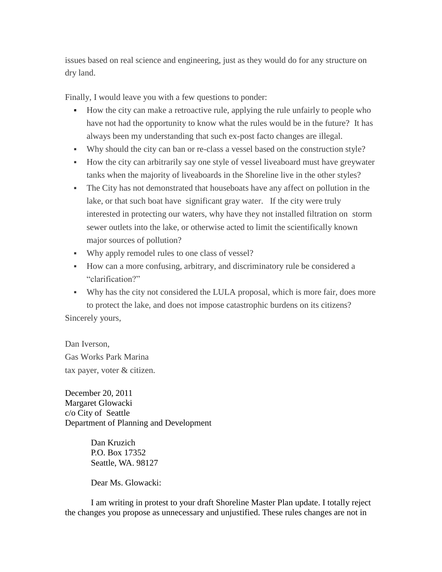issues based on real science and engineering, just as they would do for any structure on dry land.

Finally, I would leave you with a few questions to ponder:

- How the city can make a retroactive rule, applying the rule unfairly to people who have not had the opportunity to know what the rules would be in the future? It has always been my understanding that such ex-post facto changes are illegal.
- Why should the city can ban or re-class a vessel based on the construction style?
- How the city can arbitrarily say one style of vessel liveaboard must have greywater tanks when the majority of liveaboards in the Shoreline live in the other styles?
- The City has not demonstrated that houseboats have any affect on pollution in the lake, or that such boat have significant gray water. If the city were truly interested in protecting our waters, why have they not installed filtration on storm sewer outlets into the lake, or otherwise acted to limit the scientifically known major sources of pollution?
- Why apply remodel rules to one class of vessel?
- How can a more confusing, arbitrary, and discriminatory rule be considered a "clarification?"
- Why has the city not considered the LULA proposal, which is more fair, does more to protect the lake, and does not impose catastrophic burdens on its citizens?

Sincerely yours,

Dan Iverson, Gas Works Park Marina tax payer, voter & citizen.

December 20, 2011 Margaret Glowacki c/o City of Seattle Department of Planning and Development

> Dan Kruzich P.O. Box 17352 Seattle, WA. 98127

Dear Ms. Glowacki:

I am writing in protest to your draft Shoreline Master Plan update. I totally reject the changes you propose as unnecessary and unjustified. These rules changes are not in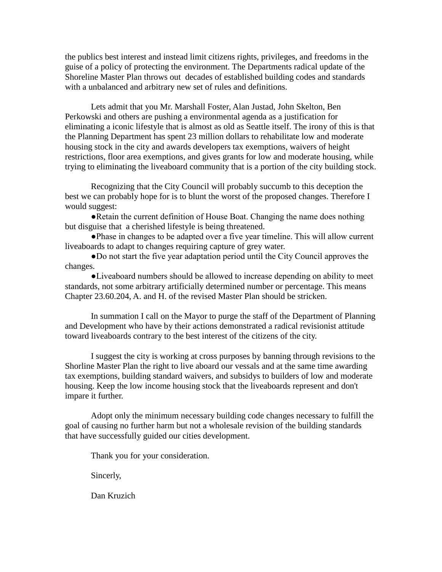the publics best interest and instead limit citizens rights, privileges, and freedoms in the guise of a policy of protecting the environment. The Departments radical update of the Shoreline Master Plan throws out decades of established building codes and standards with a unbalanced and arbitrary new set of rules and definitions.

Lets admit that you Mr. Marshall Foster, Alan Justad, John Skelton, Ben Perkowski and others are pushing a environmental agenda as a justification for eliminating a iconic lifestyle that is almost as old as Seattle itself. The irony of this is that the Planning Department has spent 23 million dollars to rehabilitate low and moderate housing stock in the city and awards developers tax exemptions, waivers of height restrictions, floor area exemptions, and gives grants for low and moderate housing, while trying to eliminating the liveaboard community that is a portion of the city building stock.

Recognizing that the City Council will probably succumb to this deception the best we can probably hope for is to blunt the worst of the proposed changes. Therefore I would suggest:

●Retain the current definition of House Boat. Changing the name does nothing but disguise that a cherished lifestyle is being threatened.

●Phase in changes to be adapted over a five year timeline. This will allow current liveaboards to adapt to changes requiring capture of grey water.

●Do not start the five year adaptation period until the City Council approves the changes.

●Liveaboard numbers should be allowed to increase depending on ability to meet standards, not some arbitrary artificially determined number or percentage. This means Chapter 23.60.204, A. and H. of the revised Master Plan should be stricken.

In summation I call on the Mayor to purge the staff of the Department of Planning and Development who have by their actions demonstrated a radical revisionist attitude toward liveaboards contrary to the best interest of the citizens of the city.

I suggest the city is working at cross purposes by banning through revisions to the Shorline Master Plan the right to live aboard our vessals and at the same time awarding tax exemptions, building standard waivers, and subsidys to builders of low and moderate housing. Keep the low income housing stock that the liveaboards represent and don't impare it further.

Adopt only the minimum necessary building code changes necessary to fulfill the goal of causing no further harm but not a wholesale revision of the building standards that have successfully guided our cities development.

Thank you for your consideration.

Sincerly,

Dan Kruzich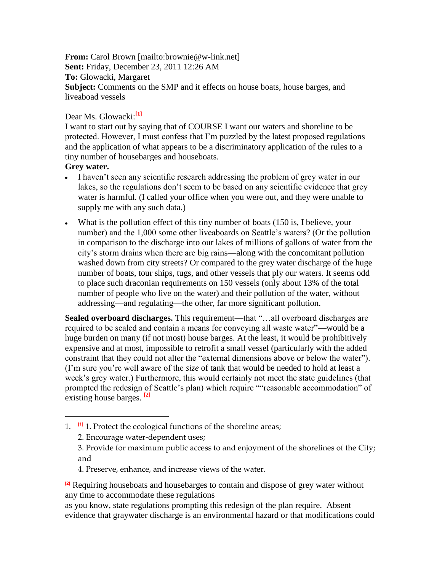**From:** Carol Brown [mailto:brownie@w-link.net] **Sent:** Friday, December 23, 2011 12:26 AM **To:** Glowacki, Margaret **Subject:** Comments on the SMP and it effects on house boats, house barges, and liveaboad vessels

## Dear Ms. Glowacki:**[1]**

I want to start out by saying that of COURSE I want our waters and shoreline to be protected. However, I must confess that I'm puzzled by the latest proposed regulations and the application of what appears to be a discriminatory application of the rules to a tiny number of housebarges and houseboats.

## **Grey water.**

 $\overline{a}$ 

- I haven't seen any scientific research addressing the problem of grey water in our lakes, so the regulations don't seem to be based on any scientific evidence that grey water is harmful. (I called your office when you were out, and they were unable to supply me with any such data.)
- What is the pollution effect of this tiny number of boats (150 is, I believe, your number) and the 1,000 some other liveaboards on Seattle's waters? (Or the pollution in comparison to the discharge into our lakes of millions of gallons of water from the city's storm drains when there are big rains—along with the concomitant pollution washed down from city streets? Or compared to the grey water discharge of the huge number of boats, tour ships, tugs, and other vessels that ply our waters. It seems odd to place such draconian requirements on 150 vessels (only about 13% of the total number of people who live on the water) and their pollution of the water, without addressing—and regulating—the other, far more significant pollution.

**Sealed overboard discharges.** This requirement—that "…all overboard discharges are required to be sealed and contain a means for conveying all waste water"—would be a huge burden on many (if not most) house barges. At the least, it would be prohibitively expensive and at most, impossible to retrofit a small vessel (particularly with the added constraint that they could not alter the "external dimensions above or below the water"). (I'm sure you're well aware of the *size* of tank that would be needed to hold at least a week's grey water.) Furthermore, this would certainly not meet the state guidelines (that prompted the redesign of Seattle's plan) which require ""reasonable accommodation" of existing house barges. **[2]**

4. Preserve, enhance, and increase views of the water.

**[2]** Requiring houseboats and housebarges to contain and dispose of grey water without any time to accommodate these regulations

as you know, state regulations prompting this redesign of the plan require. Absent evidence that graywater discharge is an environmental hazard or that modifications could

<sup>1.</sup> **[1]** 1. Protect the ecological functions of the shoreline areas;

<sup>2.</sup> Encourage water-dependent uses;

<sup>3.</sup> Provide for maximum public access to and enjoyment of the shorelines of the City; and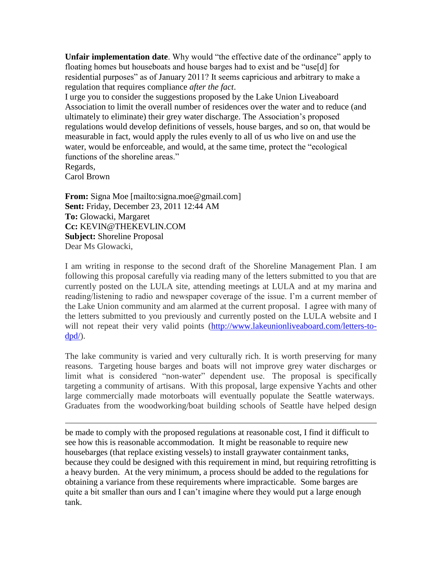**Unfair implementation date**. Why would "the effective date of the ordinance" apply to floating homes but houseboats and house barges had to exist and be "use[d] for residential purposes" as of January 2011? It seems capricious and arbitrary to make a regulation that requires compliance *after the fact*.

I urge you to consider the suggestions proposed by the Lake Union Liveaboard Association to limit the overall number of residences over the water and to reduce (and ultimately to eliminate) their grey water discharge. The Association's proposed regulations would develop definitions of vessels, house barges, and so on, that would be measurable in fact, would apply the rules evenly to all of us who live on and use the water, would be enforceable, and would, at the same time, protect the "ecological functions of the shoreline areas." Regards,

Carol Brown

 $\overline{a}$ 

**From:** Signa Moe [mailto:signa.moe@gmail.com] **Sent:** Friday, December 23, 2011 12:44 AM **To:** Glowacki, Margaret **Cc:** KEVIN@THEKEVLIN.COM **Subject:** Shoreline Proposal Dear Ms Glowacki,

I am writing in response to the second draft of the Shoreline Management Plan. I am following this proposal carefully via reading many of the letters submitted to you that are currently posted on the LULA site, attending meetings at LULA and at my marina and reading/listening to radio and newspaper coverage of the issue. I'm a current member of the Lake Union community and am alarmed at the current proposal. I agree with many of the letters submitted to you previously and currently posted on the LULA website and I will not repeat their very valid points [\(http://www.lakeunionliveaboard.com/letters-to](http://www.lakeunionliveaboard.com/letters-to-dpd/) $dpd$ .

The lake community is varied and very culturally rich. It is worth preserving for many reasons. Targeting house barges and boats will not improve grey water discharges or limit what is considered "non-water" dependent use. The proposal is specifically targeting a community of artisans. With this proposal, large expensive Yachts and other large commercially made motorboats will eventually populate the Seattle waterways. Graduates from the woodworking/boat building schools of Seattle have helped design

be made to comply with the proposed regulations at reasonable cost, I find it difficult to see how this is reasonable accommodation. It might be reasonable to require new housebarges (that replace existing vessels) to install graywater containment tanks, because they could be designed with this requirement in mind, but requiring retrofitting is a heavy burden. At the very minimum, a process should be added to the regulations for obtaining a variance from these requirements where impracticable. Some barges are quite a bit smaller than ours and I can't imagine where they would put a large enough tank.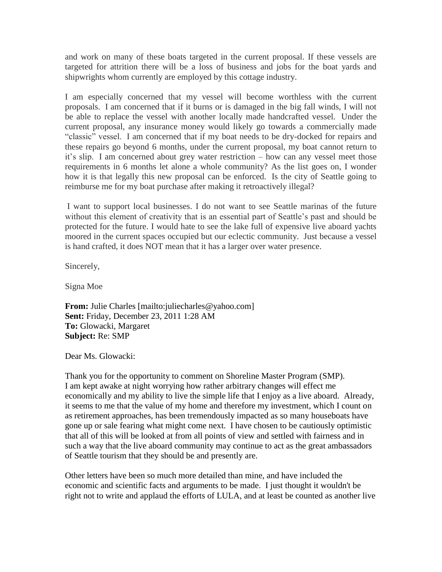and work on many of these boats targeted in the current proposal. If these vessels are targeted for attrition there will be a loss of business and jobs for the boat yards and shipwrights whom currently are employed by this cottage industry.

I am especially concerned that my vessel will become worthless with the current proposals. I am concerned that if it burns or is damaged in the big fall winds, I will not be able to replace the vessel with another locally made handcrafted vessel. Under the current proposal, any insurance money would likely go towards a commercially made "classic" vessel. I am concerned that if my boat needs to be dry-docked for repairs and these repairs go beyond 6 months, under the current proposal, my boat cannot return to it's slip. I am concerned about grey water restriction – how can any vessel meet those requirements in 6 months let alone a whole community? As the list goes on, I wonder how it is that legally this new proposal can be enforced. Is the city of Seattle going to reimburse me for my boat purchase after making it retroactively illegal?

I want to support local businesses. I do not want to see Seattle marinas of the future without this element of creativity that is an essential part of Seattle's past and should be protected for the future. I would hate to see the lake full of expensive live aboard yachts moored in the current spaces occupied but our eclectic community. Just because a vessel is hand crafted, it does NOT mean that it has a larger over water presence.

Sincerely,

Signa Moe

**From:** Julie Charles [mailto:juliecharles@yahoo.com] **Sent:** Friday, December 23, 2011 1:28 AM **To:** Glowacki, Margaret **Subject:** Re: SMP

Dear Ms. Glowacki:

Thank you for the opportunity to comment on Shoreline Master Program (SMP). I am kept awake at night worrying how rather arbitrary changes will effect me economically and my ability to live the simple life that I enjoy as a live aboard. Already, it seems to me that the value of my home and therefore my investment, which I count on as retirement approaches, has been tremendously impacted as so many houseboats have gone up or sale fearing what might come next. I have chosen to be cautiously optimistic that all of this will be looked at from all points of view and settled with fairness and in such a way that the live aboard community may continue to act as the great ambassadors of Seattle tourism that they should be and presently are.

Other letters have been so much more detailed than mine, and have included the economic and scientific facts and arguments to be made. I just thought it wouldn't be right not to write and applaud the efforts of LULA, and at least be counted as another live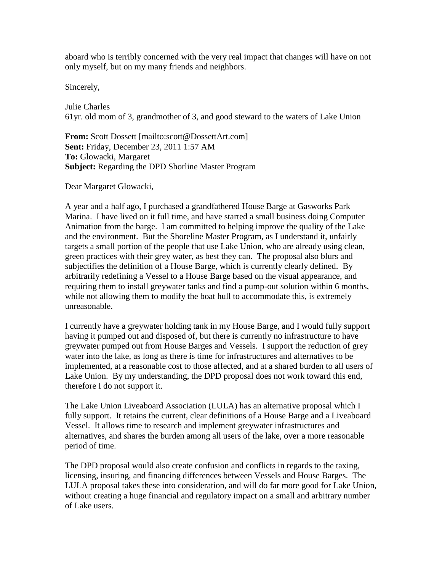aboard who is terribly concerned with the very real impact that changes will have on not only myself, but on my many friends and neighbors.

Sincerely,

Julie Charles 61yr. old mom of 3, grandmother of 3, and good steward to the waters of Lake Union

**From:** Scott Dossett [mailto:scott@DossettArt.com] **Sent:** Friday, December 23, 2011 1:57 AM **To:** Glowacki, Margaret **Subject:** Regarding the DPD Shorline Master Program

Dear Margaret Glowacki,

A year and a half ago, I purchased a grandfathered House Barge at Gasworks Park Marina. I have lived on it full time, and have started a small business doing Computer Animation from the barge. I am committed to helping improve the quality of the Lake and the environment. But the Shoreline Master Program, as I understand it, unfairly targets a small portion of the people that use Lake Union, who are already using clean, green practices with their grey water, as best they can. The proposal also blurs and subjectifies the definition of a House Barge, which is currently clearly defined. By arbitrarily redefining a Vessel to a House Barge based on the visual appearance, and requiring them to install greywater tanks and find a pump-out solution within 6 months, while not allowing them to modify the boat hull to accommodate this, is extremely unreasonable.

I currently have a greywater holding tank in my House Barge, and I would fully support having it pumped out and disposed of, but there is currently no infrastructure to have greywater pumped out from House Barges and Vessels. I support the reduction of grey water into the lake, as long as there is time for infrastructures and alternatives to be implemented, at a reasonable cost to those affected, and at a shared burden to all users of Lake Union. By my understanding, the DPD proposal does not work toward this end, therefore I do not support it.

The Lake Union Liveaboard Association (LULA) has an alternative proposal which I fully support. It retains the current, clear definitions of a House Barge and a Liveaboard Vessel. It allows time to research and implement greywater infrastructures and alternatives, and shares the burden among all users of the lake, over a more reasonable period of time.

The DPD proposal would also create confusion and conflicts in regards to the taxing, licensing, insuring, and financing differences between Vessels and House Barges. The LULA proposal takes these into consideration, and will do far more good for Lake Union, without creating a huge financial and regulatory impact on a small and arbitrary number of Lake users.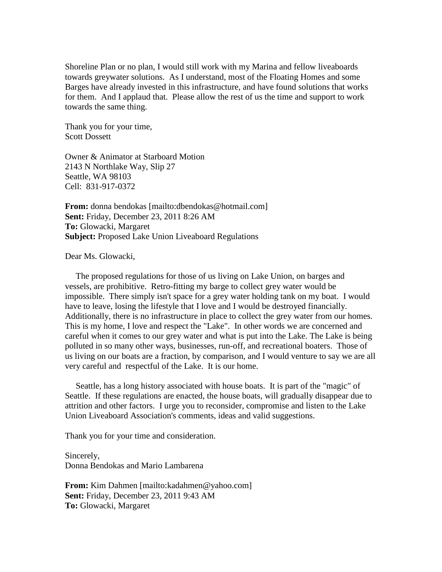Shoreline Plan or no plan, I would still work with my Marina and fellow liveaboards towards greywater solutions. As I understand, most of the Floating Homes and some Barges have already invested in this infrastructure, and have found solutions that works for them. And I applaud that. Please allow the rest of us the time and support to work towards the same thing.

Thank you for your time, Scott Dossett

Owner & Animator at Starboard Motion 2143 N Northlake Way, Slip 27 Seattle, WA 98103 Cell: 831-917-0372

**From:** donna bendokas [mailto:dbendokas@hotmail.com] **Sent:** Friday, December 23, 2011 8:26 AM **To:** Glowacki, Margaret **Subject:** Proposed Lake Union Liveaboard Regulations

Dear Ms. Glowacki,

 The proposed regulations for those of us living on Lake Union, on barges and vessels, are prohibitive. Retro-fitting my barge to collect grey water would be impossible. There simply isn't space for a grey water holding tank on my boat. I would have to leave, losing the lifestyle that I love and I would be destroyed financially. Additionally, there is no infrastructure in place to collect the grey water from our homes. This is my home, I love and respect the "Lake". In other words we are concerned and careful when it comes to our grey water and what is put into the Lake. The Lake is being polluted in so many other ways, businesses, run-off, and recreational boaters. Those of us living on our boats are a fraction, by comparison, and I would venture to say we are all very careful and respectful of the Lake. It is our home.

 Seattle, has a long history associated with house boats. It is part of the "magic" of Seattle. If these regulations are enacted, the house boats, will gradually disappear due to attrition and other factors. I urge you to reconsider, compromise and listen to the Lake Union Liveaboard Association's comments, ideas and valid suggestions.

Thank you for your time and consideration.

Sincerely, Donna Bendokas and Mario Lambarena

**From:** Kim Dahmen [mailto:kadahmen@yahoo.com] **Sent:** Friday, December 23, 2011 9:43 AM **To:** Glowacki, Margaret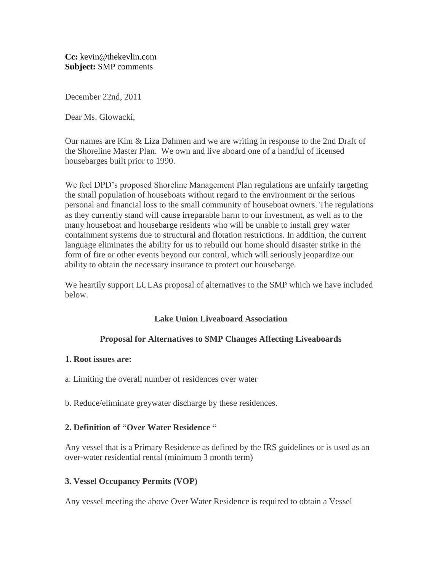**Cc:** kevin@thekevlin.com **Subject:** SMP comments

December 22nd, 2011

Dear Ms. Glowacki,

Our names are Kim & Liza Dahmen and we are writing in response to the 2nd Draft of the Shoreline Master Plan. We own and live aboard one of a handful of licensed housebarges built prior to 1990.

We feel DPD's proposed Shoreline Management Plan regulations are unfairly targeting the small population of houseboats without regard to the environment or the serious personal and financial loss to the small community of houseboat owners. The regulations as they currently stand will cause irreparable harm to our investment, as well as to the many houseboat and housebarge residents who will be unable to install grey water containment systems due to structural and flotation restrictions. In addition, the current language eliminates the ability for us to rebuild our home should disaster strike in the form of fire or other events beyond our control, which will seriously jeopardize our ability to obtain the necessary insurance to protect our housebarge.

We heartily support LULAs proposal of alternatives to the SMP which we have included below.

# **Lake Union Liveaboard Association**

# **Proposal for Alternatives to SMP Changes Affecting Liveaboards**

## **1. Root issues are:**

- a. Limiting the overall number of residences over water
- b. Reduce/eliminate greywater discharge by these residences.

## **2. Definition of "Over Water Residence "**

Any vessel that is a Primary Residence as defined by the IRS guidelines or is used as an over-water residential rental (minimum 3 month term)

## **3. Vessel Occupancy Permits (VOP)**

Any vessel meeting the above Over Water Residence is required to obtain a Vessel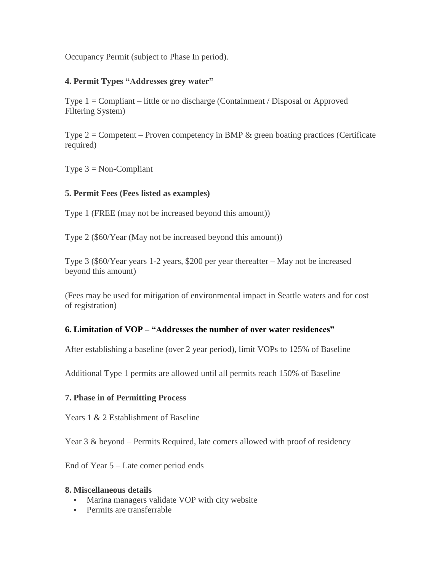Occupancy Permit (subject to Phase In period).

## **4. Permit Types "Addresses grey water"**

Type 1 = Compliant – little or no discharge (Containment / Disposal or Approved Filtering System)

Type  $2 =$  Competent – Proven competency in BMP  $\&$  green boating practices (Certificate required)

Type  $3 = \text{Non-Compliant}$ 

## **5. Permit Fees (Fees listed as examples)**

Type 1 (FREE (may not be increased beyond this amount))

Type 2 (\$60/Year (May not be increased beyond this amount))

Type 3 (\$60/Year years 1-2 years, \$200 per year thereafter – May not be increased beyond this amount)

(Fees may be used for mitigation of environmental impact in Seattle waters and for cost of registration)

# **6. Limitation of VOP – "Addresses the number of over water residences"**

After establishing a baseline (over 2 year period), limit VOPs to 125% of Baseline

Additional Type 1 permits are allowed until all permits reach 150% of Baseline

## **7. Phase in of Permitting Process**

Years 1 & 2 Establishment of Baseline

Year 3 & beyond – Permits Required, late comers allowed with proof of residency

End of Year 5 – Late comer period ends

#### **8. Miscellaneous details**

- Marina managers validate VOP with city website
- **Permits are transferrable**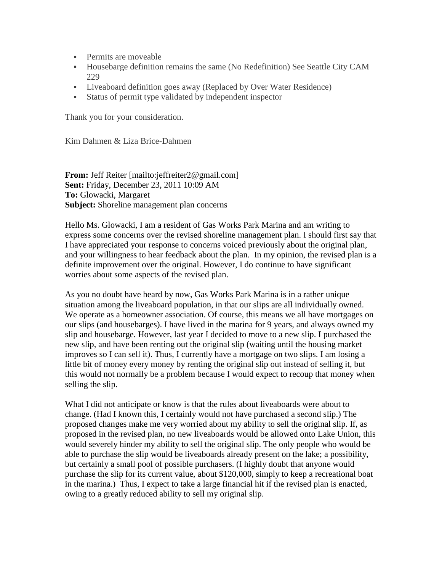- **Permits are moveable**
- Housebarge definition remains the same (No Redefinition) See Seattle City CAM 229
- Liveaboard definition goes away (Replaced by Over Water Residence)
- Status of permit type validated by independent inspector

Thank you for your consideration.

Kim Dahmen & Liza Brice-Dahmen

**From:** Jeff Reiter [mailto:jeffreiter2@gmail.com] **Sent:** Friday, December 23, 2011 10:09 AM **To:** Glowacki, Margaret **Subject:** Shoreline management plan concerns

Hello Ms. Glowacki, I am a resident of Gas Works Park Marina and am writing to express some concerns over the revised shoreline management plan. I should first say that I have appreciated your response to concerns voiced previously about the original plan, and your willingness to hear feedback about the plan. In my opinion, the revised plan is a definite improvement over the original. However, I do continue to have significant worries about some aspects of the revised plan.

As you no doubt have heard by now, Gas Works Park Marina is in a rather unique situation among the liveaboard population, in that our slips are all individually owned. We operate as a homeowner association. Of course, this means we all have mortgages on our slips (and housebarges). I have lived in the marina for 9 years, and always owned my slip and housebarge. However, last year I decided to move to a new slip. I purchased the new slip, and have been renting out the original slip (waiting until the housing market improves so I can sell it). Thus, I currently have a mortgage on two slips. I am losing a little bit of money every money by renting the original slip out instead of selling it, but this would not normally be a problem because I would expect to recoup that money when selling the slip.

What I did not anticipate or know is that the rules about liveaboards were about to change. (Had I known this, I certainly would not have purchased a second slip.) The proposed changes make me very worried about my ability to sell the original slip. If, as proposed in the revised plan, no new liveaboards would be allowed onto Lake Union, this would severely hinder my ability to sell the original slip. The only people who would be able to purchase the slip would be liveaboards already present on the lake; a possibility, but certainly a small pool of possible purchasers. (I highly doubt that anyone would purchase the slip for its current value, about \$120,000, simply to keep a recreational boat in the marina.) Thus, I expect to take a large financial hit if the revised plan is enacted, owing to a greatly reduced ability to sell my original slip.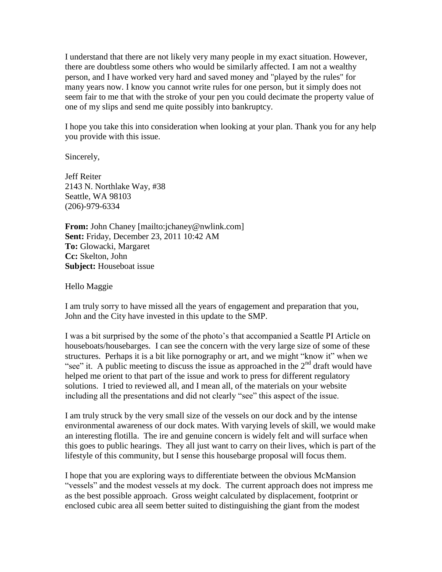I understand that there are not likely very many people in my exact situation. However, there are doubtless some others who would be similarly affected. I am not a wealthy person, and I have worked very hard and saved money and "played by the rules" for many years now. I know you cannot write rules for one person, but it simply does not seem fair to me that with the stroke of your pen you could decimate the property value of one of my slips and send me quite possibly into bankruptcy.

I hope you take this into consideration when looking at your plan. Thank you for any help you provide with this issue.

Sincerely,

Jeff Reiter 2143 N. Northlake Way, #38 Seattle, WA 98103 (206)-979-6334

**From:** John Chaney [mailto:jchaney@nwlink.com] **Sent:** Friday, December 23, 2011 10:42 AM **To:** Glowacki, Margaret **Cc:** Skelton, John **Subject:** Houseboat issue

Hello Maggie

I am truly sorry to have missed all the years of engagement and preparation that you, John and the City have invested in this update to the SMP.

I was a bit surprised by the some of the photo's that accompanied a Seattle PI Article on houseboats/housebarges. I can see the concern with the very large size of some of these structures. Perhaps it is a bit like pornography or art, and we might "know it" when we "see" it. A public meeting to discuss the issue as approached in the  $2<sup>nd</sup>$  draft would have helped me orient to that part of the issue and work to press for different regulatory solutions. I tried to reviewed all, and I mean all, of the materials on your website including all the presentations and did not clearly "see" this aspect of the issue.

I am truly struck by the very small size of the vessels on our dock and by the intense environmental awareness of our dock mates. With varying levels of skill, we would make an interesting flotilla. The ire and genuine concern is widely felt and will surface when this goes to public hearings. They all just want to carry on their lives, which is part of the lifestyle of this community, but I sense this housebarge proposal will focus them.

I hope that you are exploring ways to differentiate between the obvious McMansion "vessels" and the modest vessels at my dock. The current approach does not impress me as the best possible approach. Gross weight calculated by displacement, footprint or enclosed cubic area all seem better suited to distinguishing the giant from the modest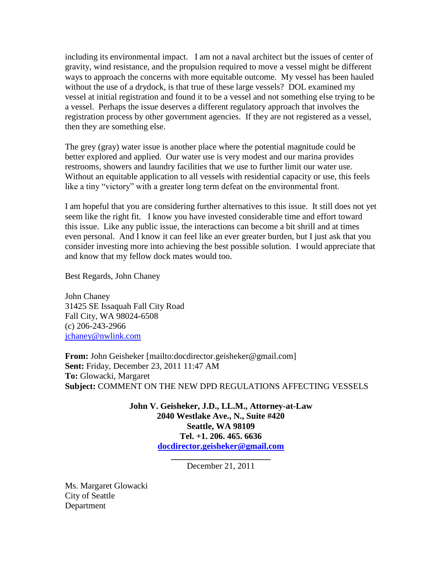including its environmental impact. I am not a naval architect but the issues of center of gravity, wind resistance, and the propulsion required to move a vessel might be different ways to approach the concerns with more equitable outcome. My vessel has been hauled without the use of a drydock, is that true of these large vessels? DOL examined my vessel at initial registration and found it to be a vessel and not something else trying to be a vessel. Perhaps the issue deserves a different regulatory approach that involves the registration process by other government agencies. If they are not registered as a vessel, then they are something else.

The grey (gray) water issue is another place where the potential magnitude could be better explored and applied. Our water use is very modest and our marina provides restrooms, showers and laundry facilities that we use to further limit our water use. Without an equitable application to all vessels with residential capacity or use, this feels like a tiny "victory" with a greater long term defeat on the environmental front.

I am hopeful that you are considering further alternatives to this issue. It still does not yet seem like the right fit. I know you have invested considerable time and effort toward this issue. Like any public issue, the interactions can become a bit shrill and at times even personal. And I know it can feel like an ever greater burden, but I just ask that you consider investing more into achieving the best possible solution. I would appreciate that and know that my fellow dock mates would too.

Best Regards, John Chaney

John Chaney 31425 SE Issaquah Fall City Road Fall City, WA 98024-6508 (c) 206-243-2966 [jchaney@nwlink.com](mailto:jchaney@nwlink.com)

**From:** John Geisheker [mailto:docdirector.geisheker@gmail.com] **Sent:** Friday, December 23, 2011 11:47 AM **To:** Glowacki, Margaret **Subject:** COMMENT ON THE NEW DPD REGULATIONS AFFECTING VESSELS

> **John V. Geisheker, J.D., LL.M., Attorney-at-Law 2040 Westlake Ave., N., Suite #420 Seattle, WA 98109 Tel. +1. 206. 465. 6636 [docdirector.geisheker@gmail.com](mailto:docdirector.geisheker@gmail.com)**

> > **\_\_\_\_\_\_\_\_\_\_\_\_\_\_\_\_\_\_\_\_\_\_\_** December 21, 2011

Ms. Margaret Glowacki City of Seattle Department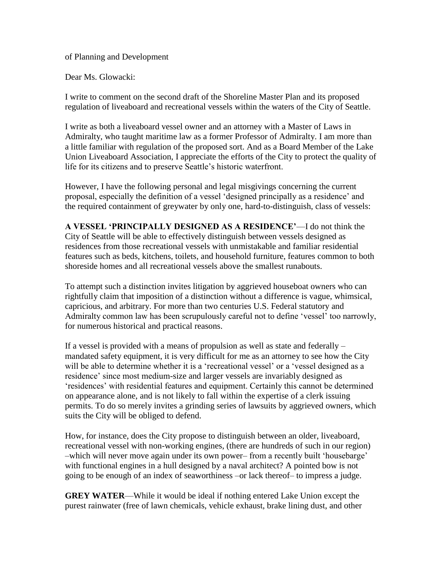of Planning and Development

Dear Ms. Glowacki:

I write to comment on the second draft of the Shoreline Master Plan and its proposed regulation of liveaboard and recreational vessels within the waters of the City of Seattle.

I write as both a liveaboard vessel owner and an attorney with a Master of Laws in Admiralty, who taught maritime law as a former Professor of Admiralty. I am more than a little familiar with regulation of the proposed sort. And as a Board Member of the Lake Union Liveaboard Association, I appreciate the efforts of the City to protect the quality of life for its citizens and to preserve Seattle's historic waterfront.

However, I have the following personal and legal misgivings concerning the current proposal, especially the definition of a vessel 'designed principally as a residence' and the required containment of greywater by only one, hard-to-distinguish, class of vessels:

**A VESSEL 'PRINCIPALLY DESIGNED AS A RESIDENCE'**—I do not think the City of Seattle will be able to effectively distinguish between vessels designed as residences from those recreational vessels with unmistakable and familiar residential features such as beds, kitchens, toilets, and household furniture, features common to both shoreside homes and all recreational vessels above the smallest runabouts.

To attempt such a distinction invites litigation by aggrieved houseboat owners who can rightfully claim that imposition of a distinction without a difference is vague, whimsical, capricious, and arbitrary. For more than two centuries U.S. Federal statutory and Admiralty common law has been scrupulously careful not to define 'vessel' too narrowly, for numerous historical and practical reasons.

If a vessel is provided with a means of propulsion as well as state and federally – mandated safety equipment, it is very difficult for me as an attorney to see how the City will be able to determine whether it is a 'recreational vessel' or a 'vessel designed as a residence' since most medium-size and larger vessels are invariably designed as 'residences' with residential features and equipment. Certainly this cannot be determined on appearance alone, and is not likely to fall within the expertise of a clerk issuing permits. To do so merely invites a grinding series of lawsuits by aggrieved owners, which suits the City will be obliged to defend.

How, for instance, does the City propose to distinguish between an older, liveaboard, recreational vessel with non-working engines, (there are hundreds of such in our region) –which will never move again under its own power– from a recently built 'housebarge' with functional engines in a hull designed by a naval architect? A pointed bow is not going to be enough of an index of seaworthiness –or lack thereof– to impress a judge.

**GREY WATER**—While it would be ideal if nothing entered Lake Union except the purest rainwater (free of lawn chemicals, vehicle exhaust, brake lining dust, and other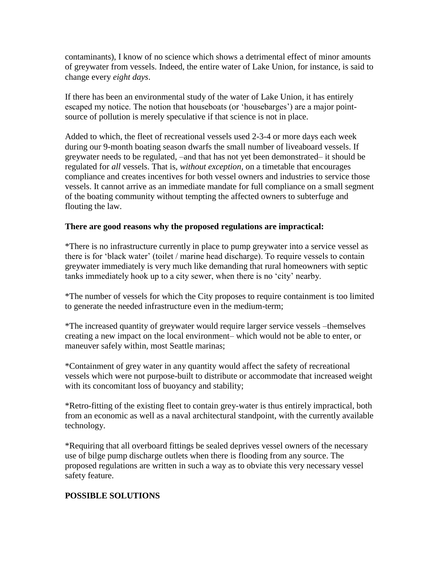contaminants), I know of no science which shows a detrimental effect of minor amounts of greywater from vessels. Indeed, the entire water of Lake Union, for instance, is said to change every *eight days*.

If there has been an environmental study of the water of Lake Union, it has entirely escaped my notice. The notion that houseboats (or 'housebarges') are a major pointsource of pollution is merely speculative if that science is not in place.

Added to which, the fleet of recreational vessels used 2-3-4 or more days each week during our 9-month boating season dwarfs the small number of liveaboard vessels. If greywater needs to be regulated, –and that has not yet been demonstrated– it should be regulated for *all* vessels. That is, *without exception*, on a timetable that encourages compliance and creates incentives for both vessel owners and industries to service those vessels. It cannot arrive as an immediate mandate for full compliance on a small segment of the boating community without tempting the affected owners to subterfuge and flouting the law.

# **There are good reasons why the proposed regulations are impractical:**

\*There is no infrastructure currently in place to pump greywater into a service vessel as there is for 'black water' (toilet / marine head discharge). To require vessels to contain greywater immediately is very much like demanding that rural homeowners with septic tanks immediately hook up to a city sewer, when there is no 'city' nearby.

\*The number of vessels for which the City proposes to require containment is too limited to generate the needed infrastructure even in the medium-term;

\*The increased quantity of greywater would require larger service vessels –themselves creating a new impact on the local environment– which would not be able to enter, or maneuver safely within, most Seattle marinas;

\*Containment of grey water in any quantity would affect the safety of recreational vessels which were not purpose-built to distribute or accommodate that increased weight with its concomitant loss of buoyancy and stability;

\*Retro-fitting of the existing fleet to contain grey-water is thus entirely impractical, both from an economic as well as a naval architectural standpoint, with the currently available technology.

\*Requiring that all overboard fittings be sealed deprives vessel owners of the necessary use of bilge pump discharge outlets when there is flooding from any source. The proposed regulations are written in such a way as to obviate this very necessary vessel safety feature.

# **POSSIBLE SOLUTIONS**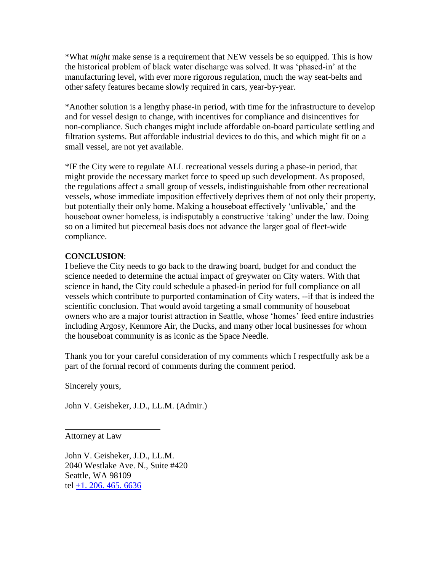\*What *might* make sense is a requirement that NEW vessels be so equipped. This is how the historical problem of black water discharge was solved. It was 'phased-in' at the manufacturing level, with ever more rigorous regulation, much the way seat-belts and other safety features became slowly required in cars, year-by-year.

\*Another solution is a lengthy phase-in period, with time for the infrastructure to develop and for vessel design to change, with incentives for compliance and disincentives for non-compliance. Such changes might include affordable on-board particulate settling and filtration systems. But affordable industrial devices to do this, and which might fit on a small vessel, are not yet available.

\*IF the City were to regulate ALL recreational vessels during a phase-in period, that might provide the necessary market force to speed up such development. As proposed, the regulations affect a small group of vessels, indistinguishable from other recreational vessels, whose immediate imposition effectively deprives them of not only their property, but potentially their only home. Making a houseboat effectively 'unlivable,' and the houseboat owner homeless, is indisputably a constructive 'taking' under the law. Doing so on a limited but piecemeal basis does not advance the larger goal of fleet-wide compliance.

# **CONCLUSION**:

I believe the City needs to go back to the drawing board, budget for and conduct the science needed to determine the actual impact of greywater on City waters. With that science in hand, the City could schedule a phased-in period for full compliance on all vessels which contribute to purported contamination of City waters, --if that is indeed the scientific conclusion. That would avoid targeting a small community of houseboat owners who are a major tourist attraction in Seattle, whose 'homes' feed entire industries including Argosy, Kenmore Air, the Ducks, and many other local businesses for whom the houseboat community is as iconic as the Space Needle.

Thank you for your careful consideration of my comments which I respectfully ask be a part of the formal record of comments during the comment period.

Sincerely yours,

John V. Geisheker, J.D., LL.M. (Admir.)

Attorney at Law

l

John V. Geisheker, J.D., LL.M. 2040 Westlake Ave. N., Suite #420 Seattle, WA 98109 tel [+1. 206. 465. 6636](tel:%2B1.%20206.%20465.%206636)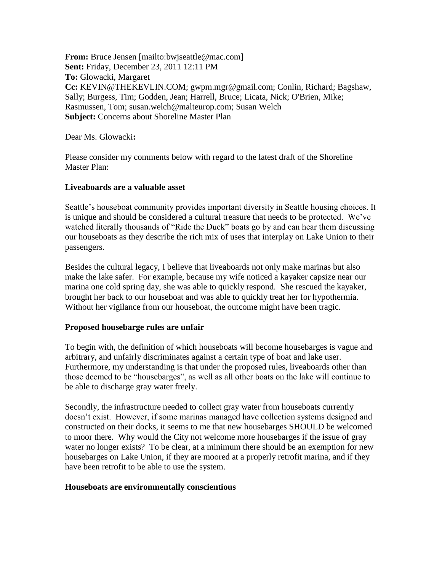**From:** Bruce Jensen [mailto:bwjseattle@mac.com] **Sent:** Friday, December 23, 2011 12:11 PM **To:** Glowacki, Margaret **Cc:** KEVIN@THEKEVLIN.COM; gwpm.mgr@gmail.com; Conlin, Richard; Bagshaw, Sally; Burgess, Tim; Godden, Jean; Harrell, Bruce; Licata, Nick; O'Brien, Mike; Rasmussen, Tom; susan.welch@malteurop.com; Susan Welch **Subject:** Concerns about Shoreline Master Plan

Dear Ms. Glowacki**:**

Please consider my comments below with regard to the latest draft of the Shoreline Master Plan:

## **Liveaboards are a valuable asset**

Seattle's houseboat community provides important diversity in Seattle housing choices. It is unique and should be considered a cultural treasure that needs to be protected. We've watched literally thousands of "Ride the Duck" boats go by and can hear them discussing our houseboats as they describe the rich mix of uses that interplay on Lake Union to their passengers.

Besides the cultural legacy, I believe that liveaboards not only make marinas but also make the lake safer. For example, because my wife noticed a kayaker capsize near our marina one cold spring day, she was able to quickly respond. She rescued the kayaker, brought her back to our houseboat and was able to quickly treat her for hypothermia. Without her vigilance from our houseboat, the outcome might have been tragic.

## **Proposed housebarge rules are unfair**

To begin with, the definition of which houseboats will become housebarges is vague and arbitrary, and unfairly discriminates against a certain type of boat and lake user. Furthermore, my understanding is that under the proposed rules, liveaboards other than those deemed to be "housebarges", as well as all other boats on the lake will continue to be able to discharge gray water freely.

Secondly, the infrastructure needed to collect gray water from houseboats currently doesn't exist. However, if some marinas managed have collection systems designed and constructed on their docks, it seems to me that new housebarges SHOULD be welcomed to moor there. Why would the City not welcome more housebarges if the issue of gray water no longer exists? To be clear, at a minimum there should be an exemption for new housebarges on Lake Union, if they are moored at a properly retrofit marina, and if they have been retrofit to be able to use the system.

## **Houseboats are environmentally conscientious**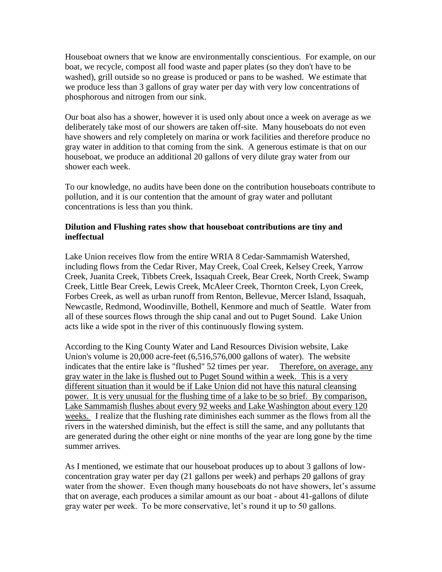Houseboat owners that we know are environmentally conscientious. For example, on our boat, we recycle, compost all food waste and paper plates (so they don't have to be washed), grill outside so no grease is produced or pans to be washed. We estimate that we produce less than 3 gallons of gray water per day with very low concentrations of phosphorous and nitrogen from our sink.

Our boat also has a shower, however it is used only about once a week on average as we deliberately take most of our showers are taken off-site. Many houseboats do not even have showers and rely completely on marina or work facilities and therefore produce no gray water in addition to that coming from the sink. A generous estimate is that on our houseboat, we produce an additional 20 gallons of very dilute gray water from our shower each week.

To our knowledge, no audits have been done on the contribution houseboats contribute to pollution, and it is our contention that the amount of gray water and pollutant concentrations is less than you think.

## **Dilution and Flushing rates show that houseboat contributions are tiny and ineffectual**

Lake Union receives flow from the entire WRIA 8 Cedar-Sammamish Watershed, including flows from the Cedar River, May Creek, Coal Creek, Kelsey Creek, Yarrow Creek, Juanita Creek, Tibbets Creek, Issaquah Creek, Bear Creek, North Creek, Swamp Creek, Little Bear Creek, Lewis Creek, McAleer Creek, Thornton Creek, Lyon Creek, Forbes Creek, as well as urban runoff from Renton, Bellevue, Mercer Island, Issaquah, Newcastle, Redmond, Woodinville, Bothell, Kenmore and much of Seattle. Water from all of these sources flows through the ship canal and out to Puget Sound. Lake Union acts like a wide spot in the river of this continuously flowing system.

According to the King County Water and Land Resources Division website, Lake Union's volume is 20,000 acre-feet (6,516,576,000 gallons of water). The website indicates that the entire lake is "flushed" 52 times per year. Therefore, on average, any gray water in the lake is flushed out to Puget Sound within a week. This is a very different situation than it would be if Lake Union did not have this natural cleansing power. It is very unusual for the flushing time of a lake to be so brief. By comparison, Lake Sammamish flushes about every 92 weeks and Lake Washington about every 120 weeks. I realize that the flushing rate diminishes each summer as the flows from all the rivers in the watershed diminish, but the effect is still the same, and any pollutants that are generated during the other eight or nine months of the year are long gone by the time summer arrives.

As I mentioned, we estimate that our houseboat produces up to about 3 gallons of lowconcentration gray water per day (21 gallons per week) and perhaps 20 gallons of gray water from the shower. Even though many houseboats do not have showers, let's assume that on average, each produces a similar amount as our boat - about 41-gallons of dilute gray water per week. To be more conservative, let's round it up to 50 gallons.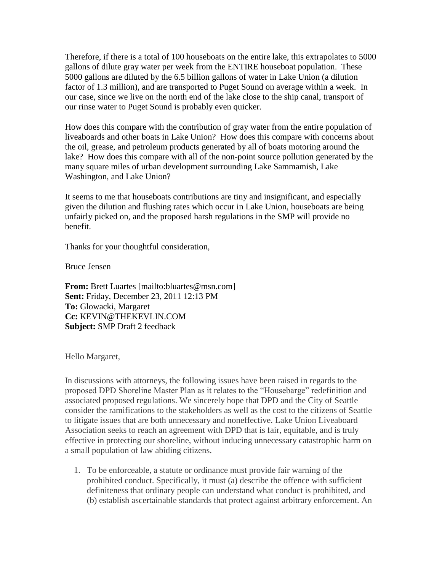Therefore, if there is a total of 100 houseboats on the entire lake, this extrapolates to 5000 gallons of dilute gray water per week from the ENTIRE houseboat population. These 5000 gallons are diluted by the 6.5 billion gallons of water in Lake Union (a dilution factor of 1.3 million), and are transported to Puget Sound on average within a week. In our case, since we live on the north end of the lake close to the ship canal, transport of our rinse water to Puget Sound is probably even quicker.

How does this compare with the contribution of gray water from the entire population of liveaboards and other boats in Lake Union? How does this compare with concerns about the oil, grease, and petroleum products generated by all of boats motoring around the lake? How does this compare with all of the non-point source pollution generated by the many square miles of urban development surrounding Lake Sammamish, Lake Washington, and Lake Union?

It seems to me that houseboats contributions are tiny and insignificant, and especially given the dilution and flushing rates which occur in Lake Union, houseboats are being unfairly picked on, and the proposed harsh regulations in the SMP will provide no benefit.

Thanks for your thoughtful consideration,

Bruce Jensen

**From:** Brett Luartes [mailto:bluartes@msn.com] **Sent:** Friday, December 23, 2011 12:13 PM **To:** Glowacki, Margaret **Cc:** KEVIN@THEKEVLIN.COM **Subject:** SMP Draft 2 feedback

Hello Margaret,

In discussions with attorneys, the following issues have been raised in regards to the proposed DPD Shoreline Master Plan as it relates to the "Housebarge" redefinition and associated proposed regulations. We sincerely hope that DPD and the City of Seattle consider the ramifications to the stakeholders as well as the cost to the citizens of Seattle to litigate issues that are both unnecessary and noneffective. Lake Union Liveaboard Association seeks to reach an agreement with DPD that is fair, equitable, and is truly effective in protecting our shoreline, without inducing unnecessary catastrophic harm on a small population of law abiding citizens.

1. To be enforceable, a statute or ordinance must provide fair warning of the prohibited conduct. Specifically, it must (a) describe the offence with sufficient definiteness that ordinary people can understand what conduct is prohibited, and (b) establish ascertainable standards that protect against arbitrary enforcement. An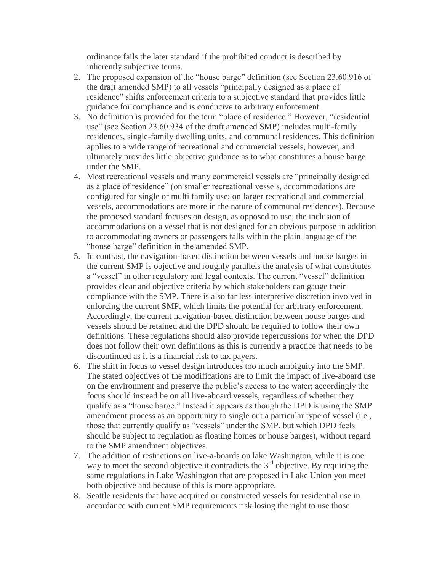ordinance fails the later standard if the prohibited conduct is described by inherently subjective terms.

- 2. The proposed expansion of the "house barge" definition (see Section 23.60.916 of the draft amended SMP) to all vessels "principally designed as a place of residence" shifts enforcement criteria to a subjective standard that provides little guidance for compliance and is conducive to arbitrary enforcement.
- 3. No definition is provided for the term "place of residence." However, "residential use" (see Section 23.60.934 of the draft amended SMP) includes multi-family residences, single-family dwelling units, and communal residences. This definition applies to a wide range of recreational and commercial vessels, however, and ultimately provides little objective guidance as to what constitutes a house barge under the SMP.
- 4. Most recreational vessels and many commercial vessels are "principally designed as a place of residence" (on smaller recreational vessels, accommodations are configured for single or multi family use; on larger recreational and commercial vessels, accommodations are more in the nature of communal residences). Because the proposed standard focuses on design, as opposed to use, the inclusion of accommodations on a vessel that is not designed for an obvious purpose in addition to accommodating owners or passengers falls within the plain language of the "house barge" definition in the amended SMP.
- 5. In contrast, the navigation-based distinction between vessels and house barges in the current SMP is objective and roughly parallels the analysis of what constitutes a "vessel" in other regulatory and legal contexts. The current "vessel" definition provides clear and objective criteria by which stakeholders can gauge their compliance with the SMP. There is also far less interpretive discretion involved in enforcing the current SMP, which limits the potential for arbitrary enforcement. Accordingly, the current navigation-based distinction between house barges and vessels should be retained and the DPD should be required to follow their own definitions. These regulations should also provide repercussions for when the DPD does not follow their own definitions as this is currently a practice that needs to be discontinued as it is a financial risk to tax payers.
- 6. The shift in focus to vessel design introduces too much ambiguity into the SMP. The stated objectives of the modifications are to limit the impact of live-aboard use on the environment and preserve the public's access to the water; accordingly the focus should instead be on all live-aboard vessels, regardless of whether they qualify as a "house barge." Instead it appears as though the DPD is using the SMP amendment process as an opportunity to single out a particular type of vessel (i.e., those that currently qualify as "vessels" under the SMP, but which DPD feels should be subject to regulation as floating homes or house barges), without regard to the SMP amendment objectives.
- 7. The addition of restrictions on live-a-boards on lake Washington, while it is one way to meet the second objective it contradicts the  $3<sup>rd</sup>$  objective. By requiring the same regulations in Lake Washington that are proposed in Lake Union you meet both objective and because of this is more appropriate.
- 8. Seattle residents that have acquired or constructed vessels for residential use in accordance with current SMP requirements risk losing the right to use those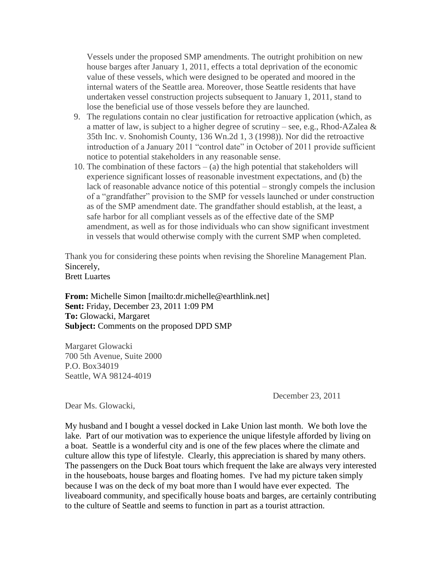Vessels under the proposed SMP amendments. The outright prohibition on new house barges after January 1, 2011, effects a total deprivation of the economic value of these vessels, which were designed to be operated and moored in the internal waters of the Seattle area. Moreover, those Seattle residents that have undertaken vessel construction projects subsequent to January 1, 2011, stand to lose the beneficial use of those vessels before they are launched.

- 9. The regulations contain no clear justification for retroactive application (which, as a matter of law, is subject to a higher degree of scrutiny – see, e.g., Rhod-AZalea & 35th Inc. v. Snohomish County, 136 Wn.2d 1, 3 (1998)). Nor did the retroactive introduction of a January 2011 "control date" in October of 2011 provide sufficient notice to potential stakeholders in any reasonable sense.
- 10. The combination of these factors  $-$  (a) the high potential that stakeholders will experience significant losses of reasonable investment expectations, and (b) the lack of reasonable advance notice of this potential – strongly compels the inclusion of a "grandfather" provision to the SMP for vessels launched or under construction as of the SMP amendment date. The grandfather should establish, at the least, a safe harbor for all compliant vessels as of the effective date of the SMP amendment, as well as for those individuals who can show significant investment in vessels that would otherwise comply with the current SMP when completed.

Thank you for considering these points when revising the Shoreline Management Plan. Sincerely, Brett Luartes

**From:** Michelle Simon [mailto:dr.michelle@earthlink.net] **Sent:** Friday, December 23, 2011 1:09 PM **To:** Glowacki, Margaret **Subject:** Comments on the proposed DPD SMP

Margaret Glowacki 700 5th Avenue, Suite 2000 P.O. Box34019 Seattle, WA 98124-4019

December 23, 2011

Dear Ms. Glowacki,

My husband and I bought a vessel docked in Lake Union last month. We both love the lake. Part of our motivation was to experience the unique lifestyle afforded by living on a boat. Seattle is a wonderful city and is one of the few places where the climate and culture allow this type of lifestyle. Clearly, this appreciation is shared by many others. The passengers on the Duck Boat tours which frequent the lake are always very interested in the houseboats, house barges and floating homes. I've had my picture taken simply because I was on the deck of my boat more than I would have ever expected. The liveaboard community, and specifically house boats and barges, are certainly contributing to the culture of Seattle and seems to function in part as a tourist attraction.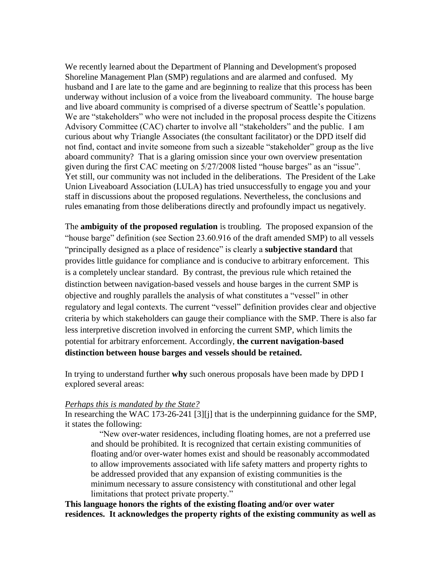We recently learned about the Department of Planning and Development's proposed Shoreline Management Plan (SMP) regulations and are alarmed and confused. My husband and I are late to the game and are beginning to realize that this process has been underway without inclusion of a voice from the liveaboard community. The house barge and live aboard community is comprised of a diverse spectrum of Seattle's population. We are "stakeholders" who were not included in the proposal process despite the Citizens Advisory Committee (CAC) charter to involve all "stakeholders" and the public. I am curious about why Triangle Associates (the consultant facilitator) or the DPD itself did not find, contact and invite someone from such a sizeable "stakeholder" group as the live aboard community? That is a glaring omission since your own overview presentation given during the first CAC meeting on 5/27/2008 listed "house barges" as an "issue". Yet still, our community was not included in the deliberations. The President of the Lake Union Liveaboard Association (LULA) has tried unsuccessfully to engage you and your staff in discussions about the proposed regulations. Nevertheless, the conclusions and rules emanating from those deliberations directly and profoundly impact us negatively.

The **ambiguity of the proposed regulation** is troubling. The proposed expansion of the "house barge" definition (see Section 23.60.916 of the draft amended SMP) to all vessels "principally designed as a place of residence" is clearly a **subjective standard** that provides little guidance for compliance and is conducive to arbitrary enforcement. This is a completely unclear standard. By contrast, the previous rule which retained the distinction between navigation-based vessels and house barges in the current SMP is objective and roughly parallels the analysis of what constitutes a "vessel" in other regulatory and legal contexts. The current "vessel" definition provides clear and objective criteria by which stakeholders can gauge their compliance with the SMP. There is also far less interpretive discretion involved in enforcing the current SMP, which limits the potential for arbitrary enforcement. Accordingly, **the current navigation-based distinction between house barges and vessels should be retained.**

In trying to understand further **why** such onerous proposals have been made by DPD I explored several areas:

#### *Perhaps this is mandated by the State?*

In researching the WAC 173-26-241 [3][j] that is the underpinning guidance for the SMP, it states the following:

 "New over-water residences, including floating homes, are not a preferred use and should be prohibited. It is recognized that certain existing communities of floating and/or over-water homes exist and should be reasonably accommodated to allow improvements associated with life safety matters and property rights to be addressed provided that any expansion of existing communities is the minimum necessary to assure consistency with constitutional and other legal limitations that protect private property."

**This language honors the rights of the existing floating and/or over water residences. It acknowledges the property rights of the existing community as well as**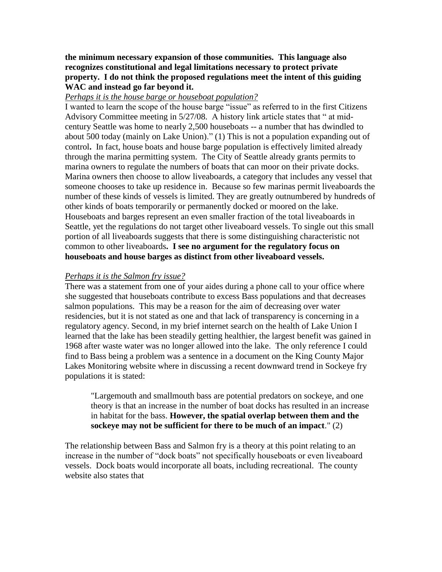**the minimum necessary expansion of those communities. This language also recognizes constitutional and legal limitations necessary to protect private property. I do not think the proposed regulations meet the intent of this guiding WAC and instead go far beyond it.**

## *Perhaps it is the house barge or houseboat population?*

I wanted to learn the scope of the house barge "issue" as referred to in the first Citizens Advisory Committee meeting in 5/27/08. A history link article states that " at midcentury Seattle was home to nearly 2,500 houseboats -- a number that has dwindled to about 500 today (mainly on Lake Union)." (1) This is not a population expanding out of control**.** In fact, house boats and house barge population is effectively limited already through the marina permitting system. The City of Seattle already grants permits to marina owners to regulate the numbers of boats that can moor on their private docks. Marina owners then choose to allow liveaboards, a category that includes any vessel that someone chooses to take up residence in. Because so few marinas permit liveaboards the number of these kinds of vessels is limited. They are greatly outnumbered by hundreds of other kinds of boats temporarily or permanently docked or moored on the lake. Houseboats and barges represent an even smaller fraction of the total liveaboards in Seattle, yet the regulations do not target other liveaboard vessels. To single out this small portion of all liveaboards suggests that there is some distinguishing characteristic not common to other liveaboards**. I see no argument for the regulatory focus on houseboats and house barges as distinct from other liveaboard vessels.**

### *Perhaps it is the Salmon fry issue?*

There was a statement from one of your aides during a phone call to your office where she suggested that houseboats contribute to excess Bass populations and that decreases salmon populations. This may be a reason for the aim of decreasing over water residencies, but it is not stated as one and that lack of transparency is concerning in a regulatory agency. Second, in my brief internet search on the health of Lake Union I learned that the lake has been steadily getting healthier, the largest benefit was gained in 1968 after waste water was no longer allowed into the lake. The only reference I could find to Bass being a problem was a sentence in a document on the King County Major Lakes Monitoring website where in discussing a recent downward trend in Sockeye fry populations it is stated:

"Largemouth and smallmouth bass are potential predators on sockeye, and one theory is that an increase in the number of boat docks has resulted in an increase in habitat for the bass. **However, the spatial overlap between them and the sockeye may not be sufficient for there to be much of an impact**." (2)

The relationship between Bass and Salmon fry is a theory at this point relating to an increase in the number of "dock boats" not specifically houseboats or even liveaboard vessels. Dock boats would incorporate all boats, including recreational. The county website also states that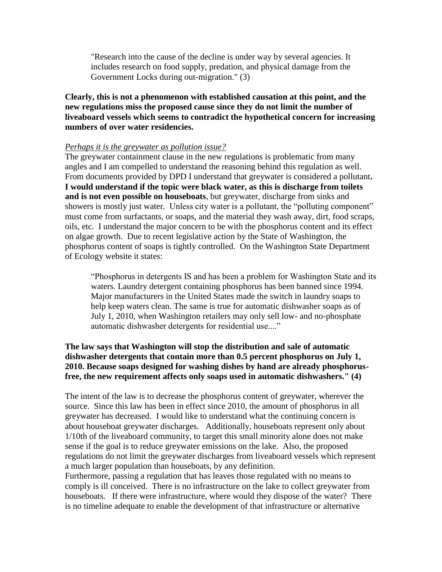"Research into the cause of the decline is under way by several agencies. It includes research on food supply, predation, and physical damage from the Government Locks during out-migration." (3)

## **Clearly, this is not a phenomenon with established causation at this point, and the new regulations miss the proposed cause since they do not limit the number of liveaboard vessels which seems to contradict the hypothetical concern for increasing numbers of over water residencies.**

#### *Perhaps it is the greywater as pollution issue?*

The greywater containment clause in the new regulations is problematic from many angles and I am compelled to understand the reasoning behind this regulation as well. From documents provided by DPD I understand that greywater is considered a pollutant**. I would understand if the topic were black water, as this is discharge from toilets and is not even possible on houseboats**, but greywater, discharge from sinks and showers is mostly just water. Unless city water is a pollutant, the "polluting component" must come from surfactants, or soaps, and the material they wash away, dirt, food scraps, oils, etc. I understand the major concern to be with the phosphorus content and its effect on algae growth. Due to recent legislative action by the State of Washington, the phosphorus content of soaps is tightly controlled. On the Washington State Department of Ecology website it states:

"Phosphorus in detergents IS and has been a problem for Washington State and its waters. Laundry detergent containing phosphorus has been banned since 1994. Major manufacturers in the United States made the switch in laundry soaps to help keep waters clean. The same is true for automatic dishwasher soaps as of July 1, 2010, when Washington retailers may only sell low- and no-phosphate automatic dishwasher detergents for residential use...."

## **The law says that Washington will stop the distribution and sale of automatic dishwasher detergents that contain more than 0.5 percent phosphorus on July 1, 2010. Because soaps designed for washing dishes by hand are already phosphorusfree, the new requirement affects only soaps used in automatic dishwashers." (4)**

The intent of the law is to decrease the phosphorus content of greywater, wherever the source. Since this law has been in effect since 2010, the amount of phosphorus in all greywater has decreased. I would like to understand what the continuing concern is about houseboat greywater discharges. Additionally, houseboats represent only about 1/10th of the liveaboard community, to target this small minority alone does not make sense if the goal is to reduce greywater emissions on the lake. Also, the proposed regulations do not limit the greywater discharges from liveaboard vessels which represent a much larger population than houseboats, by any definition.

Furthermore, passing a regulation that has leaves those regulated with no means to comply is ill conceived. There is no infrastructure on the lake to collect greywater from houseboats. If there were infrastructure, where would they dispose of the water? There is no timeline adequate to enable the development of that infrastructure or alternative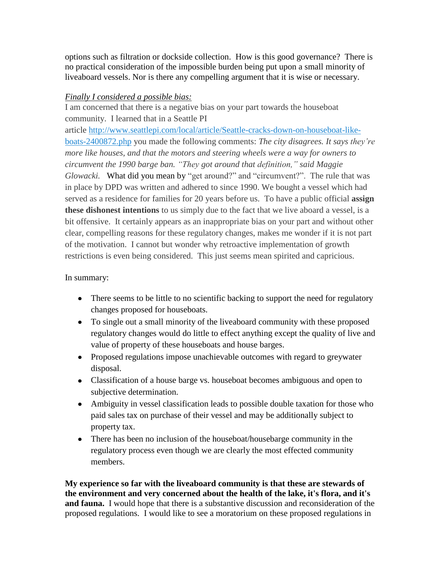options such as filtration or dockside collection. How is this good governance? There is no practical consideration of the impossible burden being put upon a small minority of liveaboard vessels. Nor is there any compelling argument that it is wise or necessary.

# *Finally I considered a possible bias:*

I am concerned that there is a negative bias on your part towards the houseboat community. I learned that in a Seattle PI article [http://www.seattlepi.com/local/article/Seattle-cracks-down-on-houseboat-like](http://www.seattlepi.com/local/article/Seattle-cracks-down-on-houseboat-like-boats-2400872.php)[boats-2400872.php](http://www.seattlepi.com/local/article/Seattle-cracks-down-on-houseboat-like-boats-2400872.php) you made the following comments: *The city disagrees. It says they're more like houses, and that the motors and steering wheels were a way for owners to circumvent the 1990 barge ban. "They got around that definition," said Maggie Glowacki.* What did you mean by "get around?" and "circumvent?". The rule that was in place by DPD was written and adhered to since 1990. We bought a vessel which had served as a residence for families for 20 years before us. To have a public official **assign these dishonest intentions** to us simply due to the fact that we live aboard a vessel, is a bit offensive. It certainly appears as an inappropriate bias on your part and without other clear, compelling reasons for these regulatory changes, makes me wonder if it is not part of the motivation. I cannot but wonder why retroactive implementation of growth restrictions is even being considered. This just seems mean spirited and capricious.

# In summary:

- There seems to be little to no scientific backing to support the need for regulatory changes proposed for houseboats.
- To single out a small minority of the liveaboard community with these proposed regulatory changes would do little to effect anything except the quality of live and value of property of these houseboats and house barges.
- Proposed regulations impose unachievable outcomes with regard to greywater disposal.
- Classification of a house barge vs. houseboat becomes ambiguous and open to subjective determination.
- Ambiguity in vessel classification leads to possible double taxation for those who paid sales tax on purchase of their vessel and may be additionally subject to property tax.
- There has been no inclusion of the houseboat/housebarge community in the regulatory process even though we are clearly the most effected community members.

**My experience so far with the liveaboard community is that these are stewards of the environment and very concerned about the health of the lake, it's flora, and it's and fauna.** I would hope that there is a substantive discussion and reconsideration of the proposed regulations. I would like to see a moratorium on these proposed regulations in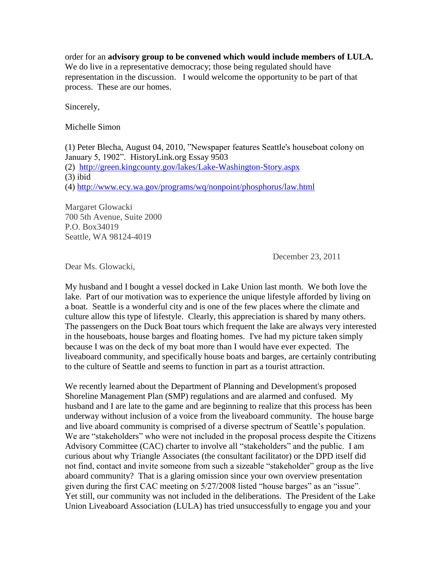order for an **advisory group to be convened which would include members of LULA.** We do live in a representative democracy; those being regulated should have representation in the discussion. I would welcome the opportunity to be part of that process. These are our homes.

Sincerely,

Michelle Simon

(1) Peter Blecha, August 04, 2010, "Newspaper features Seattle's houseboat colony on January 5, 1902". HistoryLink.org Essay 9503 (2) <http://green.kingcounty.gov/lakes/Lake-Washington-Story.aspx> (3) ibid (4)<http://www.ecy.wa.gov/programs/wq/nonpoint/phosphorus/law.html>

Margaret Glowacki 700 5th Avenue, Suite 2000 P.O. Box34019 Seattle, WA 98124-4019

December 23, 2011

Dear Ms. Glowacki,

My husband and I bought a vessel docked in Lake Union last month. We both love the lake. Part of our motivation was to experience the unique lifestyle afforded by living on a boat. Seattle is a wonderful city and is one of the few places where the climate and culture allow this type of lifestyle. Clearly, this appreciation is shared by many others. The passengers on the Duck Boat tours which frequent the lake are always very interested in the houseboats, house barges and floating homes. I've had my picture taken simply because I was on the deck of my boat more than I would have ever expected. The liveaboard community, and specifically house boats and barges, are certainly contributing to the culture of Seattle and seems to function in part as a tourist attraction.

We recently learned about the Department of Planning and Development's proposed Shoreline Management Plan (SMP) regulations and are alarmed and confused. My husband and I are late to the game and are beginning to realize that this process has been underway without inclusion of a voice from the liveaboard community. The house barge and live aboard community is comprised of a diverse spectrum of Seattle's population. We are "stakeholders" who were not included in the proposal process despite the Citizens Advisory Committee (CAC) charter to involve all "stakeholders" and the public. I am curious about why Triangle Associates (the consultant facilitator) or the DPD itself did not find, contact and invite someone from such a sizeable "stakeholder" group as the live aboard community? That is a glaring omission since your own overview presentation given during the first CAC meeting on  $5/27/2008$  listed "house barges" as an "issue". Yet still, our community was not included in the deliberations. The President of the Lake Union Liveaboard Association (LULA) has tried unsuccessfully to engage you and your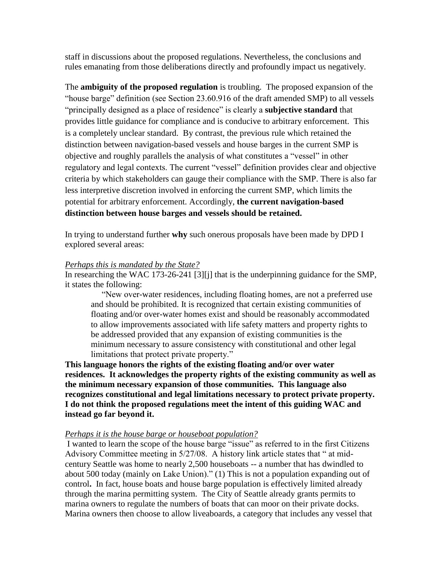staff in discussions about the proposed regulations. Nevertheless, the conclusions and rules emanating from those deliberations directly and profoundly impact us negatively.

The **ambiguity of the proposed regulation** is troubling. The proposed expansion of the "house barge" definition (see Section 23.60.916 of the draft amended SMP) to all vessels "principally designed as a place of residence" is clearly a **subjective standard** that provides little guidance for compliance and is conducive to arbitrary enforcement. This is a completely unclear standard. By contrast, the previous rule which retained the distinction between navigation-based vessels and house barges in the current SMP is objective and roughly parallels the analysis of what constitutes a "vessel" in other regulatory and legal contexts. The current "vessel" definition provides clear and objective criteria by which stakeholders can gauge their compliance with the SMP. There is also far less interpretive discretion involved in enforcing the current SMP, which limits the potential for arbitrary enforcement. Accordingly, **the current navigation-based distinction between house barges and vessels should be retained.**

In trying to understand further **why** such onerous proposals have been made by DPD I explored several areas:

## *Perhaps this is mandated by the State?*

In researching the WAC 173-26-241 [3][j] that is the underpinning guidance for the SMP, it states the following:

 "New over-water residences, including floating homes, are not a preferred use and should be prohibited. It is recognized that certain existing communities of floating and/or over-water homes exist and should be reasonably accommodated to allow improvements associated with life safety matters and property rights to be addressed provided that any expansion of existing communities is the minimum necessary to assure consistency with constitutional and other legal limitations that protect private property."

**This language honors the rights of the existing floating and/or over water residences. It acknowledges the property rights of the existing community as well as the minimum necessary expansion of those communities. This language also recognizes constitutional and legal limitations necessary to protect private property. I do not think the proposed regulations meet the intent of this guiding WAC and instead go far beyond it.**

## *Perhaps it is the house barge or houseboat population?*

I wanted to learn the scope of the house barge "issue" as referred to in the first Citizens Advisory Committee meeting in 5/27/08. A history link article states that " at midcentury Seattle was home to nearly 2,500 houseboats -- a number that has dwindled to about 500 today (mainly on Lake Union)." (1) This is not a population expanding out of control**.** In fact, house boats and house barge population is effectively limited already through the marina permitting system. The City of Seattle already grants permits to marina owners to regulate the numbers of boats that can moor on their private docks. Marina owners then choose to allow liveaboards, a category that includes any vessel that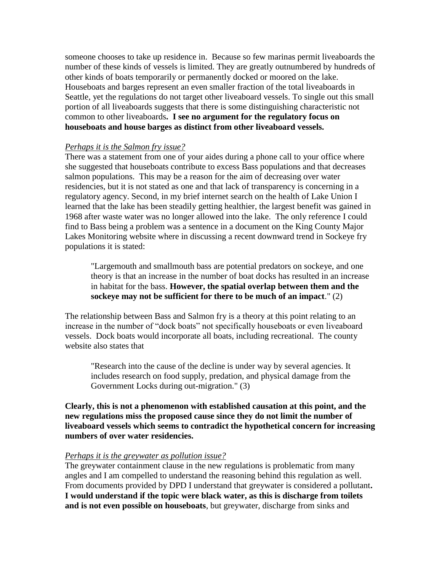someone chooses to take up residence in. Because so few marinas permit liveaboards the number of these kinds of vessels is limited. They are greatly outnumbered by hundreds of other kinds of boats temporarily or permanently docked or moored on the lake. Houseboats and barges represent an even smaller fraction of the total liveaboards in Seattle, yet the regulations do not target other liveaboard vessels. To single out this small portion of all liveaboards suggests that there is some distinguishing characteristic not common to other liveaboards**. I see no argument for the regulatory focus on houseboats and house barges as distinct from other liveaboard vessels.** 

### *Perhaps it is the Salmon fry issue?*

There was a statement from one of your aides during a phone call to your office where she suggested that houseboats contribute to excess Bass populations and that decreases salmon populations. This may be a reason for the aim of decreasing over water residencies, but it is not stated as one and that lack of transparency is concerning in a regulatory agency. Second, in my brief internet search on the health of Lake Union I learned that the lake has been steadily getting healthier, the largest benefit was gained in 1968 after waste water was no longer allowed into the lake. The only reference I could find to Bass being a problem was a sentence in a document on the King County Major Lakes Monitoring website where in discussing a recent downward trend in Sockeye fry populations it is stated:

"Largemouth and smallmouth bass are potential predators on sockeye, and one theory is that an increase in the number of boat docks has resulted in an increase in habitat for the bass. **However, the spatial overlap between them and the sockeye may not be sufficient for there to be much of an impact**." (2)

The relationship between Bass and Salmon fry is a theory at this point relating to an increase in the number of "dock boats" not specifically houseboats or even liveaboard vessels. Dock boats would incorporate all boats, including recreational. The county website also states that

"Research into the cause of the decline is under way by several agencies. It includes research on food supply, predation, and physical damage from the Government Locks during out-migration." (3)

**Clearly, this is not a phenomenon with established causation at this point, and the new regulations miss the proposed cause since they do not limit the number of liveaboard vessels which seems to contradict the hypothetical concern for increasing numbers of over water residencies.** 

#### *Perhaps it is the greywater as pollution issue?*

The greywater containment clause in the new regulations is problematic from many angles and I am compelled to understand the reasoning behind this regulation as well. From documents provided by DPD I understand that greywater is considered a pollutant**. I would understand if the topic were black water, as this is discharge from toilets and is not even possible on houseboats**, but greywater, discharge from sinks and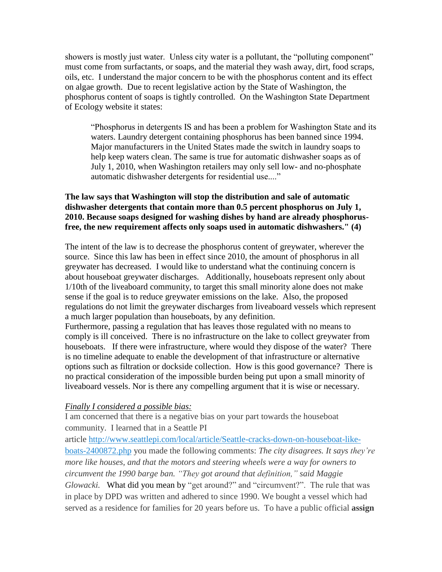showers is mostly just water. Unless city water is a pollutant, the "polluting component" must come from surfactants, or soaps, and the material they wash away, dirt, food scraps, oils, etc. I understand the major concern to be with the phosphorus content and its effect on algae growth. Due to recent legislative action by the State of Washington, the phosphorus content of soaps is tightly controlled. On the Washington State Department of Ecology website it states:

"Phosphorus in detergents IS and has been a problem for Washington State and its waters. Laundry detergent containing phosphorus has been banned since 1994. Major manufacturers in the United States made the switch in laundry soaps to help keep waters clean. The same is true for automatic dishwasher soaps as of July 1, 2010, when Washington retailers may only sell low- and no-phosphate automatic dishwasher detergents for residential use...."

## **The law says that Washington will stop the distribution and sale of automatic dishwasher detergents that contain more than 0.5 percent phosphorus on July 1, 2010. Because soaps designed for washing dishes by hand are already phosphorusfree, the new requirement affects only soaps used in automatic dishwashers." (4)**

The intent of the law is to decrease the phosphorus content of greywater, wherever the source. Since this law has been in effect since 2010, the amount of phosphorus in all greywater has decreased. I would like to understand what the continuing concern is about houseboat greywater discharges. Additionally, houseboats represent only about 1/10th of the liveaboard community, to target this small minority alone does not make sense if the goal is to reduce greywater emissions on the lake. Also, the proposed regulations do not limit the greywater discharges from liveaboard vessels which represent a much larger population than houseboats, by any definition.

Furthermore, passing a regulation that has leaves those regulated with no means to comply is ill conceived. There is no infrastructure on the lake to collect greywater from houseboats. If there were infrastructure, where would they dispose of the water? There is no timeline adequate to enable the development of that infrastructure or alternative options such as filtration or dockside collection. How is this good governance? There is no practical consideration of the impossible burden being put upon a small minority of liveaboard vessels. Nor is there any compelling argument that it is wise or necessary.

## *Finally I considered a possible bias:*

I am concerned that there is a negative bias on your part towards the houseboat community. I learned that in a Seattle PI

article [http://www.seattlepi.com/local/article/Seattle-cracks-down-on-houseboat-like](http://www.seattlepi.com/local/article/Seattle-cracks-down-on-houseboat-like-boats-2400872.php)[boats-2400872.php](http://www.seattlepi.com/local/article/Seattle-cracks-down-on-houseboat-like-boats-2400872.php) you made the following comments: *The city disagrees. It says they're more like houses, and that the motors and steering wheels were a way for owners to circumvent the 1990 barge ban. "They got around that definition," said Maggie Glowacki.* What did you mean by "get around?" and "circumvent?". The rule that was in place by DPD was written and adhered to since 1990. We bought a vessel which had served as a residence for families for 20 years before us. To have a public official **assign**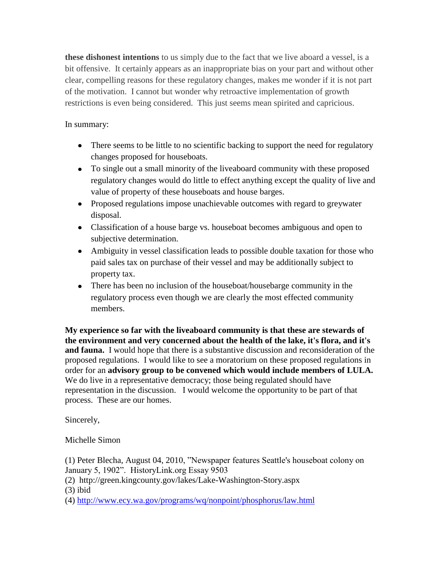**these dishonest intentions** to us simply due to the fact that we live aboard a vessel, is a bit offensive. It certainly appears as an inappropriate bias on your part and without other clear, compelling reasons for these regulatory changes, makes me wonder if it is not part of the motivation. I cannot but wonder why retroactive implementation of growth restrictions is even being considered. This just seems mean spirited and capricious.

# In summary:

- There seems to be little to no scientific backing to support the need for regulatory changes proposed for houseboats.
- To single out a small minority of the liveaboard community with these proposed regulatory changes would do little to effect anything except the quality of live and value of property of these houseboats and house barges.
- Proposed regulations impose unachievable outcomes with regard to greywater disposal.
- Classification of a house barge vs. houseboat becomes ambiguous and open to subjective determination.
- Ambiguity in vessel classification leads to possible double taxation for those who paid sales tax on purchase of their vessel and may be additionally subject to property tax.
- There has been no inclusion of the houseboat/housebarge community in the regulatory process even though we are clearly the most effected community members.

**My experience so far with the liveaboard community is that these are stewards of the environment and very concerned about the health of the lake, it's flora, and it's and fauna.** I would hope that there is a substantive discussion and reconsideration of the proposed regulations. I would like to see a moratorium on these proposed regulations in order for an **advisory group to be convened which would include members of LULA.** We do live in a representative democracy; those being regulated should have representation in the discussion. I would welcome the opportunity to be part of that process. These are our homes.

Sincerely,

Michelle Simon

(1) Peter Blecha, August 04, 2010, "Newspaper features Seattle's houseboat colony on January 5, 1902". HistoryLink.org Essay 9503

(2) http://green.kingcounty.gov/lakes/Lake-Washington-Story.aspx

(3) ibid

(4)<http://www.ecy.wa.gov/programs/wq/nonpoint/phosphorus/law.html>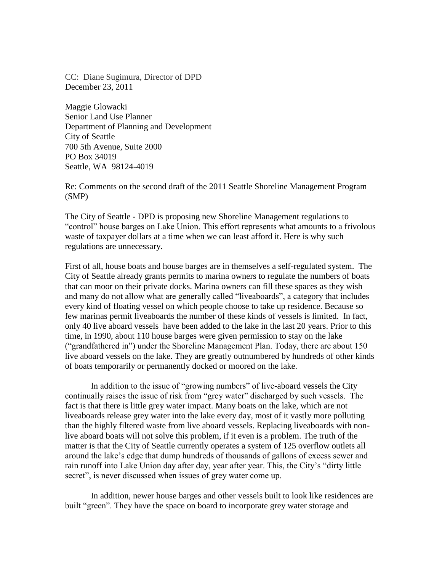CC: Diane Sugimura, Director of DPD December 23, 2011

Maggie Glowacki Senior Land Use Planner Department of Planning and Development City of Seattle 700 5th Avenue, Suite 2000 PO Box 34019 Seattle, WA 98124-4019

Re: Comments on the second draft of the 2011 Seattle Shoreline Management Program (SMP)

The City of Seattle - DPD is proposing new Shoreline Management regulations to "control" house barges on Lake Union. This effort represents what amounts to a frivolous waste of taxpayer dollars at a time when we can least afford it. Here is why such regulations are unnecessary.

First of all, house boats and house barges are in themselves a self-regulated system. The City of Seattle already grants permits to marina owners to regulate the numbers of boats that can moor on their private docks. Marina owners can fill these spaces as they wish and many do not allow what are generally called "liveaboards", a category that includes every kind of floating vessel on which people choose to take up residence. Because so few marinas permit liveaboards the number of these kinds of vessels is limited. In fact, only 40 live aboard vessels have been added to the lake in the last 20 years. Prior to this time, in 1990, about 110 house barges were given permission to stay on the lake ("grandfathered in") under the Shoreline Management Plan. Today, there are about 150 live aboard vessels on the lake. They are greatly outnumbered by hundreds of other kinds of boats temporarily or permanently docked or moored on the lake.

In addition to the issue of "growing numbers" of live-aboard vessels the City continually raises the issue of risk from "grey water" discharged by such vessels. The fact is that there is little grey water impact. Many boats on the lake, which are not liveaboards release grey water into the lake every day, most of it vastly more polluting than the highly filtered waste from live aboard vessels. Replacing liveaboards with nonlive aboard boats will not solve this problem, if it even is a problem. The truth of the matter is that the City of Seattle currently operates a system of 125 overflow outlets all around the lake's edge that dump hundreds of thousands of gallons of excess sewer and rain runoff into Lake Union day after day, year after year. This, the City's "dirty little secret", is never discussed when issues of grey water come up.

 In addition, newer house barges and other vessels built to look like residences are built "green". They have the space on board to incorporate grey water storage and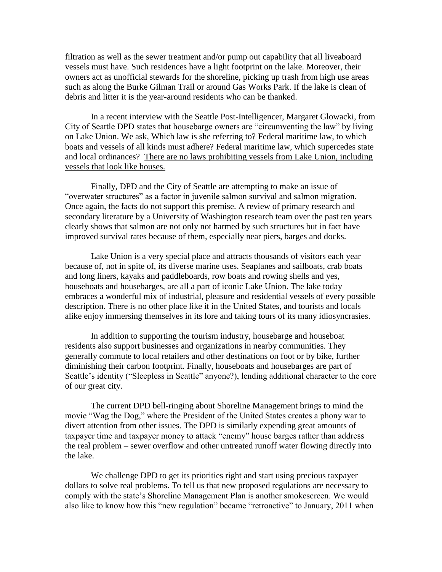filtration as well as the sewer treatment and/or pump out capability that all liveaboard vessels must have. Such residences have a light footprint on the lake. Moreover, their owners act as unofficial stewards for the shoreline, picking up trash from high use areas such as along the Burke Gilman Trail or around Gas Works Park. If the lake is clean of debris and litter it is the year-around residents who can be thanked.

In a recent interview with the Seattle Post-Intelligencer, Margaret Glowacki, from City of Seattle DPD states that housebarge owners are "circumventing the law" by living on Lake Union. We ask, Which law is she referring to? Federal maritime law, to which boats and vessels of all kinds must adhere? Federal maritime law, which supercedes state and local ordinances? There are no laws prohibiting vessels from Lake Union, including vessels that look like houses.

Finally, DPD and the City of Seattle are attempting to make an issue of "overwater structures" as a factor in juvenile salmon survival and salmon migration. Once again, the facts do not support this premise. A review of primary research and secondary literature by a University of Washington research team over the past ten years clearly shows that salmon are not only not harmed by such structures but in fact have improved survival rates because of them, especially near piers, barges and docks.

Lake Union is a very special place and attracts thousands of visitors each year because of, not in spite of, its diverse marine uses. Seaplanes and sailboats, crab boats and long liners, kayaks and paddleboards, row boats and rowing shells and yes, houseboats and housebarges, are all a part of iconic Lake Union. The lake today embraces a wonderful mix of industrial, pleasure and residential vessels of every possible description. There is no other place like it in the United States, and tourists and locals alike enjoy immersing themselves in its lore and taking tours of its many idiosyncrasies.

In addition to supporting the tourism industry, housebarge and houseboat residents also support businesses and organizations in nearby communities. They generally commute to local retailers and other destinations on foot or by bike, further diminishing their carbon footprint. Finally, houseboats and housebarges are part of Seattle's identity ("Sleepless in Seattle" anyone?), lending additional character to the core of our great city.

The current DPD bell-ringing about Shoreline Management brings to mind the movie "Wag the Dog," where the President of the United States creates a phony war to divert attention from other issues. The DPD is similarly expending great amounts of taxpayer time and taxpayer money to attack "enemy" house barges rather than address the real problem – sewer overflow and other untreated runoff water flowing directly into the lake.

We challenge DPD to get its priorities right and start using precious taxpayer dollars to solve real problems. To tell us that new proposed regulations are necessary to comply with the state's Shoreline Management Plan is another smokescreen. We would also like to know how this "new regulation" became "retroactive" to January, 2011 when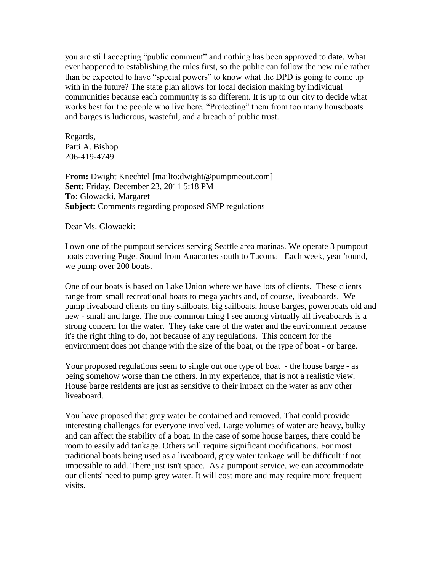you are still accepting "public comment" and nothing has been approved to date. What ever happened to establishing the rules first, so the public can follow the new rule rather than be expected to have "special powers" to know what the DPD is going to come up with in the future? The state plan allows for local decision making by individual communities because each community is so different. It is up to our city to decide what works best for the people who live here. "Protecting" them from too many houseboats and barges is ludicrous, wasteful, and a breach of public trust.

Regards, Patti A. Bishop 206-419-4749

**From:** Dwight Knechtel [mailto:dwight@pumpmeout.com] **Sent:** Friday, December 23, 2011 5:18 PM **To:** Glowacki, Margaret **Subject:** Comments regarding proposed SMP regulations

Dear Ms. Glowacki:

I own one of the pumpout services serving Seattle area marinas. We operate 3 pumpout boats covering Puget Sound from Anacortes south to Tacoma Each week, year 'round, we pump over 200 boats.

One of our boats is based on Lake Union where we have lots of clients. These clients range from small recreational boats to mega yachts and, of course, liveaboards. We pump liveaboard clients on tiny sailboats, big sailboats, house barges, powerboats old and new - small and large. The one common thing I see among virtually all liveaboards is a strong concern for the water. They take care of the water and the environment because it's the right thing to do, not because of any regulations. This concern for the environment does not change with the size of the boat, or the type of boat - or barge.

Your proposed regulations seem to single out one type of boat - the house barge - as being somehow worse than the others. In my experience, that is not a realistic view. House barge residents are just as sensitive to their impact on the water as any other liveaboard.

You have proposed that grey water be contained and removed. That could provide interesting challenges for everyone involved. Large volumes of water are heavy, bulky and can affect the stability of a boat. In the case of some house barges, there could be room to easily add tankage. Others will require significant modifications. For most traditional boats being used as a liveaboard, grey water tankage will be difficult if not impossible to add. There just isn't space. As a pumpout service, we can accommodate our clients' need to pump grey water. It will cost more and may require more frequent visits.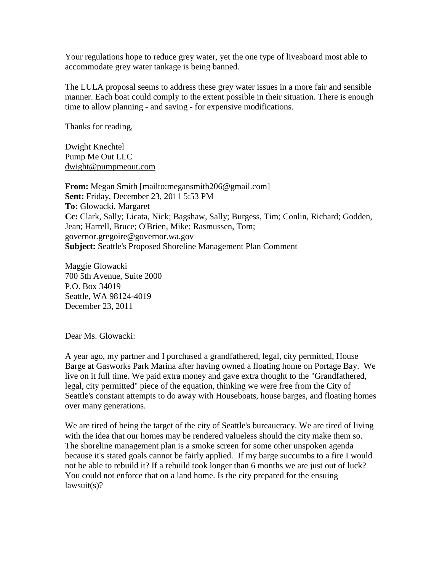Your regulations hope to reduce grey water, yet the one type of liveaboard most able to accommodate grey water tankage is being banned.

The LULA proposal seems to address these grey water issues in a more fair and sensible manner. Each boat could comply to the extent possible in their situation. There is enough time to allow planning - and saving - for expensive modifications.

Thanks for reading,

Dwight Knechtel Pump Me Out LLC [dwight@pumpmeout.com](mailto:dwight@pumpmeout.com)

**From:** Megan Smith [mailto:megansmith206@gmail.com] **Sent:** Friday, December 23, 2011 5:53 PM **To:** Glowacki, Margaret **Cc:** Clark, Sally; Licata, Nick; Bagshaw, Sally; Burgess, Tim; Conlin, Richard; Godden, Jean; Harrell, Bruce; O'Brien, Mike; Rasmussen, Tom; governor.gregoire@governor.wa.gov **Subject:** Seattle's Proposed Shoreline Management Plan Comment

Maggie Glowacki 700 5th Avenue, Suite 2000 P.O. Box 34019 Seattle, WA 98124-4019 December 23, 2011

Dear Ms. Glowacki:

A year ago, my partner and I purchased a grandfathered, legal, city permitted, House Barge at Gasworks Park Marina after having owned a floating home on Portage Bay. We live on it full time. We paid extra money and gave extra thought to the "Grandfathered, legal, city permitted" piece of the equation, thinking we were free from the City of Seattle's constant attempts to do away with Houseboats, house barges, and floating homes over many generations.

We are tired of being the target of the city of Seattle's bureaucracy. We are tired of living with the idea that our homes may be rendered valueless should the city make them so. The shoreline management plan is a smoke screen for some other unspoken agenda because it's stated goals cannot be fairly applied. If my barge succumbs to a fire I would not be able to rebuild it? If a rebuild took longer than 6 months we are just out of luck? You could not enforce that on a land home. Is the city prepared for the ensuing lawsuit(s)?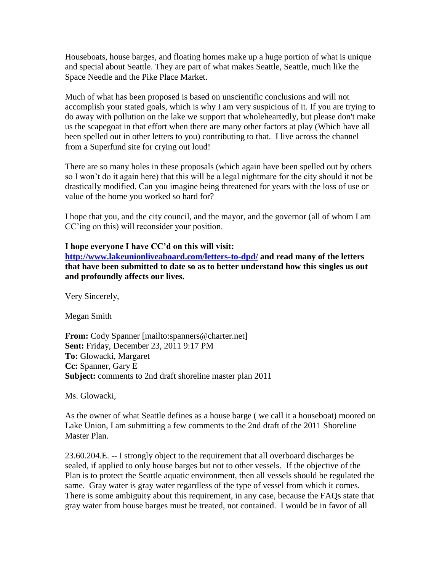Houseboats, house barges, and floating homes make up a huge portion of what is unique and special about Seattle. They are part of what makes Seattle, Seattle, much like the Space Needle and the Pike Place Market.

Much of what has been proposed is based on unscientific conclusions and will not accomplish your stated goals, which is why I am very suspicious of it. If you are trying to do away with pollution on the lake we support that wholeheartedly, but please don't make us the scapegoat in that effort when there are many other factors at play (Which have all been spelled out in other letters to you) contributing to that. I live across the channel from a Superfund site for crying out loud!

There are so many holes in these proposals (which again have been spelled out by others so I won't do it again here) that this will be a legal nightmare for the city should it not be drastically modified. Can you imagine being threatened for years with the loss of use or value of the home you worked so hard for?

I hope that you, and the city council, and the mayor, and the governor (all of whom I am CC'ing on this) will reconsider your position.

## **I hope everyone I have CC'd on this will visit:**

**<http://www.lakeunionliveaboard.com/letters-to-dpd/> and read many of the letters that have been submitted to date so as to better understand how this singles us out and profoundly affects our lives.**

Very Sincerely,

Megan Smith

**From:** Cody Spanner [mailto:spanners@charter.net] **Sent:** Friday, December 23, 2011 9:17 PM **To:** Glowacki, Margaret **Cc:** Spanner, Gary E **Subject:** comments to 2nd draft shoreline master plan 2011

Ms. Glowacki,

As the owner of what Seattle defines as a house barge ( we call it a houseboat) moored on Lake Union, I am submitting a few comments to the 2nd draft of the 2011 Shoreline Master Plan.

23.60.204.E. -- I strongly object to the requirement that all overboard discharges be sealed, if applied to only house barges but not to other vessels. If the objective of the Plan is to protect the Seattle aquatic environment, then all vessels should be regulated the same. Gray water is gray water regardless of the type of vessel from which it comes. There is some ambiguity about this requirement, in any case, because the FAQs state that gray water from house barges must be treated, not contained. I would be in favor of all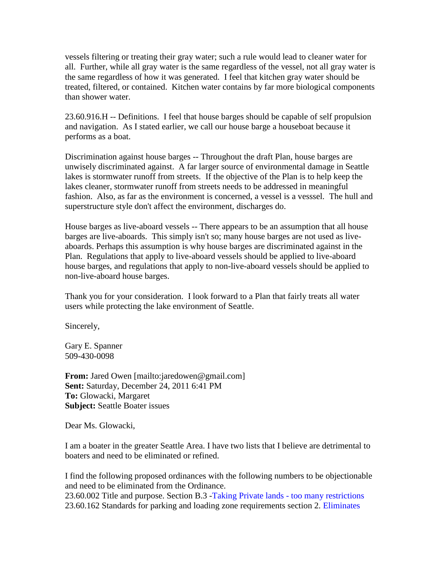vessels filtering or treating their gray water; such a rule would lead to cleaner water for all. Further, while all gray water is the same regardless of the vessel, not all gray water is the same regardless of how it was generated. I feel that kitchen gray water should be treated, filtered, or contained. Kitchen water contains by far more biological components than shower water.

23.60.916.H -- Definitions. I feel that house barges should be capable of self propulsion and navigation. As I stated earlier, we call our house barge a houseboat because it performs as a boat.

Discrimination against house barges -- Throughout the draft Plan, house barges are unwisely discriminated against. A far larger source of environmental damage in Seattle lakes is stormwater runoff from streets. If the objective of the Plan is to help keep the lakes cleaner, stormwater runoff from streets needs to be addressed in meaningful fashion. Also, as far as the environment is concerned, a vessel is a vesssel. The hull and superstructure style don't affect the environment, discharges do.

House barges as live-aboard vessels -- There appears to be an assumption that all house barges are live-aboards. This simply isn't so; many house barges are not used as liveaboards. Perhaps this assumption is why house barges are discriminated against in the Plan. Regulations that apply to live-aboard vessels should be applied to live-aboard house barges, and regulations that apply to non-live-aboard vessels should be applied to non-live-aboard house barges.

Thank you for your consideration. I look forward to a Plan that fairly treats all water users while protecting the lake environment of Seattle.

Sincerely,

Gary E. Spanner 509-430-0098

**From:** Jared Owen [mailto:jaredowen@gmail.com] **Sent:** Saturday, December 24, 2011 6:41 PM **To:** Glowacki, Margaret **Subject:** Seattle Boater issues

Dear Ms. Glowacki,

I am a boater in the greater Seattle Area. I have two lists that I believe are detrimental to boaters and need to be eliminated or refined.

I find the following proposed ordinances with the following numbers to be objectionable and need to be eliminated from the Ordinance. 23.60.002 Title and purpose. Section B.3 -Taking Private lands - too many restrictions 23.60.162 Standards for parking and loading zone requirements section 2. Eliminates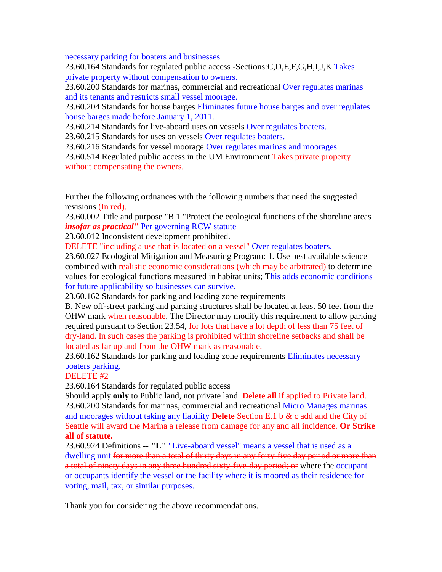necessary parking for boaters and businesses

23.60.164 Standards for regulated public access -Sections:C,D,E,F,G,H,I,J,K Takes private property without compensation to owners.

23.60.200 Standards for marinas, commercial and recreational Over regulates marinas and its tenants and restricts small vessel moorage.

23.60.204 Standards for house barges Eliminates future house barges and over regulates house barges made before January 1, 2011.

23.60.214 Standards for live-aboard uses on vessels Over regulates boaters.

23.60.215 Standards for uses on vessels Over regulates boaters.

23.60.216 Standards for vessel moorage Over regulates marinas and moorages.

23.60.514 Regulated public access in the UM Environment Takes private property without compensating the owners.

Further the following ordnances with the following numbers that need the suggested revisions (In red).

23.60.002 Title and purpose "B.1 "Protect the ecological functions of the shoreline areas *insofar as practical"* Per governing RCW statute

23.60.012 Inconsistent development prohibited.

DELETE "including a use that is located on a vessel" Over regulates boaters.

23.60.027 Ecological Mitigation and Measuring Program: 1. Use best available science combined with realistic economic considerations (which may be arbitrated) to determine values for ecological functions measured in habitat units; This adds economic conditions for future applicability so businesses can survive.

23.60.162 Standards for parking and loading zone requirements

B. New off-street parking and parking structures shall be located at least 50 feet from the OHW mark when reasonable. The Director may modify this requirement to allow parking required pursuant to Section 23.54, for lots that have a lot depth of less than 75 feet of dry-land. In such cases the parking is prohibited within shoreline setbacks and shall be located as far upland from the OHW mark as reasonable.

23.60.162 Standards for parking and loading zone requirements Eliminates necessary boaters parking.

#### DELETE #2

23.60.164 Standards for regulated public access

Should apply **only** to Public land, not private land. **Delete all** if applied to Private land. 23.60.200 Standards for marinas, commercial and recreational Micro Manages marinas and moorages without taking any liability **Delete** Section E.1 b & c add and the City of Seattle will award the Marina a release from damage for any and all incidence. **Or Strike all of statute.**

23.60.924 Definitions -- **"L"** "Live-aboard vessel" means a vessel that is used as a dwelling unit for more than a total of thirty days in any forty-five day period or more than a total of ninety days in any three hundred sixty-five-day period; or where the occupant or occupants identify the vessel or the facility where it is moored as their residence for voting, mail, tax, or similar purposes.

Thank you for considering the above recommendations.